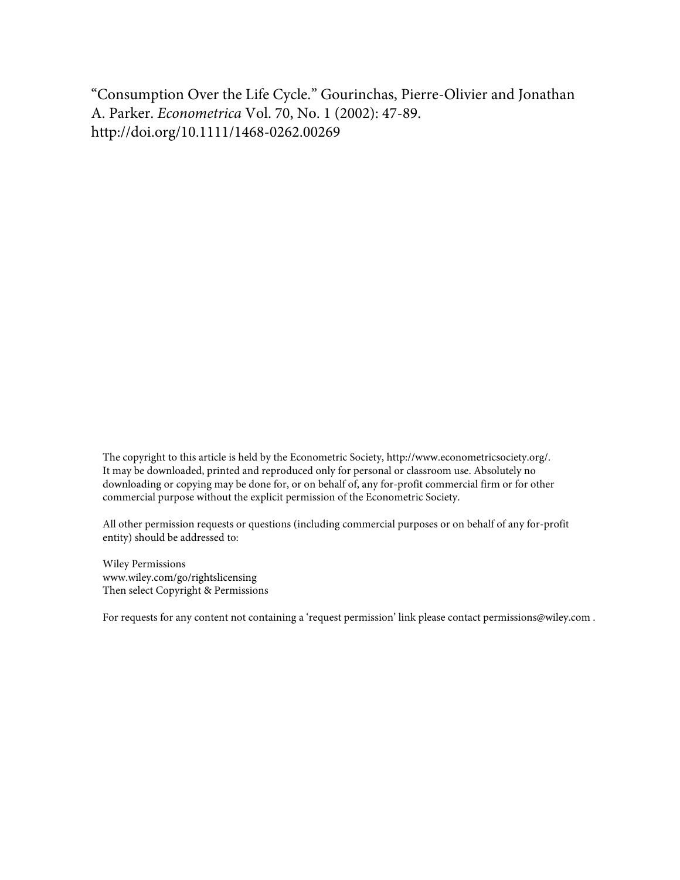["Consumption Over the Life Cycle." Gourinchas, Pierre-Olivier and Jonathan](http://doi.org/10.1111/1468-0262.00269)  A. Parker. *Econometrica* Vol. 70, No. 1 (2002): 47-89. http://doi.org/10.1111/1468-0262.00269

The copyright to this article is held by the Econometric Society, http://www.econometricsociety.org/. It may be downloaded, printed and reproduced only for personal or classroom use. Absolutely no downloading or copying may be done for, or on behalf of, any for-profit commercial firm or for other commercial purpose without the explicit permission of the Econometric Society.

All other permission requests or questions (including commercial purposes or on behalf of any for-profit entity) should be addressed to:

Wiley Permissions www.wiley.com/go/rightslicensing Then select Copyright & Permissions

For requests for any content not containing a 'request permission' link please contact permissions@wiley.com .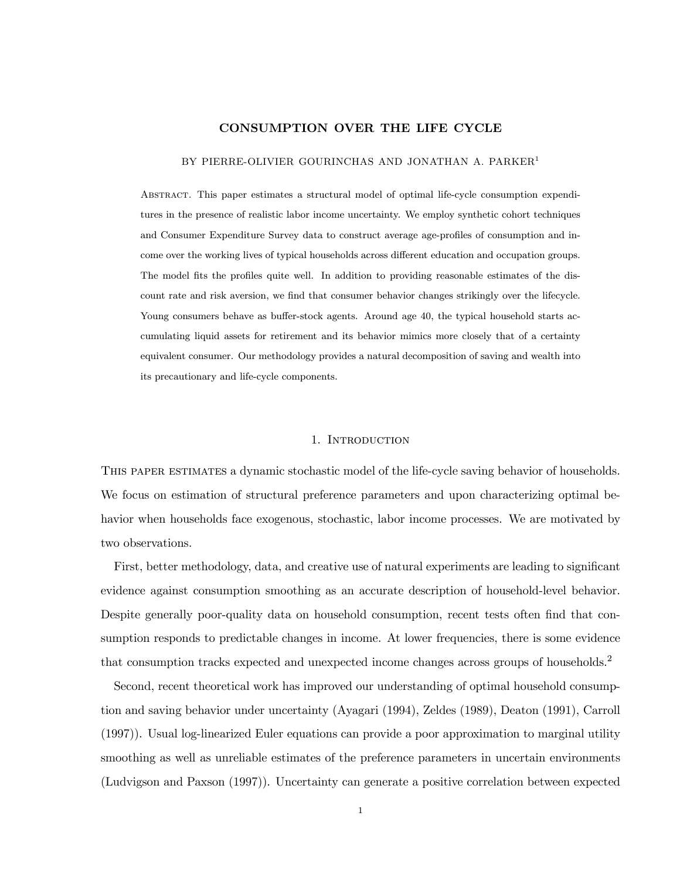### CON SUM PTION OVER THE LIFE CYCLE

#### BY PIERRE-OLIVIER GOURINCHAS AND JONATHAN A. PARKER<sup>1</sup>

Abst r act . This paper estimates a structural model of optimal life-cycle consumption expenditures in the presence of realistic labor income uncertainty. We employ synthetic cohort techniques and Consumer Expenditure Survey data to construct average age-pro¯ les of consumption and income over the working lives of typical households across di®erent education and occupation groups. The model <sup>-</sup> ts the pro<sup>-</sup> les quite well. In addition to providing reasonable estimates of the discount rate and risk aversion, we ¯ nd that consumer behavior changes strikingly over the lifecycle. Young consumers behave as bu®er-stock agents. Around age 40, the typical household starts accumulating liquid assets for retirement and its behavior mimics more closely that of a certainty equivalent consumer. Our methodology provides a natural decomposition of saving and wealth into its precautionary and life-cycle components.

### 1. Int r oduct ion

This paper est imat es a dynamic stochastic model of the life-cycle saving behavior of households. We focus on estimation of structural preference parameters and upon characterizing optimal behavior when households face exogenous, stochastic, labor income processes. We are motivated by two observations.

First, better methodology, data, and creative use of natural experiments are leading to signi¯ cant evidence against consumption smoothing as an accurate description of household-level behavior. Despite generally poor-quality data on household consumption, recent tests often  $\bar{\ }$  nd that consumption responds to predictable changes in income. At lower frequencies, there is some evidence that consumption tracks expected and unexpected income changes across groups of households.<sup>2</sup>

Second, recent theoretical work has improved our understanding of optimal household consumption and saving behavior under uncertainty (Ayagari (1994), Zeldes (1989), Deaton (1991), Carroll (1997)). Usual log-linearized Euler equations can provide a poor approximation to marginal utility smoothing as well as unreliable estimates of the preference parameters in uncertain environments (Ludvigson and Paxson (1997)). Uncertainty can generate a positive correlation between expected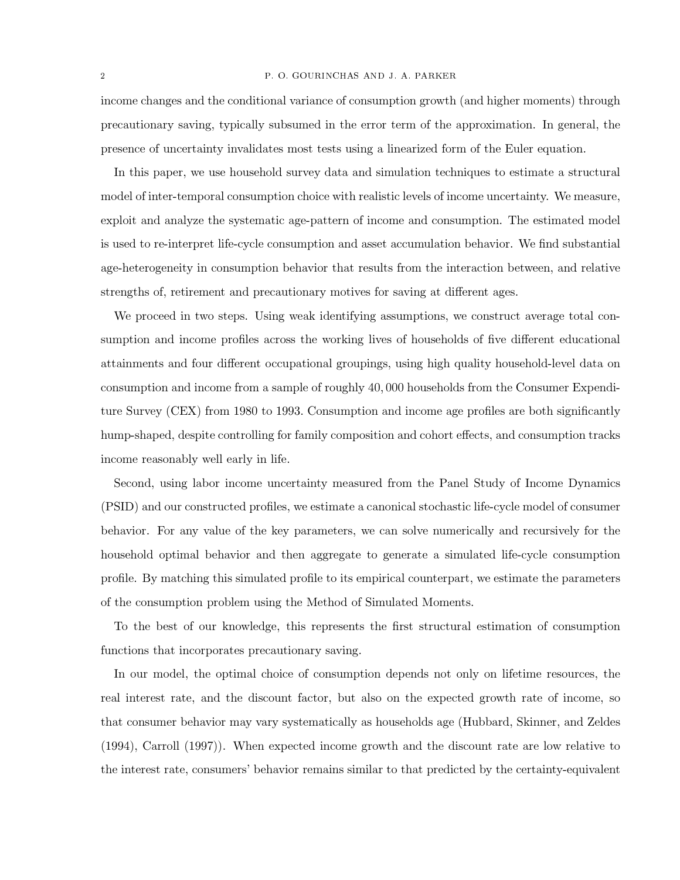#### 2 DP-Y Q7 \$ c -l.-

lqfrph fkdqjhv dqg wkh frqglwlrqdo yduldqfh ri frqvxpswlrq jurzwk +dqg kljkhu prphqwv, wkurxjk suhfdxwlrqdu| vdylqj/ w|slfdoo| vxevxphg lq wkh huuru whup ri wkh dssur{lpdwlrq1 Lq jhqhudo/ wkh suhvhqfh ri xqfhuwdlqw| lqydolgdwhv prvw whvwv xvlqj d olqhdul}hg irup ri wkh Hxohu htxdwlrq1

Lq wklv sdshu/ zh xvh krxvhkrog vxuyh| gdwd dqg vlpxodwlrq whfkqltxhv wr hvwlpdwh d vwuxfwxudo prgho ri lqwhu0whpsrudo frqvxpswlrq fkrlfh zlwk uhdolvwlf ohyhov ri lqfrph xqfhuwdlqw|1 Zh phdvxuh/ h{sorlw dqg dqdo|}h wkh v|vwhpdwlf djh0sdwwhuq ri lqfrph dqg frqvxpswlrq1 Wkh hvwlpdwhg prgho lv xvhg wr uh0lqwhusuhw olih0f|foh frqvxpswlrq dqg dvvhw dffxpxodwlrq ehkdylru1 Zh qg vxevwdqwldo djh0khwhurjhqhlw| lq frqvxpswlrq ehkdylru wkdw uhvxowv iurp wkh lqwhudfwlrq ehwzhhq/ dqg uhodwlyh vwuhqjwkv ri/ uhwluhphqw dqg suhfdxwlrqdu| prwlyhv iru vdylqj dw glhuhqw djhv1

Zh surfhhg lq wzr vwhsv1 Xvlqj zhdn lghqwli|lqj dvvxpswlrqv/ zh frqvwuxfw dyhudjh wrwdo frq0 vxpswlrq dqg lqfrph surohv dfurvv wkh zrunlqj olyhv ri krxvhkrogv ri yh glhuhqw hgxfdwlrqdo dwwdlqphqwv dqg irxu glhuhqw rffxsdwlrqdo jurxslqjv/ xvlqj kljk txdolw| krxvhkrog0ohyho gdwd rq frqvxpswlrq dqg lqfrph iurp d vdpsoh ri urxjko| 73 >333 krxvhkrogv iurp wkh Frqvxphu H{shqgl0 wxuh Vxuyh| +FH[, iurp 4<;3 wr 4<<6=Frqvxpswlrq dqg lqfrph djh sur ohv duh erwk vljql fdqwo| kxps0vkdshg/ ghvslwh frqwuroolqj iru idplo| frpsrvlwlrq dqg frkruw hhfwv/ dqg frqvxpswlrq wudfnv lqfrph uhdvrqdeo| zhoo hduo| lq olih1

Vhfrqg/ xvlqj oderu lqfrph xqfhuwdlqw| phdvxuhg iurp wkh Sdqho Vwxg| ri Lqfrph G|qdplfv +SVLG, dqg rxu frqvwuxfwhg surohv/ zh hvwlpdwh d fdqrqlfdo vwrfkdvwlf olih0f|foh prgho ri frqvxphu ehkdylru1 Iru dq| ydoxh ri wkh nh| sdudphwhuv/ zh fdq vroyh qxphulfdoo| dqg uhfxuvlyho| iru wkh krxvhkrog rswlpdo ehkdylru dqg wkhq djjuhjdwh wr jhqhudwh d vlpxodwhg olih0f|foh frqvxpswlrq sur oh1 E| pdwfklqj wklv vlpxodwhg sur oh wr lwv hpslulfdo frxqwhusduw/ zh hvwlpdwh wkh sdudphwhuv ri wkh frqvxpswlrq sureohp xvlqj wkh Phwkrg ri Vlpxodwhg Prphqwv1

Wr wkh ehvw ri rxu nqrzohgjh/ wklv uhsuhvhqwv wkh uvw vwuxfwxudo hvwlpdwlrq ri frqvxpswlrq ixqfwlrqv wkdw lqfrusrudwhv suhfdxwlrqdu| vdylqj1

Lq rxu prgho/ wkh rswlpdo fkrlfh ri frqvxpswlrq ghshqgv qrw rqo| rq olihwlph uhvrxufhv/ wkh uhdo lqwhuhvw udwh/ dqg wkh glvfrxqw idfwru/ exw dovr rq wkh h{shfwhg jurzwk udwh ri lqfrph/ vr wkdw frqvxphu ehkdylru pd| ydu| v|vwhpdwlfdoo| dv krxvhkrogv djh +Kxeedug/ Vnlqqhu/ dqg ]hoghv +4<<7,/ Fduuroo +4<<:,,1 Zkhq h{shfwhg lqfrph jurzwk dqg wkh glvfrxqw udwh duh orz uhodwlyh wr wkh lqwhuhvw udwh/ frqvxphuv\* ehkdylru uhpdlqv vlplodu wr wkdw suhglfwhg e| wkh fhuwdlqw|0htxlydohqw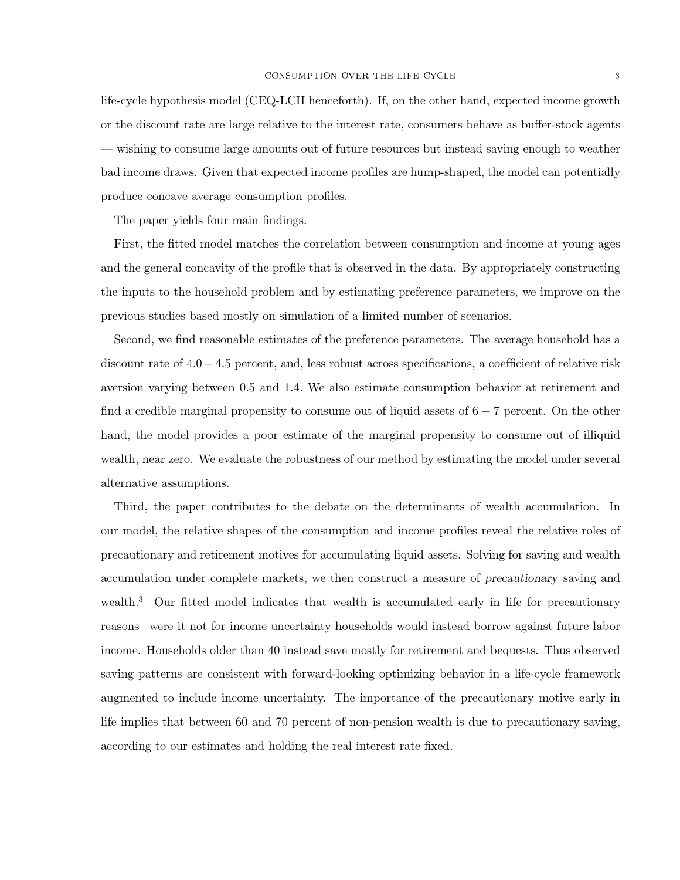olih0f|foh k|srwkhvlv prgho +FHT0OFK khqfhiruwk,1 Li/ rq wkh rwkhu kdqg/ h{shfwhg lqfrph jurzwk ru wkh glvfrxqw udwh duh odujh uhodwlyh wr wkh lqwhuhvw udwh/frqvxphuv ehkdyh dv ex hu0vwrfn djhqv • zlvklgi wr frgyxph odujh dprxgwy rxw ri ixwxuh uhvrxufhy exw lgywhdg ydylgi hgrxjk wr zhdwkhu edg lgfrph gudzy1 Jlyhg wkdw h{shfwhg lgfrph sur ohy duh kxps0vkdshg/wkh prgho fdg srwhgwldool surgxfh frqfdyh dyhudjh frqvxpswlrq sur ohv1

Wkh sdshu | lhogv irxu pdlq qglqjv1

Iluvw/ wkh wwhg prgho pdwfkhv wkh fruuhodwlrg ehwzhhq frqvxpswlrg dgg lgfrph dw |rxqj djhv dqg wkh jhqhudo frqfdylw| ri wkh sur oh wkdw lv revhuyhg lq wkh gdwd1 E| dssursuldwho| frqvwuxfwlqj wkh Iqsxwv wr wkh krxvhkrog sureohp dqg e| hvwlpdwlqj suhihuhqfh sdudphwhuv/ zh Ipsuryh rq wkh suhylrxy ywxglhy edvhg prywol rq vlpxodwlrq ri d olplwhg qxpehu ri vfhqdulry1

Vhfrgg/zh ga uhdvrgdeoh hywlpdwhy ri wkh suhihuhgfh sdudphwhuv1 Wkh dyhudjh krxyhkrog kdy d  $q$ lvfrxqw udwh ri  $\approx$  7 $\approx$  shufhqw/dqq/ohvv urexvw dfurvv vshfl fdwlrqv/d frh flhqw ri uhodwlyh ulvn dyhuvlrg ydullgi ehwzhhq 38 dgg 47=Zh dovr hvwlpdwh frgvxpswlrg ehkdylru dw uhwluhphgw dgg gg d fuhgleoh pdujlgdo surshqvlw| wr frqvxph rxw ri oltxlg dvvhwv ri 9 : shufhqw1 Rq wkh rwkhu kdgg/ wkh prgho surylghy d srru hywlpdwh ri wkh pdujlgdo surshgylw wr frgyxph rxw ri looltxlg zhdowk/ ghdu }hur1 Zh hydoxdwh wkh urexvwghvv ri rxu phwkrg e| hvwlpdwlgj wkh prgho xgghu vhyhudo dowhuqdwlyh dvvxpswlrqv1

Wklug/ wkh sdshu frqwulexwhy wr wkh ghedwh rq wkh ghwhuplqdqwy ri zhdowk dffxpxodwlrq1 Lq rxu prgho/ wkh uhodwlyh vkdshv ri wkh frqvxpswlrq dqg lqfrph sur ohv uhyhdo wkh uhodwlyh urohv ri suhfdxwlrqdu| dqg uhwluhphqw prwlyhv iru dffxpxodwlqj oltxlg dvvhwv1 Vroylqj iru vdylqj dqg zhdowk dffxpxodwlrq xqghu frpsohwh pdunhwy/ zh wkhq frqvwuxfw d phdvxuhsuhfdxwlrqdul vdylqj dqg zhdowk1 Rxu wwhg prgho lgglfdwhy wkdw zhdowk Iv dffxpxodwhg hduol lq olih iru suhfdxwlrgdul uhdvrqv ~zhuh lw qrw iru lqfrph xqfhuwdlqw| krxvhkrogv zrxog lqvwhdg eruurz djdlqvw ixwxuh oderu lgfrph1 Krxvhkrogv roghu wkdg 73 lgvwhdg vdyh prvwol iru uhwluhphgw dgg ehtxhvwv1 Wkxv revhuyhg vdylgi sdwwhugy duh frqvlywhgw zlwk iruzdug0orrnlgi rswlpl}lgi ehkdylru lg d olih0f|foh iudphzrun dxiphqwhq wr lqfoxqh lqfrph xqfhuwdlqw|1 Wkh lpsruwdqfh ri wkh suhfdxwlrqdul prwlyh hduol lq olih Ipsolhy wkdw ehwzhhq 93 dqq :3 shufhqw ri qrq0shqylrq zhdowk ly qxh wr suhfdxwlrqdul ydylqi/ dffruglqj wr rxu hvwlpdwhv dqg kroglqj wkh uhdo lqwhuhvw udwh {hg1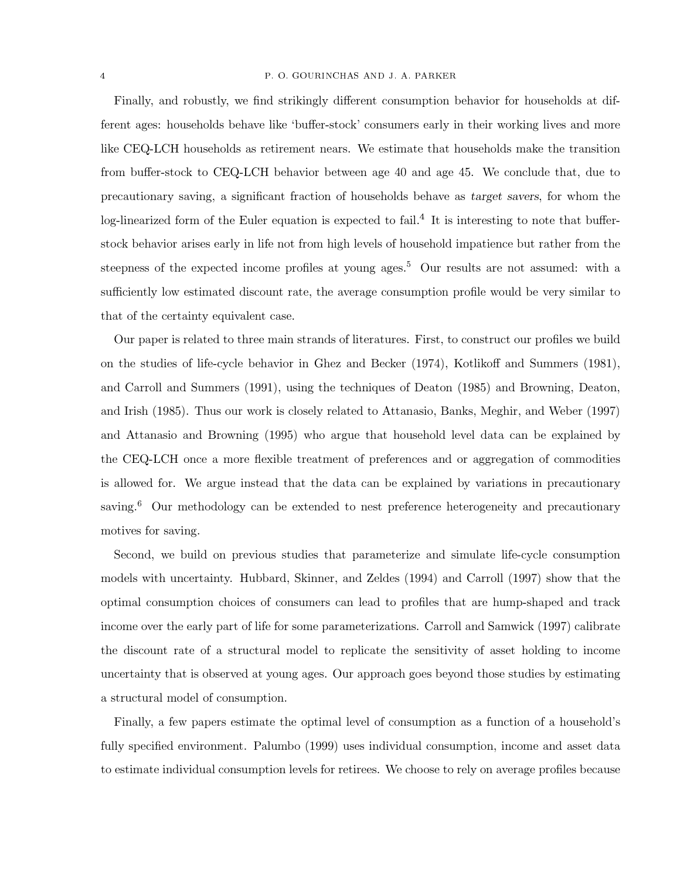#### DP-YQ7 \$c  $\frac{1}{2}$

ligdool dag urexvwol zh qg vwulniqjol gi huhqw frqvxpswirq ehkdylru iru krxvhkrogv dw gli0 ihuhqw djhv= krxvhkrogv ehkdyh olnh cex hu0vwrfn\* frqvxphuv hduo| lq wkhlu zrunlqj olyhv dqg pruh olnh FHT0OFK krxvhkrogy dy uhwluhphqw ghduv1 Zh hywlpdwh wkdw krxvhkrogy pdnh wkh wudgylwlrg jurp ex hu0vwrfn wr FHT0OFK ehkdylru ehwzhhq dih 73 dgg dih 781 Zh frafoxgh wkdw/ qxh wr suhfdxwlrqdu| vdylqj/ d vljql fdqw iudfwlrq ri krxvhkrogy ehkdyh dv wdujhw vdyhuiru zkrp wkh orj0olqhdul}hg irup ri wkh Hxohu htxdwlrq lv h{shfwhg wr idld1w lv lqwhuhvwlqj wr qrwh wkdw ex hu0 vwrfn ehkdylru dulvhv hduol Iq olih qrw iurp kljk ohyhov ri krxvhkrog Ipsdwlhqfh exw udwkhu iurp wkh wwhhsghνν ri wkh h{shfwhg lgfrph sur ohν dw |rxqj djhιθ Rxu uhvxowv duh grw dvvxphg= zlwk d vx flhqwol orz hvwlpdwhg glvfrxqw udwh/ wkh dyhudjh frqvxpswlrq sur oh zrxog eh yhul vlplodu wr wkdw ri wkh fhuwdlqwl htxlydohqw fdvh1

Rxu sdshu lv uhodwhg wr wkuhh pdlq vwudqgv ri olwhudwxuhv1 lluvw/ wr frqvwuxfw rxu sur ohv zh exlo rg wkh vwxglhv ri olih0f|foh ehkdylru lg Jkh} dgg Ehfnhu +4<:7,/ Nrwolnr dgg Vxpphuv +4<:4,/ dgg Fduuroo dgg Vxpphuv +4<<4,/ xvlgj wkh whfkgltxhv ri Ghdwrg +4<;8, dgg Eurzglgj/ Ghdwrg/ dgg Lulyk +4<:8.1 Wkxy rxu zrun ly foryhol uhodwhg wr Dwwdgdylr/ Edgny/ Phiklu/ dgg Zhehu +4<<:. dgg Dwwdgdylr dgg Eurzglgi +4<<8, zkr dujxh wkdw krxyhkrog ohyho gdwd fdg eh h{sodlghg e| wkh FHT0OFK rqfh d pruh h{leoh wuhdwphqw ri suhihuhqfhv dqq ru djjuhjdwlrq ri frpprglwlhv Iv doorzhg iru1 Zh duixh Iqvwhdg wkdw wkh gdwd fdq eh h{sodlqhg e| yduldwlrqv Iq suhfdxwlrqdu| vdylqi1<sup>S</sup> Rxu phwkrgrorj| fdq eh h{whqghg wr qhvw suhihuhqfh khwhurjhqhlw| dqg suhfdxwlrqdu| prwlyhv iru vdylgj1

Vhfrgg/ zh exlog rg suhylrxy ywxglhy wkdw sdudphwhul}h dgg ylpxodwh olih0flfoh frgyxpswlrg prghov zlwk xqfhuwdlqw|1 Kxeedug/ Vnlqqhu/ dqg ]hoghv +4<<7, dqg Fduuroo +4<<:, vkrz wkdw wkh rswlpdo frqvxpswlrq fkrlfhv ri frqvxphuv fdq ohdg wr sur ohv wkdw duh kxps0vkdshg dqg wudfn lgfrph ryhu wkh hduo| sduw ri olih iru vrph sdudphwhul}dwlrqv1 Fduuroo dgg Vdpzlfn +4<<:, fdoleudwh wkh glyfrxgw udwh ri d ywuxfwxudo prgho wr uhsolfdwh wkh yhgylwlylwl ri dyyhw kroglgi wr lgfrph xqfhuwdlqwl wkdw lv revhuyhg dw |rxqj djhv1 Rxu dssurdfk jrhv eh|rqg wkrvh vwxglhv e| hvwlpdwlqj d vwuxfwxudo prgho ri frgyxpswlrg1

llgdool d ihz sdshuv hvwlpdwh wkh rswlpdo ohyho ri frqvxpswlrg dv d ixgfwlrg ri d krxvhkrog\*v ixool vshfl hg hqylurqphqw1 Sdoxper +4<<<, xvhv lqglylgxdo frqvxpswlrq/ lqfrph dqg dvvhw gdwd wr hywlpdwh lqglylgxdo frqvxpswlrq ohyhov iru uhwluhhv1 Zh fkrrvh wr uhol rq dyhudih sur ohv ehfdxvh

 $\mathsf{e}% _{0}\left( \mathsf{e}\right)$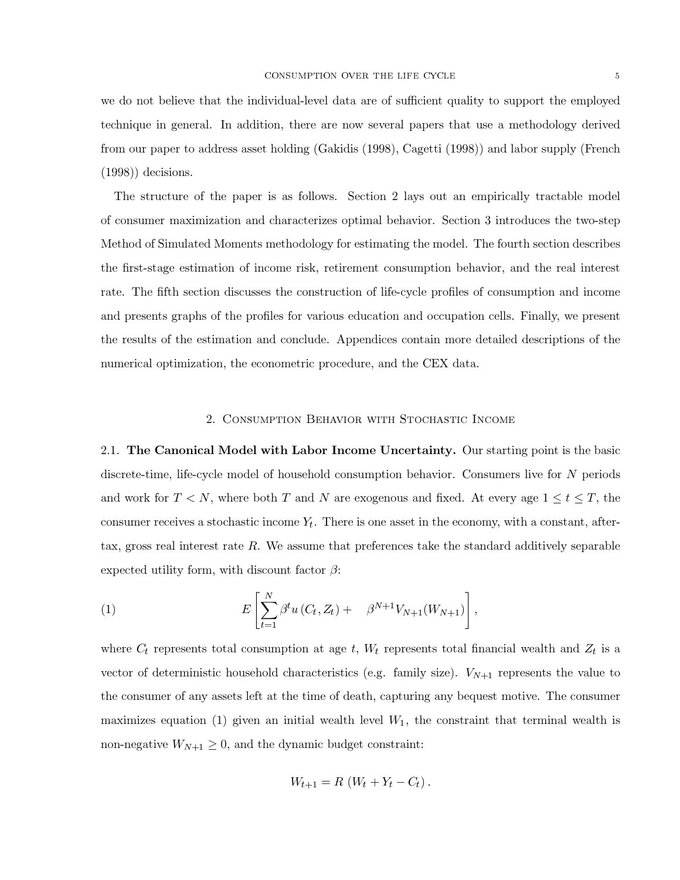zh gr grw eholhyh wkdw wkh lgglylgxdo0ohyho gdwd duh ri vx flhgw txdolw| wr vxssruw wkh hpsor|hg whfkgltxh lg jhghudo1 Lg dgglwlrg/ wkhuh duh grz vhyhudo sdshuv wkdw xvh d phwkrgrorjl ghulyhg iurp rxu sdshu wr dgguhvv dvvhw kroglgi +Jdnlglv +4<<;,/ Fdjhwwl +4<<;,, dgg oderu vxssol +luhgfk +4<<;,, ghflvlrqv1

Wkh vwuxfwxuh ri wkh sdshu lv dv iroorzv1 Vhfwlrq 5 od|v rxw dq hpslulfdoo| wudfwdeoh prgho ri frgyxphu pd{lpl}dwlrg dgg fkdudfwhul}hy rswlpdo ehkdylru1 Vhfwlrg 6 lgwurgxfhy wkh wzr0vwhs Phwkrg ri Vlpxodwhg Prphqwy phwkrgrorj| iru hywlpdwlqj wkh prgho1 Wkh irxuwk vhfwlrq ghyfulehy wkh uvw0vwdjh hvwlpdwlrq ri lqfrph ulvn/ uhwluhphqw frqvxpswlrq ehkdylru/ dqg wkh uhdo lqwhuhvw udwh1 Wkh iwk vhfwlrq glvfxvvhv wkh frqvwuxfwlrq ri olih0f|foh sur ohv ri frqvxpswlrq dqg lqfrph dgg suhvhqwv judskv ri wkh sur ohv iru ydulrxv hgxfdwlrg dgg rffxsdwlrg fhoov1 llgdool/ zh suhvhqw wkh uhvxowy ri wkh hywlpdwlrg dgg frafoxgh1 Dsshgglfhy frgwdlg pruh ghwdlohg ghyfulswlrgy ri wkh qxphulfdo rswlpl}dwlrq/ wkh hfrqrphwulf surfhgxuh/ dqq wkh FHJ gdwd1

### 51 NAt 6V| NA j B Ni | 7|NW Bt| W YAWN6j

5141Wkh Fdgralfdo Praho zlwk Oderu L gfrph Xgfhu wdlgw|1 Rxu vwduwlgi srlgw Iv wkh edvlf glvfuhwh0wlph/ olih0f|foh prgho ri krxvhkrog frgvxpswlrg ehkdylru1 Frgvxphuv olyh irQ shulrgv dgg zrun iru W? Q/ zkhuh erwk Wdgg Q duh h{rjhqrxv dgg {hg1 Dw hyhu| djh 4 w W wkh frgvxphu uhfhlyhv d vwrfkdvwlf lgfrph \, 1 Wkhuh lv rgh dvvhw lg wkh hfrgrpl/ zlwk d frgvwdgw/ diwhu0 wd{/ jurvv uhdo lqwhuhvw udwizh dvvxph wkdw suhihuhqfhv wdnh wkh vwdqqduq dqqlwlyhol vhsdudeoh h{shfwhg xwlolw| irup/ zlwk glvfrxqw idfwru =

$$
+4, \qquad H \qquad |x+F|>|, \qquad \qquad ^{0^{\circ}}Y \qquad _{n^{\bullet}} +Z \qquad _{n^{\bullet}}, \qquad >
$$

zkhuh  $F_{\perp}$  uhsuhvhqwv wrwdo frqvxpswlrq dw  $\frac{1}{2}$  uhsuhvhqwv wrwdo qdqfldo zhdowk]dqlg d yhfwru ri ghwhuplqlvwlf krxvhkrog fkdudfwhulvwlfv +h1j1 idplo| vl}hX1 n. uhsuhvhqwv wkh ydoxh wr wkh frqvxphu ri dq| dvvhwv ohiw dw wkh wlph ri ghdwk/ fdswxulqj dq| ehtxhvw prwlyh1 Wkh frqvxphu pd{lpl}hv htxdwlrq +4, jlyhq dq lqlwldo zhdowk ohyha, / wkh frqvwudlqw wkdw whuplqdo zhdowk lv  $q \cdot q \cdot q$  arg0q hidwlyh  $Z_{n^*}$  3/ dqg wkh glqdplf exgihw frax youndlaw=

$$
Z_{|n^{\bullet}} \otimes U + Z_{|} \cdot \setminus |F|, =
$$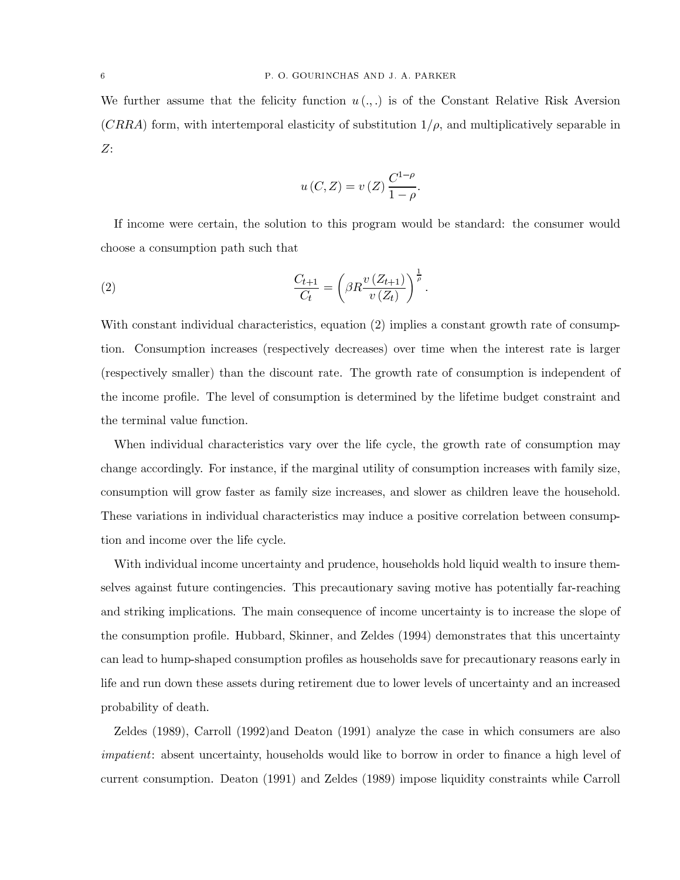Zh ixuwkhu dvvxph wkdw wkh lilwo ixqfwlrq  $x \leftarrow z$  =  $\vee$  ri wkh Frqvwdqw Uhodwlyh Ulvn Dyhuvlrq +FUUD, irup/ zlwk lqwhuwhpsrudo hodvwlflw| ri vxevwlwxwl@/4dqq pxowlsolfdwlyho| vhsdudeoh lq  $=$ 

$$
x + F > ]
$$
, @  $y + \frac{F^{*34}}{4} =$ 

Li lqfrph zhuh fhuwdlq/ wkh vroxwlrq wr wklv surjudp zrxog eh vwdqgdug= wkh frqvxphu zrxog fkrrvh d frqvxpswlrq sdwk vxfk wkdw

+5, 
$$
\frac{F_{|n^{\bullet}|}}{F_{|}} \text{ @ } U \frac{y + j_{|n^{\bullet}|}}{y + j_{|n^{\bullet}|}} =
$$

Zlwk frqvwdqw lqglylgxdo fkdudfwhulvwlfv/ htxdwlrq +5, lpsolhv d frqvwdqw jurzwk udwh ri frqvxps0 wlrq1 Frqvxpswlrq lqfuhdvhv +uhvshfwlyho| ghfuhdvhv, ryhu wlph zkhq wkh lqwhuhvw udwh lv odujhu +uhvshfwlyho| vpdoohu, wkdq wkh glvfrxqw udwh1 Wkh jurzwk udwh ri frqvxpswlrq lv lqghshqghqw ri wkh lgfrph sur oh1 Wkh ohyho ri frqvxpswlrq lv ghwhuplqhg e| wkh olihwlph exgjhw frqvwudlqw dqg wkh whuplqdo ydoxh ixqfwlrq1

Zkhq lqglylgxdo fkdudfwhulvwlfv ydu| ryhu wkh olih f|foh/ wkh jurzwk udwh ri frqvxpswlrq pd| fkdqjh dffruglqjo|1 Iru lqvwdqfh/ li wkh pdujlqdo xwlolw| ri frqvxpswlrq lqfuhdvhv zlwk idplo| vl}h/ frqvxpswlrq zloo jurz idvwhu dv idplo| vl}h lqfuhdvhv/ dqg vorzhu dv fkloguhq ohdyh wkh krxvhkrog1 Wkhvh yduldwlrqv lq lqglylgxdo fkdudfwhulvwlfv pd| lqgxfh d srvlwlyh fruuhodwlrq ehwzhhq frqvxps0 wlra dag lafrph ryhu wkh olih flfoh1

Zlwk lqglylgxdo lqfrph xqfhuwdlqw| dqg suxghqfh/ krxvhkrogv krog oltxlg zhdowk wr lqvxuh wkhp0 vhoyhv djdlqvw ixwxuh frqwlqjhqflhv1 Wklv suhfdxwlrqdu| vdylqj prwlyh kdv srwhqwldoo| idu0uhdfklqj dqg vwulnlqj lpsolfdwlrqv1 Wkh pdlq frqvhtxhqfh ri lqfrph xqfhuwdlqw| lv wr lqfuhdvh wkh vorsh ri wkh frqvxpswlrq sur oh1 Kxeedug/ Vnlqqhu/ dqg ]hoghv +4<<7, ghprqvwudwhv wkdw wklv xqfhuwdlqw fdq ohdg wr kxps0vkdshg frqvxpswlrq sur ohv dv krxvhkrogv vdyh iru suhfdxwlrqdu| uhdvrqv hduo| lq olih dqg uxq grzq wkhvh dvvhwv gxulqj uhwluhphqw gxh wr orzhu ohyhov ri xqfhuwdlqw| dqg dq lqfuhdvhg suredelolw| ri ghdwk1

]hoghv +4<;<,/ Fduuroo +4<<5,dqg Ghdwrq +4<<4, dqdo|}h wkh fdvh lq zklfk frqvxphuv duh dovr lpsdwlhqw= devhqw xqfhuwdlqw|/ krxvhkrogv zrxog olnh wr eruurz lq rughu wr qdqfh d kljk ohyho ri fxuuhqw frqvxpswlrq1 Ghdwrq +4<<4, dqg ]hoghv +4<;<, lpsrvh oltxlglw| frqvwudlqwv zkloh Fduuroo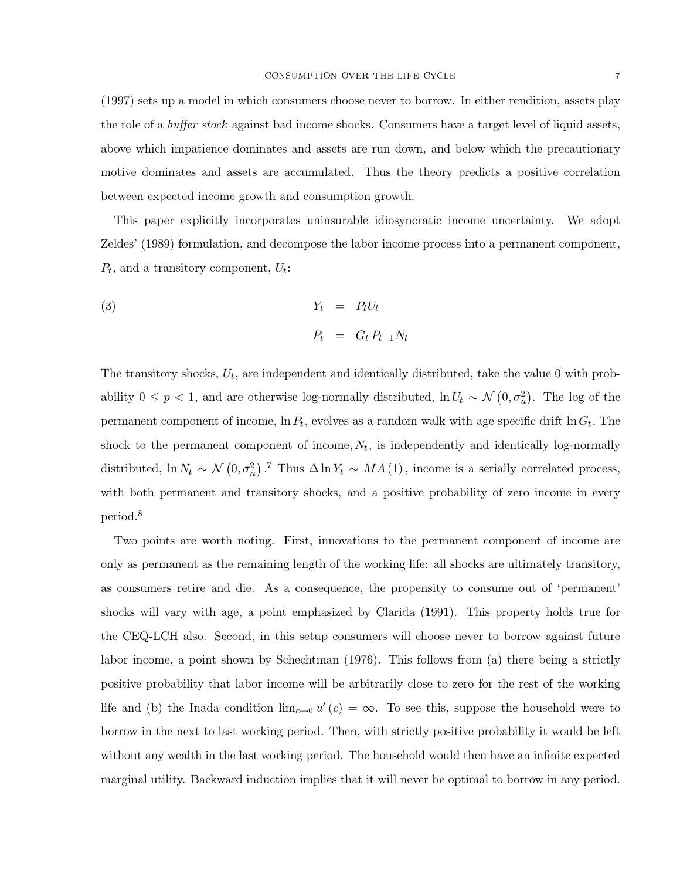+4<<:, vhwy xs d prgho lq zklfk frqvxphuv fkrrvh qhyhu wr eruurz1 Lq hlwkhu uhqqlwlrq/ dvvhwy sod wkh uroh ri dex hu ywrfn didlgyw edg lgfrph ykrfny1 Frgyxphuy kdyh d wdujhw ohyho ri oltxlg dyyhwy/ deryh zklfk lpsdwlhgfh grplgdwhy dgg dyvhwy duh uxg grzg/ dgg ehorz zklfk wkh suhfdxwlrgdul prwlyh arpigdwhy dag dyyhwy duh dffxpxodwha1 Wkxy wkh wkhruj suhalfwy d srylwlyh fruuhodwlra ehwzhhq h{shfwhg lqfrph jurzwk dqg frqvxpswlrq jurzwk1

Wkly sdshu h{solflwo| lqfrusrudwhy xqlqvxudeoh lqlrv|qfudwlf lqfrph xqfhuwdlqw|1 Zh dqrsw lhoghv\* +4<;<, irupxodwlrq/dqq ghfrpsrvh wkh oderu lqfrph surfhvv lqwr d shupdqhqw frpsrqhqw/  $S_l$  >dgg d wudqvlwru| frpsrqhqw/ $X_l$  =

$$
+6, \qquad \qquad \backslash_{\vert} \quad \text{ as } S_{\vert}X_{\vert} \\ S_{\vert} \quad \text{as } J_{\vert}S_{\vert 3}.Q_{\vert}
$$

Wkh wudgvlwrul vkrfnoX<sub>i</sub>/ duh lgghshgghgw dgg lghgwlfdool glvwulexwhg/ wdnh wkh ydoxh 3 zlwk sure0 delolw| 3 s ? 4>dqg duh rwkhuzlvh orj0qrupdoo| glvwulexwhgXpq Q 3>  $^2$  1 Wkh orj ri wkh shupdqhqw frpsrqhqw ri lqfrph/ oq S<sub>I</sub>/ hyroyhv dv d udqgrp zdon zlwk djh vshfl f guliw oq <sub>I</sub>=Wkh vkrfn wr wkh shupdghgw frpsrghgw ri lgfrph/ Q<sub>1</sub>/ lv lgghshgghgwol dgg lghgwlfdool orj0grupdool glvwulexwhg/ $\omega q$  Q 3>  $\frac{2}{3}$  = Wkxv oq\<sub>|</sub> PD +4,>lqfrph lv d vhuldoo| fruuhodwhg surfhvv/ zlwk erwk shupdghqw dgg wudgylwru| vkrfny/ dgg d srylwlyh suredelolw| ri }hur lgfrph lg hyhu| shulrg<sup>†1</sup>

Wzr srlawy duh zruwk grwlgi1 lluyw/ lggrydwlrgy wr wkh shupdghaw frpsrghaw ri lgfrph duh rgol dv shupdghqw dv wkh uhpdlglgi ohgjwk ri wkh zrunlgi olih= doo vkrfny duh xowlpdwhol wudgvlwrul dv frgyxphuv uhwluh dgg glh1 Dv d frgyhtxhgfh/ wkh surshgylw| wr frgyxph rxw ri cshupdghgw\* vkrfny zloo ydul zlwk dih/ d srlgw hpskdyl}hg el Fodulgd +4<<4.1 Wkly surshuwl krogy wuxh iru wkh FHT0OFK dovr1 Vhfrqg/ lq wklv vhwxs frqvxphuv zloo fkrrvh qhyhu wr eruurz djdlqvw ixwxuh oderu lgfrph/ d srlgw vkrzg el Vfkhfkwpdg +4<:9,1 Wklv iroorzy iurp +d, wkhuh ehlgj d vwulfwol srvlwlyh suredelolw| wkdw oderu lqfrph zloo eh duelwudulo| forvh wr }hur iru wkh uhvw ri wkh zrunlqj olih dqg +e, wkh Lqdgd frqglwlrq olg  $_f$  x +f, @ 4 1 Wr vhh wklv/ vxssrvh wkh krxvhkrog zhuh wr eruurz Iq wkh qh{w wr odvw zrunlqj shulrg1 Wkhq/ zlwk vwulfwo| srvlwlyh suredelolw| lw zrxoq eh ohiw zlwkrxw dg| zhdowk lg wkh odvw zrunigi shulrg1 Wkh krxvhkrog zrxog wkhg kdyh dg lg glwh h{shfwhg pdujlgdo xwlolw|1 Edfnzdug Iggxfwlrg Ipsolhv wkdw lw zloo ghyhu eh rswlpdo wr eruurz Ig dg| shulrg1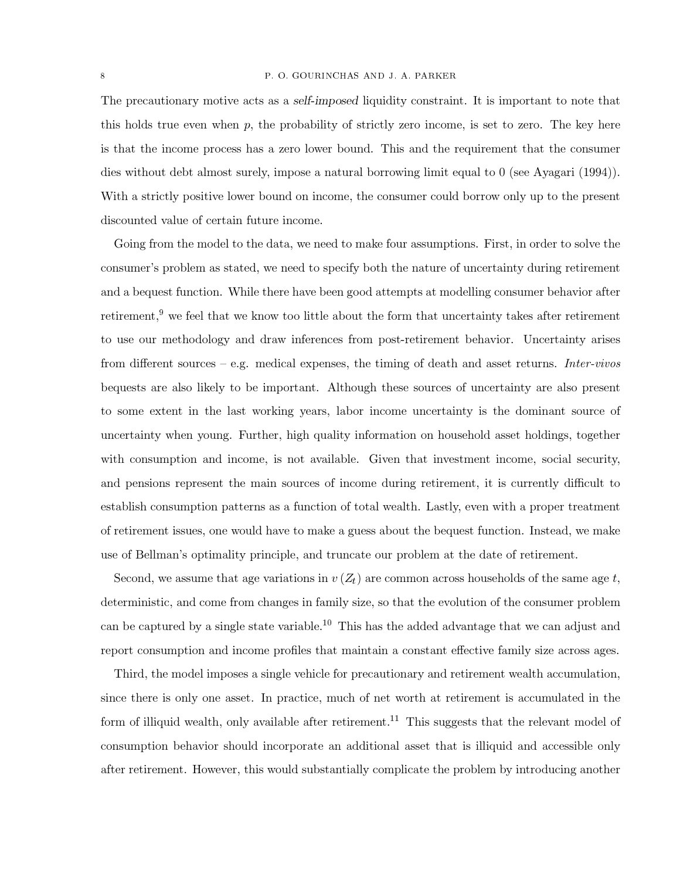Wkh suhfdxwlrqdu| prwlyh dfwy dy dhoi0lpsryhgoltxiglw| frqvwudlqw1 Lw Iv Ipsruwdqw wr qrwh wkdw wkly krogy wuxh hyhq zkhs wkh suredelolw| ri ywulfwo| }hur lqfrph/ ly yhw wr }hur1 Wkh nh| khuh Iv wkdw wkh lgfrph surfhvy kdy d }hur orzhu erxgg1 Wkly dgg wkh uhtxluhphgw wkdw wkh frgyxphu glhy zlwkrxw ghew dopryw yxuhol (psryh d gdwxudo eruurzlgi olplw htxdo wr 3 +vhh Dldidul +4<<7.,1 Zlwk d vwulfwol srvlwlyh orzhu erxqg rq lqfrph/ wkh frqvxphu frxog eruurz rqol xs wr wkh suhvhqw glvfrxqwhg ydoxh ri fhuwdlq ixwxuh lqfrph1

Jrlgj iurp wkh prgho wr wkh gdwd/ zh ghhg wr pdnh irxu dvvxpswlrgv1 lluvw/ lg rughu wr vroyh wkh frqvxphu\*v sureohp dv vwdwhg/ zh qhhg wr vshfli| erwk wkh qdwxuh ri xqfhuwdlqw| gxulqj uhwluhphqw dqg d ehtxhvw ixqfwlrq1 Zkloh wkhuh kdyh ehhq jrrg dwwhpswv dw prghoolqj frqvxphu ehkdylru diwhu uhwluhphqwth ihho wkdw zh nqrz wrr olwwoh derxw wkh irup wkdw xqfhuwdlqw| wdnhv diwhu uhwluhphqy wr xvh rxu phwkrgroril dgg gudz lgihuhgfhy iurp srvw0uhwluhphgw ehkdylru1 Xgfhuwdlgwl dulyhy iurp gl huhgw vrxufhv ~ h1j1 phglfdo h{shqvhv/ wkh wlplgi ri ghdwk dg dyvhw uhwxud ydwhuoylyrv ehtxhvwy duh dovr olnhol wr eh Ipsruwdqw1 Dowkrxjk wkhyh vrxufhy ri xqfhuwdlqwl duh dovr suhvhqw wr vrph h{whaw la wkh odyw zrunigi |hduy/ oderu |qfrph xqfhuwdlaw| Iv wkh qrplqdaw vrxufh ri xqfhuwdlqw| zkhq |rxqj1 kuwkhu/ kljk txdolw| lqirupdwlrq rq krxvhkroq dvvhw kroqlqjv/ wrjhwkhu zlwk frqvxpswlrq dqg lqfrph/ lv qrw dydlodeoh1 Jlyhq wkdw lqyhvwphqw lqfrph/ vrfldo vhfxulwl dgg shqvlrqv uhsuhvhqw wkh pdlq vrxufhv ri lqfrph gxulqj uhwluhphqw/ lw lv fxuuhqwol gl fxow wr hywdeolyk frgyxpswlrg sdwwhugy dy d ixgfwlrg ri wrwdo zhdowk1 Odywol/ hyhg zlwk d surshu wuhdwphgw ri uhwluhphqw lvvxhv/rqh zrxog kdyh wr pdnh d jxhvv derxw wkh ehtxhvw ixqfwlrq1 Lqvwhdg/zh pdnh xvh ri Ehoopdq\*v rswlpdolw| sulqflsoh/ dqg wuxqfdwh rxu sureohp dw wkh gdwh ri uhwluhphqw1

Vhfrqg/ zh dvvxph wkdw djh yduldwlrqv lg +  $\parallel$ , duh frpprq dfurvv krxvhkrogv ri wkh vdph djh v ghwhuplqlvwlf/ dqg frph iurp fkdqjhv lq idplo| vl}h/ vr wkdw wkh hyroxwlrq ri wkh frqvxphu sureohp fdq eh fdswxuhg e| d vlqjoh vwdwh yduldeolWklv kdv wkh dgghg dgydqwdjh wkdw zh fdq dgmxvw dqg uhsruw frqvxpswlrq dqq lqfrph sur ohv wkdw pdlqwdlq d frqvwdqw h hfwlyh idplol vl}h dfurvv djhv1

Wklug/ wkh prgho lpsrvhy d vlgjoh yhklfoh iru suhfdxwlrgdul dgg uhwluhphgw zhdowk dffxpxodwlrg/ vigfh wkhuh iv rgoj rgh dyyhw1 Lg sudfwifh/ pxfk ri ghw zruwk dw uhwiuhphgw iv dffxpxodwhg ig wkh irup ri looltxlg zhdowk/ rgol dydlodeoh diwhu uhwluhphqwikly vxjihywy wkdw wkh uhohydgw prgho ri frqvxpswlrq ehkdylru vkrxog Iqfrusrudwh dq dgglwlrqdo dvvhw wkdw litxlgodqg dffhvvleoh rqo| diwhu uhwluhphqw1 Krzhyhu/ wklv zrxog vxevwdqwldool frpsolfdwh wkh sureohp el lqwurgxflqj dqrwkhu

 $H$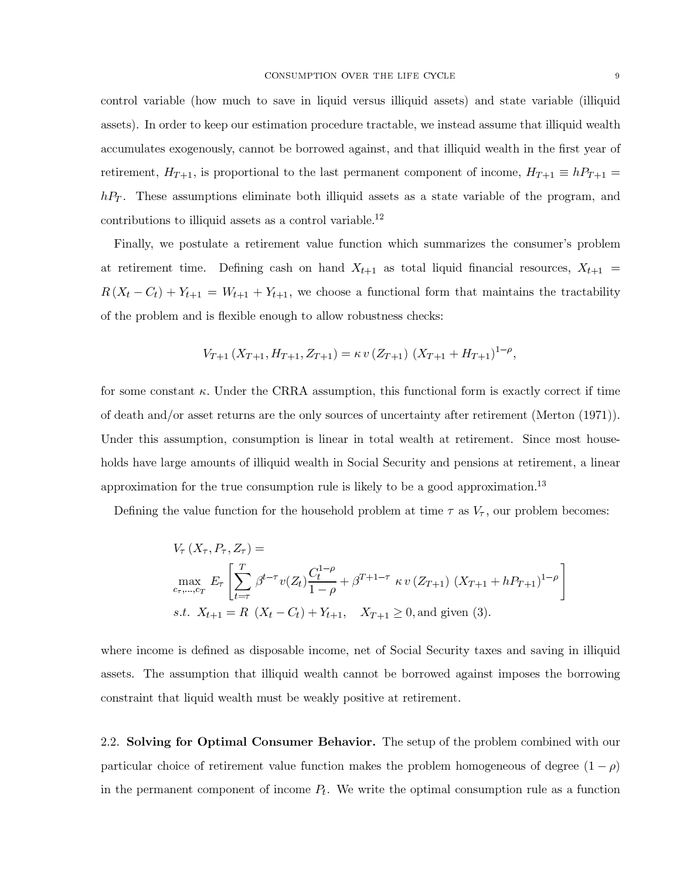frgwuro yduldeoh +krz pxfk wr vdyh Iq oltxlg yhuvxv looltxlg dvvhwv, dgg vwdwh yduldeoh +looltxlg dvyhwy.1 La rughu wr nhhs rxu hywlpdwlrg surfhgxuh wudfwdeoh/ zh lgywhdg dyykpottawigdzwdowk dffxpxodwhy h{rjhqrxvol/ fdqqrw eh eruurzhq djdlqvw/ dqq wkdw looltxlq zhdowk lq wkh uvw |hdu ri uhwluhphqw An. > Iv sursruwlrqdo wr wkh odvw shupdqhqw frpsrqhqw ri lqfrph An.  $\mathrm{kS}_{\text{Ans}}$  @ kS<sub>A</sub>1 Wkhvh dvyxpswlrgy holplgdwh erwk looltxlg dvyhwy dv d vwdwh yduldeoh ri wkh surjudp/dgg frqwulexwlrqv wr looltxlg dvvhwv dv d frqwuro yduloteoh1

llqdool/ zh srvwxodwh d uhwluhphqw ydoxh ixqfwlrq zklfk vxppdul}hv wkh frqvxphu\*v sureohp dw uhwluhphqw wlph1 Gh qlqj fdvk rq kdqg <sub>In</sub>. dv wrwdo oltxlg qdqfldo uhvrxufbv[<sub>In</sub>. @ U +  $\left[\begin{array}{cc}F_1, & \lambda_{1n^*}\end{array}\right]$   $\mathbb{Q}$  Z  $_{\text{In}}$ .  $\lambda_{1n^*}$  > zh fkrrvh d ixqfwlrqdo irup wkdw pdlqwdlqv wkh wudfwdelolw ri wkh sureohp dqg lv h{leoh hqrxjk wr doorz urexywqhvv fkhfnv=

$$
Y_{\text{An}} \cdot \text{H}_{\text{An}} \cdot \text{M}_{\text{An}} \cdot \text{M}_{\text{An}} \cdot \text{M}_{\text{An}} \cdot \text{M}_{\text{An}} \cdot \text{M}_{\text{An}} \cdot \text{M}_{\text{An}} \cdot \text{M}_{\text{An}} \cdot \text{M}_{\text{An}} \cdot \text{M}_{\text{An}} \cdot \text{M}_{\text{An}} \cdot \text{M}_{\text{An}} \cdot \text{M}_{\text{An}} \cdot \text{M}_{\text{An}} \cdot \text{M}_{\text{An}} \cdot \text{M}_{\text{An}} \cdot \text{M}_{\text{An}} \cdot \text{M}_{\text{An}} \cdot \text{M}_{\text{An}} \cdot \text{M}_{\text{An}} \cdot \text{M}_{\text{An}} \cdot \text{M}_{\text{An}} \cdot \text{M}_{\text{An}} \cdot \text{M}_{\text{An}} \cdot \text{M}_{\text{An}} \cdot \text{M}_{\text{An}} \cdot \text{M}_{\text{An}} \cdot \text{M}_{\text{An}} \cdot \text{M}_{\text{An}} \cdot \text{M}_{\text{An}} \cdot \text{M}_{\text{An}} \cdot \text{M}_{\text{An}} \cdot \text{M}_{\text{An}} \cdot \text{M}_{\text{An}} \cdot \text{M}_{\text{An}} \cdot \text{M}_{\text{An}} \cdot \text{M}_{\text{An}} \cdot \text{M}_{\text{An}} \cdot \text{M}_{\text{An}} \cdot \text{M}_{\text{An}} \cdot \text{M}_{\text{An}} \cdot \text{M}_{\text{An}} \cdot \text{M}_{\text{An}} \cdot \text{M}_{\text{An}} \cdot \text{M}_{\text{An}} \cdot \text{M}_{\text{An}} \cdot \text{M}_{\text{An}} \cdot \text{M}_{\text{An}} \cdot \text{M}_{\text{An}} \cdot \text{M}_{\text{An}} \cdot \text{M}_{\text{An}} \cdot \text{M}_{\text{An}} \cdot \text{M}_{\text{An}} \cdot \text{M}_{\text{An}} \cdot \text{M}_{\text{An}} \cdot \text{M}_{\text{An}} \cdot \text{M}_{\text{An}} \cdot \text{M}_{\text{An}} \cdot \text{M}_{\text{An}} \cdot \text{M}_{\text{An}} \cdot \text{M}_{\text{An}} \cdot \text{M}_{\text{An}} \cdot \text{M}_{\
$$

iru vrph frqvwdqw = Xqghu wkh FUUD dvvxpswlrq/ wklv ixqfwlrqdo irup lv h{dfwo| fruuhfw li wlph ri ghdwk dqg2ru dvvhw uhwxuqv duh wkh rqo| vrxufhv ri xqfhuwdlqw| diwhu uhwluhphqw +Phuwrq +4<:4,,1 Xgghu wklv dvvxpswlrg/ frgvxpswlrg lv olghdu lg wrwdo zhdowk dw uhwluhphgw1 Vlgfh prvw krxvh0 krogy kdyh odujh dprxqwy ri looltxlg zhdowk lq Vrfldo Vhfxulw| dqg shqvlrqv dw uhwluhphqw/ d olqhdu dssur{lpdwlrg iru wkh wuxh frqvxpswlrg uxoh lv olnhol wr eh d jrrg dssur{lpdwlrg1

Gh qlqj wkh ydoxh ixqfwlrq iru wkh krxvhkrog sureohp dw wlph dv  $Y > r$ xu sureohp ehfrphv=

$$
Y + \{ 35\} , @. 8\n96\n10\n11\n13 y + \frac{F^{34}}{4}. A^{n*3} y + \frac{H^{n*3}}{4}. A^{n*4}. A^{n*5} y + \{ 4m^{*1} . K^{34} . A^{35} y + \{ 4m^{*2} . K^{34} . A^{35} . A^{36} . A^{37} . A^{38} . A^{39} . A^{30} . A^{31} . A^{32} . A^{33} . A^{34} . A^{35} . A^{36} . A^{37} . A^{38} . A^{39} . A^{30} . A^{31} . A^{32} . A^{33} . A^{34} . A^{35} . A^{36} . A^{37} . A^{38} . A^{39} . A^{30} . A^{31} . A^{32} . A^{33} . A^{34} . A^{35} . A^{36} . A^{37} . A^{38} . A^{39} . A^{30} . A^{31} . A^{32} . A^{33} . A^{34} . A^{35} . A^{36} . A^{37} . A^{38} . A^{39} . A^{30} . A^{31} . A^{32} . A^{33} . A^{34} . A^{35} . A^{36} . A^{37} . A^{38} . A^{39} . A^{30} . A^{31} . A^{32} . A^{33} . A^{34} . A^{35} . A^{36} . A^{37} . A^{38} . A^{39} . A^{30} . A^{31} . A^{32} . A^{33} . A^{34} . A^{35} . A^{36} . A^{37} . A^{38} . A^{39} . A^{30} . A^{31} . A^{32} . A^{33} . A^{34} . A^{35} . A^{36} . A^{37} . A^{38} . A^{39} . A^{31} . A^{32} . A^{33} . A^{34} . A^{35} . A^{36} . A^{37} . A^{38} . A^{39} . A^{30} . A^{31} . A^{32} . A^{33} . A^{34} . A^{35} . A^{36} . A^{37} . A^{38} . A^{39} . A^{30} . A^{31} . A^{3
$$

zkhuh lgfrph Iv gh ghg dv glvsrvdeoh lgfrph/ ghw ri Vrfldo Vhfxulw| wd{hv dgg vdylgj lg looltxlg dyyhwy1 Wkh dyyxpswlra wkdw looltxla zhdowk fdaarw eh eruurzha didlayw lpsryhy wkh eruurzlai frgywudlgw wkdw oltxig zhdowk pxyw eh zhdnol srylwiyh dw uhwluhphgw1

5151Vroylgi iru Rswlpdo Frgyxphu Ehkdylru1 Wkh vhwxs ri wkh sureohp frpelghg zlwk rxu sduwlfxodu fkrlfh ri uhwluhphqw ydoxh ixqfwlrq pdnhv wkh sureohp krprjhqhrxv ri ghjuhh +4, lq wkh shupdqhqw frpsrqhqw ri lqfrph S<sub>I</sub>1 Zh zulwh wkh rswlpdo frqvxpswlrq uxoh dv d ixqfwlrq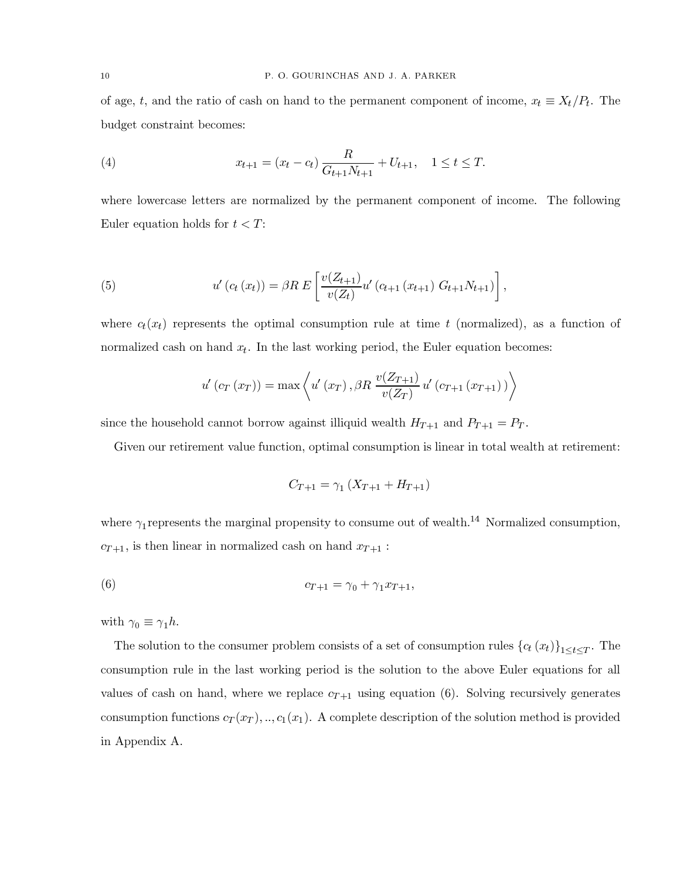ri djh/ w dqg wkh udwlr ri fdvk rq kdqg wr wkh shupdqhqw frpsrqhqw ri lqfrph/{ $\left\{\right.$  [  $\right|$  @  $\left\}$  Wkh exgihw fravwudlaw ehfrphy=

+7, 
$$
\{ |_{n^{\bullet}} \otimes f | \quad f |, \frac{U}{J_{|n^{\bullet}} Q_{|n^{\bullet}}} . \quad X_{|n^{\bullet}} > 4 \quad w \quad W =
$$

zkhuh orzhufdvh ohwwhuv duh qrupdol}hg e| wkh shupdqhqw frpsrqhqw ri lqfrph1 Wkh iroorzlqj Hxohu htxdwlrq krogv iruw ? W

$$
+8, \hspace{1.5cm} x \cdot f_{|} + \left\{ | \; , \; \textcircled{1} \; \cup \; H_{1} \; \textcircled{1} \; \textcircled{1} \; H_{1} \; \textcircled{1} \; \textcircled{1} \; \textcircled{1} \; \textcircled{1} \right\} \; \times \; +6, \hspace{1.5cm} | \; \textcircled{1} \; \textcircled{1} \; \textcircled{1} \; \textcircled{1} \; \textcircled{1} \; \textcircled{1} \; \textcircled{1} \; \textcircled{1} \; \textcircled{1} \; \textcircled{1} \; \textcircled{1} \; \textcircled{1} \; \textcircled{1} \; \textcircled{1} \; \textcircled{1} \; \textcircled{1} \; \textcircled{1} \; \textcircled{1} \; \textcircled{1} \; \textcircled{1} \; \textcircled{1} \; \textcircled{1} \; \textcircled{1} \; \textcircled{1} \; \textcircled{1} \; \textcircled{1} \; \textcircled{1} \; \textcircled{1} \; \textcircled{1} \; \textcircled{1} \; \textcircled{1} \; \textcircled{1} \; \textcircled{1} \; \textcircled{1} \; \textcircled{1} \; \textcircled{1} \; \textcircled{1} \; \textcircled{1} \; \textcircled{1} \; \textcircled{1} \; \textcircled{1} \; \textcircled{1} \; \textcircled{1} \; \textcircled{1} \; \textcircled{1} \; \textcircled{1} \; \textcircled{1} \; \textcircled{1} \; \textcircled{1} \; \textcircled{1} \; \textcircled{1} \; \textcircled{1} \; \textcircled{1} \; \textcircled{1} \; \textcircled{1} \; \textcircled{1} \; \textcircled{1} \; \textcircled{1} \; \textcircled{1} \; \textcircled{1} \; \textcircled{1} \; \textcircled{1} \; \textcircled{1} \; \textcircled{1} \; \textcircled{1} \; \textcircled{1} \; \textcircled{1} \; \textcircled{1} \; \textcircled{1} \; \textcircled{1
$$

zkhuh f<sub>|</sub>+{<sub>|</sub>, uhsuhvhqwv wkh rswlpdo frqvxpswlrq uxoh dw wwphqrupdol}hg,/ dv d ixqfwlrq ri qrupdol}hg fdvk rq kdqg { 1 Lq wkh odvw zrunlqj shulrg/ wkh Hxohu htxdwlrq ehfrphv=

$$
x f_A f_{A1}, \text{Q} p d\{x f_{A1} > U \frac{y f_{A1} a_{1} \cdot x}{y f_{A1}} x f_{A1} \cdot f_{A1} \cdot f_{A1} \cdot f_{A1} \cdot f_{A1} \cdot f_{A1} \cdot f_{A1} \cdot f_{A1} \cdot f_{A1} \cdot f_{A1} \cdot f_{A1} \cdot f_{A1} \cdot f_{A1} \cdot f_{A1} \cdot f_{A1} \cdot f_{A1} \cdot f_{A1} \cdot f_{A1} \cdot f_{A1} \cdot f_{A1} \cdot f_{A1} \cdot f_{A1} \cdot f_{A1} \cdot f_{A1} \cdot f_{A1} \cdot f_{A1} \cdot f_{A1} \cdot f_{A1} \cdot f_{A1} \cdot f_{A1} \cdot f_{A1} \cdot f_{A1} \cdot f_{A1} \cdot f_{A1} \cdot f_{A1} \cdot f_{A1} \cdot f_{A1} \cdot f_{A1} \cdot f_{A1} \cdot f_{A1} \cdot f_{A1} \cdot f_{A1} \cdot f_{A1} \cdot f_{A1} \cdot f_{A1} \cdot f_{A1} \cdot f_{A1} \cdot f_{A1} \cdot f_{A1} \cdot f_{A1} \cdot f_{A1} \cdot f_{A1} \cdot f_{A1} \cdot f_{A1} \cdot f_{A1} \cdot f_{A1} \cdot f_{A1} \cdot f_{A1} \cdot f_{A1} \cdot f_{A1} \cdot f_{A1} \cdot f_{A1} \cdot f_{A1} \cdot f_{A1} \cdot f_{A1} \cdot f_{A1} \cdot f_{A1} \cdot f_{A1} \cdot f_{A1} \cdot f_{A1} \cdot f_{A1} \cdot f_{A1} \cdot f_{A1} \cdot f_{A1} \cdot f_{A1} \cdot f_{A1} \cdot f_{A1} \cdot f_{A1} \cdot f_{A1} \cdot f_{A1} \cdot f_{A1} \cdot f_{A1} \cdot f_{A1} \cdot f_{A1} \cdot f_{A1} \cdot f_{A1} \cdot f_{A1} \cdot f_{A1} \cdot f_{A1} \cdot f_{A1} \cdot f_{A1} \cdot f_{A1} \cdot f_{A1} \cdot f_{A1} \cdot f_{A1} \cdot f_{A1} \cdot f_{A1} \cdot f_{A1} \cdot f_{A1} \cdot f_{A1} \cdot f_{A1} \cdot f_{A1} \cdot
$$

vlqfh wkh krxvhkrog fdqqrw eruurz djdlqvw looltxlg zhdowk An. dqg SAn. @ SA=

Jlyhq rxu uhwluhphqw ydoxh ixqfwlrq/ rswlpdo frqvxpswlrq lv olqhdu lq wrwdo zhdowk dw uhwluhphqw=

$$
F_{An•} \otimes .\nparallel_{An•} . K_{An•},
$$

zkhuh "uhsuhvhqwv wkh pdujlqdo surshqvlw| wr frqvxph rxw ri zhdowkQrupdol}hg frqvxpswlrq/  $f_{An\bullet}$  >Iv wkhq olqhdu lq qrupdol}hg fdvk rq kdq $\oint_{An\bullet}$  =

$$
+9, \qquad f_{\text{An}} \otimes f \qquad \{A_{\text{n}}\} \qquad \text{and} \qquad
$$

zlwk $_{f}$  $\cdot$ k1

Wkh vroxwlrq wr wkh frqvxphu sureohp frqvlvwv ri d vhw ri frqvxpswlrq uxohn + [,j, sisA<sup>1</sup> Wkh frqvxpswlrq uxoh lq wkh odvw zrunlqj shulrg Iv wkh vroxwlrq wr wkh deryh Hxohu htxdwlrqv iru doo ydoxhv ri fdvk rq kdqg/ zkhuh zh uhsodfhf An. xvlqj htxdwlrq +9,1 Vroylqj uhfxuvlyho| jhqhudwhv frqvxpswlrq ixqfwlrqv  $f_A + f_A$ ,  $\geq -\frac{1}{2}$ , 1 D frpsohwh ghvfulswlrq ri wkh vroxwlrq phwkrg lv surylghg lg Dsshqql{ D1

$$
\bullet \mathfrak{f}
$$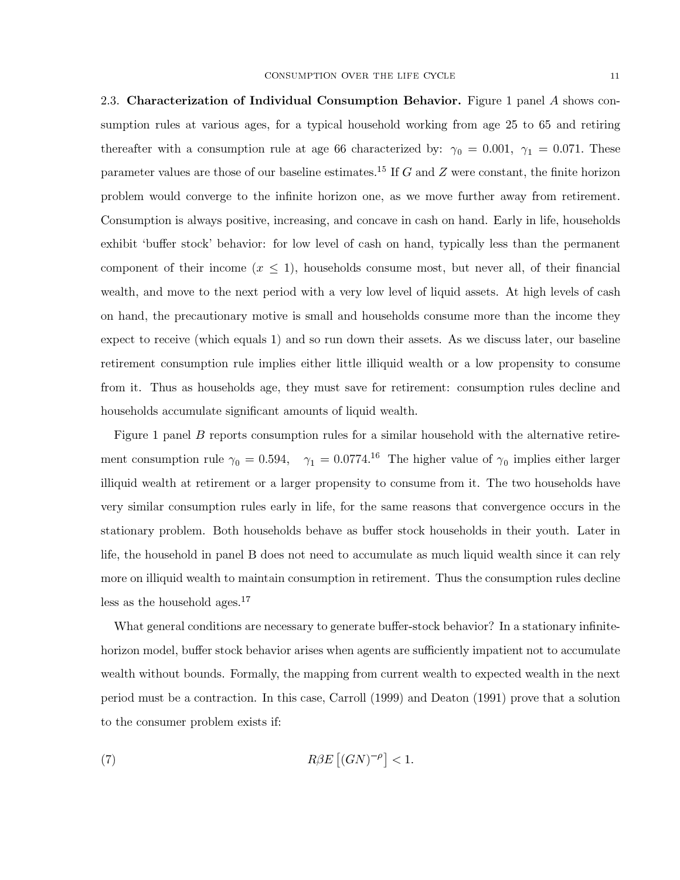5161Fkdudfwhul}dwlrq ri Lqglylgxdo Fr qvxpswlrq Ehkdylru1 Ilixuh 4 sdgho D vkrzy frg0 vxpswlrg uxohy dw ydulrxy dihy/ iru d wlslfdo krxyhkrog zrunlgi iurp dih 58 wr 98 dgg uhwlulgi wkhuhdiwhu zlwk d fravxpswlra uxoh dw dih 99 fkdudfwhul}ha  $q = 2$  334 . @ 33:4=Wkhvh sdudphwhu ydoxhy duh wkryh ri rxu edyholgh hywlpdwhytdgg | zhuh frgywdgw/wkh glwh krul}rg sureohp zrxog frqyhujh wr wkh lq qlwh krul}rq rqh/ dv zh pryh ixuwkhu dzd| iurp uhwluhphqw1 Frgyxpswlrg Iv dozd|v srvlwlyh/ lgfuhdvlgj/ dgg frgfdyh Ig fdvk rg kdgg1 Hduo| Ig olih/ krxvhkrogy h{klelw cex hu vwrfn\* ehkdylru= iru orz ohyho ri fdvk rq kdqg/ w|slfdoo| ohvv wkdq wkh shupdqhqw frpsrghaw ri wkhlu lgfrph +  $\{$ 4,/ krxvhkrogy frqvxph prvw/ exw qhyhu doo/ ri wkhlu qdqfldo zhdowk/ dqg pryh wr wkh qh{w shulrg zlwk d yhu| orz ohyho ri oltxlg dvvhwv1 Dw kljk ohyhov ri fdvk rq kdqg/ wkh suhfdxwlrqdu| prwlyh Iv vpdoo dqg krxvhkrogy frqvxph pruh wkdq wkh lqfrph wkh| h{shfw wr uhfhlyh +zklfk htxdov 4, dgg yr uxg grzg wkhlu dyvhwy1 Dy zh glyfxyy odwhu/ rxu edyholgh uhwluhphqw frqvxpswlrq uxoh lpsolhy hlwkhu olwwoh looltxlg zhdowk ru d orz surshqvlwl wr frqvxph jurp Iw1 Wkxy dy krxyhkrogy dih/ wkh| pxyw ydyh iru uhwluhphgw= frgyxpswlrg uxohy ghfolgh dgg krxvhkrogy dffxpxodwh vligl fdgw dprxgwy ri oltxlg zhdowk1

lijxuh 4 sdgho E uhsruwy frgyxpswlrg uxohy iru d vlplodu krxyhkrog zlwk wkh dowhugdwlyh uhwluh0 phqw frqvxpswlrq uxoh  $_{\rm f}$  @ 38<7> . @ 33::71<sup>o</sup> Wkh kljkhu ydoxh ri  $_{\rm f}$  Ipsolhv hlwkhu odujhu looltxlg zhdowk dw uhwluhphqw ru d odujhu surshqvlw| wr frqvxph iurp lw1 Wkh wzr krxvhkrogv kdyh yhul viplodu frgyxpswirg uxohy hduol ig olih/ iru wkh vdph uhdvrgy wkdw frgyhujhgfh rffxuv ig wkh vwdwlrqdu| sureohp1 Erwk krxvhkrogv ehkdyh dv ex hu vwrfn krxvhkrogv lq wkhlu |rxwk1 Odwhu lq olih/ wkh krxvhkrog lg sdgho E grhy grw ghhg wr dffxpxodwh dv pxfk oltxlg zhdowk vlgfh lw fdg uhol pruh rg looltxig zhdowk wr pdigwdig frgyxpswirg ig uhwiuhphgw1 Wkxy wkh frgyxpswirg uxohy ghfolgh ohvv dv wkh krxvhkrog dinv1

Zkdw jhghudo fraglwlrgy duh ghfhyydul wr jhghudwh ex hu0ywrfn ehkdylruB Lg d ywdwlrgdul lg glwh0 krul}rg prgho/ ex hu vwrfn ehkdylru dulvhv zkhq djhqwv duh vx flhqwo| Ipsdwlhqw qrw wr dffxpxodwh zhdowk zlwkrxw erxggy1 lrupdool/ wkh pdsslgi iurp fxuuhgw zhdowk wr h{shfwhg zhdowk lg wkh gh{w shulrg pxvw eh d frgwudfwlrg1 Lg wklv fdvh/ Fduuroo +4<<<. dgg Ghdwrg +4<<4. suryh wkdw d vroxwlrg wr wkh frqvxphu sureohp h{lvwv li=

U H  $+$ JQ  $^{34}$  ? 4=

 $+$ :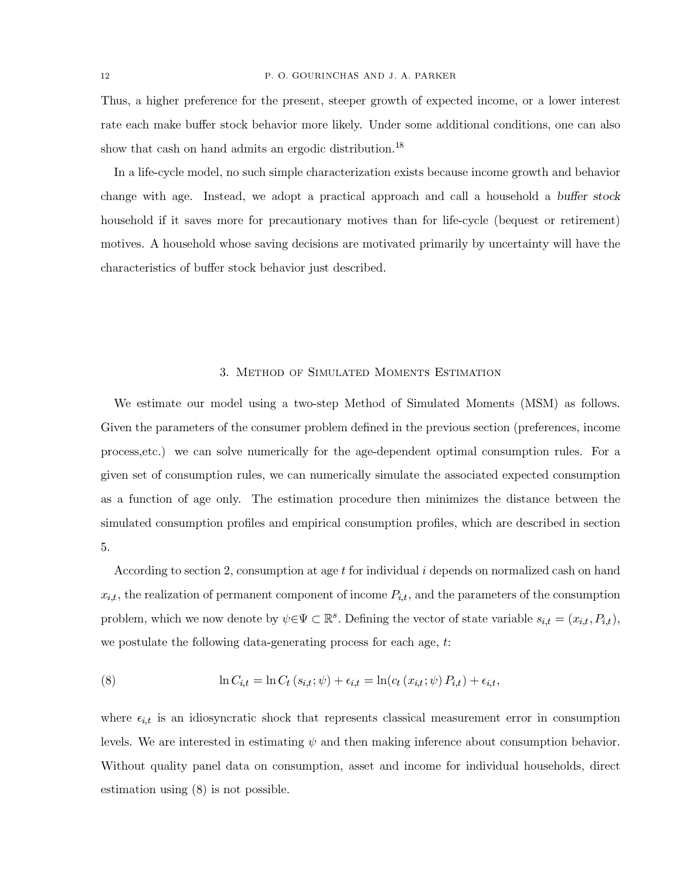Wkxv/ d kljkhu suhihuhqfh iru wkh suhvhqw/ vwhhshu jurzwk ri h{shfwhg lqfrph/ ru d orzhu lqwhuhvw udwh hdfk pdnh ex hu vwrfn ehkdylru pruh olnhol1 Xgghu vrph dgglwlrqdo frqglwlrqv/ rqh fdq dovr vkrz wkdw fdvk rg kdgg dgplwy dg hujrglf glywulexwlrg<sup>h</sup>

Lg d olih0flfoh prgho/ gr vxfk vlpsoh fkdudfwhul}dwlrg h{lywy ehfdxyh lgfrph jurzwk dgg ehkdylru fkdqjh zlwk djh1 Lqvwhdg/ zh dgrsw d sudfwlfdo dssurdfk dqg fdoo d krxvhkroged hu vwrfn krxvhkrog li lw vdyhv pruh iru suhfdxwlrqdu| prwlyhv wkdq iru olih0f|foh +ehtxhvw ru uhwluhphqw, prwlyhv1 D krxvhkrog zkrvh vdylqj ghflvlrqv duh prwlydwhg sulpdulo| e| xqfhuwdlqw| zloo kdyh wkh fkdudfwhulvwlfv ri ex hu vwrfn ehkdylru mxvw ghvfulehg1

### 61 •j| Na Nu 7 6, B|ja •N6jA|t .t| 6B| NA

Zh hvwlpdwh rxu prgho xvlqj d wzr0vwhs Phwkrg ri Vlpxodwhg Prphqwv +PVP, dv iroorzv1 Jlyhg wkh sdudphwhuv ri wkh frgvxphu sureohp gh ghg lg wkh suhylrxy vhfwlrg +suhihuhgfhv/ lgfrph surfhvv/hwf1, zh fdq vroyh qxphulfdool iru wkh djh0ghshqghqw rswlpdo frqvxpswlrq uxohv1 lru d jlyhg vhw ri frgyxpswlrg uxohy/ zh fdg gxphulfdool vlpxodwh wkblvvrfldwhg h{shfwhg frgypswlrg dv d ixqfwlrq ri djh rqo|1 Wkh hvwlpdwlrq surfhgxuh wkhq plqlpl}hv wkh glvwdqfh ehwzhhq wkh vipxodwhg frqvxpswirq sur ohv dqg hpsluifdo frqvxpswirq sur ohv/zklfk duh ghvfulehg iq vhfwirq 81

Dffruglgj wr yhfwlrg 5/ frgyxpswlrg dw djh wiru lgglylgxdo I ghshggy rg grupdol}hg fdyk rg kdgg  $\{c_1/$  wkh uhdol}dwlrq ri shupdqhqw frpsrqhqw ri lqfrph S $c_1/$  dqg wkh sdudphwhuv ri wkh frqvxpswlrq sureohp/ zklfk zh qrz ghqrwh e| #5 U<sup>r</sup>=Gh qlqj wkh yhfwru ri vwdwh ydulde $\phi$ l<sub>l</sub> @  $\phi$ <sub>cl</sub>>S<sub>cl</sub>,/ zh srvwxodwh wkh iroorzigj gdwd0jhqhudwigj surfhvv iru hdfk di

$$
\mathsf{a} \mathsf{b}; \qquad \qquad \mathsf{a} \mathsf{c} \mathsf{b} \qquad \qquad \mathsf{a} \mathsf{c} \mathsf{d} \mathsf{c} \mathsf{d} \mathsf{c} \mathsf{d} \mathsf{d} \mathsf{c} \mathsf{d} \mathsf{d} \mathsf{c} \mathsf{d} \mathsf{d} \mathsf{d} \mathsf{d} \mathsf{d} \mathsf{d} \mathsf{d} \mathsf{d} \mathsf{d} \mathsf{d} \mathsf{d} \mathsf{d} \mathsf{d} \mathsf{d} \mathsf{d} \mathsf{d} \mathsf{d} \mathsf{d} \mathsf{d} \mathsf{d} \mathsf{d} \mathsf{d} \mathsf{d} \mathsf{d} \mathsf{d} \mathsf{d} \mathsf{d} \mathsf{d} \mathsf{d} \mathsf{d} \mathsf{d} \mathsf{d} \mathsf{d} \mathsf{d} \mathsf{d} \mathsf{d} \mathsf{d} \mathsf{d} \mathsf{d} \mathsf{d} \mathsf{d} \mathsf{d} \mathsf{d} \mathsf{d} \mathsf{d} \mathsf{d} \mathsf{d} \mathsf{d} \mathsf{d} \mathsf{d} \mathsf{d} \mathsf{d} \mathsf{d} \mathsf{d} \mathsf{d} \mathsf{d} \mathsf{d} \mathsf{d} \mathsf{d} \mathsf{d} \mathsf{d} \mathsf{d} \mathsf{d} \mathsf{d} \mathsf{d} \mathsf{d} \mathsf{d} \mathsf{d} \mathsf{d} \mathsf{d} \mathsf{d} \mathsf{d} \mathsf{d} \mathsf{d} \mathsf{d} \mathsf{d} \mathsf{d} \mathsf{d} \mathsf{d} \mathsf{d} \mathsf{d} \mathsf{d} \mathsf{d} \mathsf{d} \mathsf{d} \mathsf{d} \mathsf{d} \mathsf{d} \mathsf{d} \mathsf{d} \mathsf{d} \mathsf{d} \mathsf{d} \mathsf{d} \mathsf{d} \mathsf{d} \mathsf{d} \mathsf{d} \mathsf{d} \mathsf{d} \mathsf{d} \mathsf{d} \mathsf{d} \mathsf{d} \mathsf{d} \mathsf{d} \mathsf{d} \mathsf{
$$

zkhuh c| Iv dq IgIrv|qfudwlf vkrfn wkdw uhsuhvhqwv fodvvlfdo phdvxuhphqw huuru Iq frqvxpswlrq ohyhov1 Zh duh lqwhuhvwhq lq hvwlpewdaig wkhq pdnlqi lqihuhqfh derxw frqvxpswlrq ehkdylru1 Zlwkrxw txdolw| sdqho gdwd rq frqvxpswlrq/ dvvhw dqg lqfrph iru lqglylgxdo krxvhkrogv/ gluhfw hvwlpdwlrg xvlgi +;, lv grw srvvleoh1

 $\cdot$ 2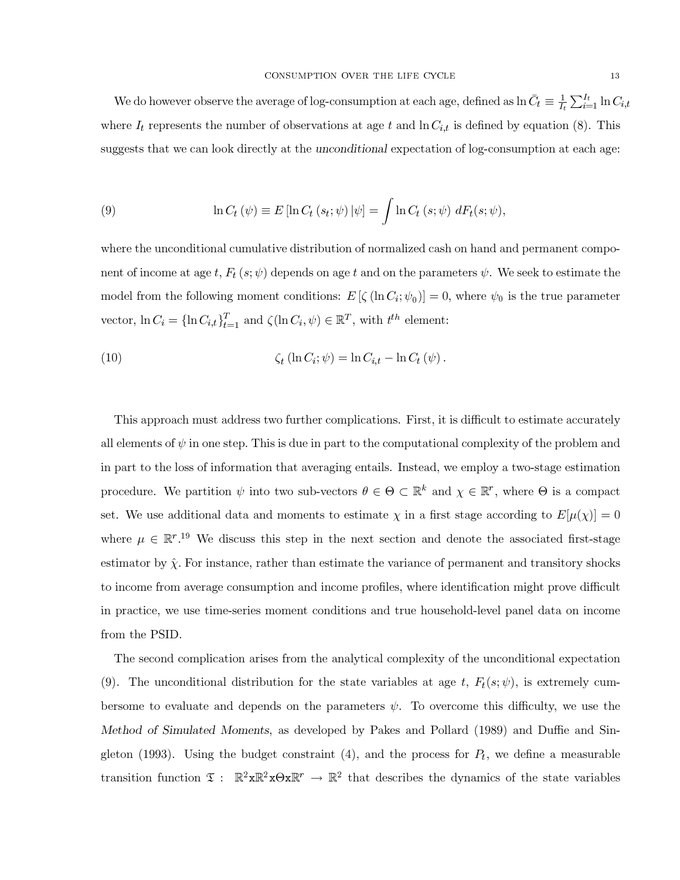Zh gr krzhyhu revhuyh wkh dyhudjh ri orj0frqvxpswlrq dw hdfk djh/gh qhg dv oqF<sub>l</sub>  $\frac{1}{U}$  S  $\frac{1}{V}$  oqF <sub>cl</sub> zkhuh L<sub>i</sub> uhsuhvhqwv wkh qxpehu ri revhuydwlrqv dwwdilqg oqF cl v gh qhg el htxdwlrq +;,1 Wklv vxjjhvwv wkdw zh fdq orrn gluhfwol dw wddfrgglwlrgdo h{shfwdwlrg ri orj0frgvxpswlrg dw hdfk djh=

$$
+<, \qquad \qquad \text{oqF}_\text{I} \text{ #,} \quad \text{H} \text{ oqF}_\text{I} \text{ +v}_\text{I} \text{ #, r#} \text{ @} \quad \text{oqF}_\text{I} \text{ +v} \text{ #, gI}_\text{I} \text{ +v} \text{ #,}>
$$

zkhuh wkh xqfrqqlwlrqdo fxpxodwlyh qlvwulexwlrq ri qrupdol}hq fdvk rq kdqq dqq shupdqhqw frpsr0 qhqw ri lqfrph dw dih w> l +v>#, ghshqgv rq dih wdqg rq wkh sdudphwhu#d Zh vhhn wr hvwlpdwh wkh prgho iurp wkh iroorzigi prphqw frqglwlrqv=  $H \wedge +oF \neq f$ , @ 3>zkhuh #f lv wkh wuxh sdudphwhu yhfwru/ od F @ i od F c|j | a dqg +od F > #, 5 U<sup>A</sup>/ zlwk w hohphqw=

$$
+43, \qquad \qquad +\text{of} \neq 0, \text{ or } \text{c}_1 \quad \text{of} \quad +43.
$$

Wkly dssurdfk pxyw dgguhyy wzr ixuwkhu frpsolfdwlrgy1 lluyw/ lw ly gl fxow wr hywlpdwh dffxudwhol doo hohphqwy#ilq rqh ywhs1 Wkly ly gxh lq sduw wr wkh frpsxwdwlrqdo frpsoh{lw| ri wkh sureohp dqq lg sduw wr wkh orvv ri lgirupdwlrg wkdw dyhudjlgj hgwdlowwhdg/ zh hpsor| d wzr0vwdjh hvwlpdwlrg  $U^8$  dgg " 5  $U^0$ >zkhuh Iv d frpsdfw surfhgxuh1 Zh sduwlwlrg# lgwr wzr vxe0yhfwruv 5 vhw1 Zh xvh dgglwlrgdo gdwd dgg prphgwv wr hvwlpdwohd uvw vwdih dffruglgi wr H^ +", ` @ 3 5 U<sup>o</sup> <sup>±</sup> Zh glvfxvv wklv vwhs lq wkh qh{w vhfwlrq dqg ghqrwh wkh dvvrfldwhg uvw0vwdjh zkhuh hvwlpdwru e|"a lru lqvwdqfh/ udwkhu wkdq hvwlpdwh wkh yduldqfh ri shupdqhqw dqg wudqvlwru| vkrfnv wr lgfrph iurp dyhudjh frqvxpswlrq dqg lqfrph sur ohv/zkhuh lghqwl fdwlrq pljkw suryh gl fxow Iq sudfwlfh/zh xvh wlph0vhulhv prphqw frqglwlrqv dqg wuxh krxvhkrog0ohyho sdqho gdwd rq lqfrph iurp wkh SVLG1

Wkh vhfrqg frpsolfdwlrq dulvhv iurp wkh dqdo|wlfdo frpsoh{lw| ri wkh xqfrqglwlrqdo h{shfwdwlrq +<,1 Wkh xqfrqqlwlrqdo glvwulexwlrq iru wkh vwdwh yduldeohv ww dibb#,/ lv h{wuhpho| fxp0 ehuvrph wr hydoxdwh dgg ghshqgv rq wkh sdudphwhuvWr ryhufrph wklv glfxowl/ zh xvh wkh Phwkrg ri Vlpxodwhg Prphqwv/ dv ghyhorshg el Sdnhv dgg Sroodug +4<;<, dgg Gx h dgg Vlg0 johwrq +4<<6,1 Xvlqj wkh exgjhw frqvwudlqw +7,/ dqg wkh surfhvSinuzh gh qh d phdvxudeoh wudqvlwlrq ixqfwlrq9 =  $U^2\{U^2\}$  {  $U^{\circ}$  \$  $U^2$  wkdw ghvfulehv wkh g|qdplfv ri wkh vwdwh yduldeohv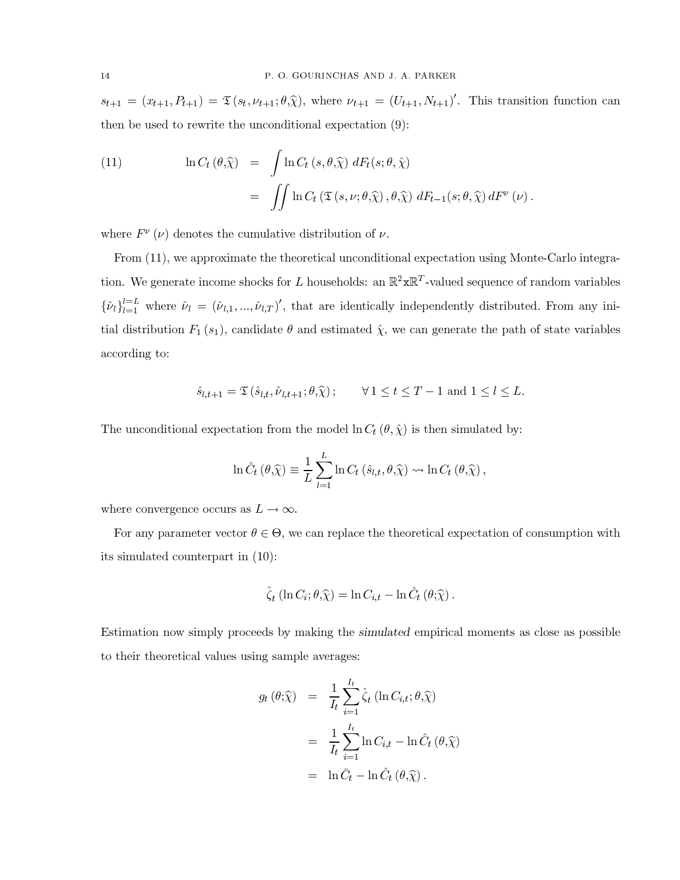$v_{\vert n}$ . @  $f_{\vert n}$ ,  $\int_{n}$ , @ 9 + $v_{\vert}$ ,  $\vert n$ ,  $\Rightarrow$  $\frac{1}{2}$ , zkhuh  $\vert n$ . @  $\frac{1}{2}$  + $\vert n$ ,  $\vert n$ . Wklv wudqvlwlrq ixqfwlrq fdq wkhq eh xvhg wr uhzulwh wkh xqfrqglwlrqdo h{shfwdwlrq +<,=

+44, 
$$
0qF_1+3b
$$
,  $Q_0F_1+3b$ ,  $qF_1+3b$ ,  $Q_1+4b$ ,  $gF_1+4b$ ,  $gF_1+4b$ ,  $gF_1+4b$ ,  $gF_1+4b$ ,  $gF_1+4b$ ,  $gF_1+4b$ ,  $gF_1+4b$ ,  $gF_1+4b$ ,  $gF_1+4b$ ,  $gF_1+4b$ ,  $gF_1+4b$ ,  $gF_1+4b$ ,  $gF_1+4b$ ,  $gF_1+4b$ ,  $gF_1+4b$ ,  $gF_1+4b$ ,  $gF_1+4b$ ,  $gF_1+4b$ ,  $gF_1+4b$ ,  $gF_1+4b$ ,  $gF_1+4b$ ,  $gF_1+4b$ ,  $gF_1+4b$ ,  $gF_1+4b$ ,  $gF_1+4b$ ,  $gF_1+4b$ ,  $gF_1+4b$ ,  $gF_1+4b$ ,  $gF_1+4b$ ,  $gF_1+4b$ ,  $gF_1+4b$ ,  $gF_1+4b$ ,  $gF_1+4b$ ,  $gF_1+4b$ ,  $gF_1+4b$ ,  $gF_1+4b$ ,  $gF_1+4b$ ,  $gF_1+4b$ ,  $gF_1+4b$ ,  $gF_1+4b$ ,  $gF_1+4b$ ,  $gF_1+4b$ ,  $gF_1+4b$ ,  $gF_1+4b$ ,  $gF_1+4b$ ,  $gF_1+4b$ ,  $gF_1+4b$ ,  $gF_1+4b$ ,  $gF_1+4b$ ,  $gF_1+4b$ ,  $gF_1+4b$ ,  $gF_1+4b$ ,  $gF_1+4b$ ,  $gF_1+4b$ ,  $gF$ 

zkhuh l  $D_+$ , ghqrwhv wkh fxpxodwlyh glvwulexwlra  $\#$ 

lurp +44./zh dssur{lpdwh wkh wkhruhwlfdo xgfrgglwlrgdo h{shfwdwlrg xvlgi Prgwh0Fduor lgwhjud0 wlrq1 Zh jhqhudwh lqfrph vkrfnv iru O krxvhkrogy= dd J<sup>2</sup>{ U<sup>A</sup> 0ydoxhg vhtxhqfh ri udqgrp yduldeohv i a j ku zkhuh a @ +a > ==a z, / wkdw duh lghqwlfdool lqghshqghqwol glvwule xwpgdql lql0 wldo glvwulexwltq +v./ fdqglgdwh dqg hvwlpdwhg/azh fdq jhqhudwh wkh sdwk ri vwdwh yduldeohv dffruglqj wr=

$$
\mathbf{a}_{\text{cln}} \cdot \text{ @9}\text{ }+\text{ }a_{\text{cl}}\text{ } >a_{\text{cln}} \text{ }>>\text{ }b,\text{ }>
$$

Wkh xqfrqglwlrqdo h{shfwdwlrq iurp wkh prgho on +>a, lv wkhq vlpxodwhg e|=

$$
Oq^{[2]} + \frac{1}{2}, \quad \frac{4}{9} \int_{\frac{1}{3}}^{1} OqF_1 + \frac{4}{9} q^{3} \cdot \frac{1}{2}, \quad \frac{4}{9} \int_{0}^{1} OqF_1 + \frac{1}{2} q^{3} \cdot \frac{1}{2}
$$

zkhuh frqyhujhqfh rffxuv dv O\$4 1

Iru dal sdudphwhu yhfwru 5 / zh fdq uhsodfh wkh wkhruhwlfdo h{shfwdwlrg ri frgyxpswlrg zlwk lwy vlpxodwhg frxqwhusduw lg +43,=

$$
a_1 + oqF > \frac{1}{2}, \text{ } @ \text{ } oqF_{\text{ }cl } \text{ } oqfR_1 + \frac{1}{2},
$$

Hvwlpdwlrq qrz vlpsol surfhhgy el pdnlqi wkh vlpxodwhghpslulfdo prphqwy dv forvh dv srvvleoh wr wkhlu wkhruhwlfdo ydoxhv xvlqi vdpsoh dyhudjhv=

$$
j_{\parallel} + \dot{x}_{\parallel}, \quad \text{or} \quad \frac{4}{l_{\parallel}} \left.\begin{matrix} l^{\parallel} \\ l^{\parallel} \end{matrix}\right| + o\left(\frac{1}{l_{\parallel}}\right) \times \dot{x}_{\parallel},
$$
\n
$$
\text{or} \quad \frac{4}{l_{\parallel}} \left.\begin{matrix} l^{\parallel} \\ l^{\parallel} \end{matrix}\right| + o\left(\frac{1}{l_{\parallel}}\right) \text{ or } \left(\frac{1}{l_{\parallel}}\right) \times \dot{x}_{\parallel} = 0
$$
\n
$$
\text{or} \quad \frac{4}{l_{\parallel}} \left.\begin{matrix} l^{\parallel} \\ l^{\parallel} \end{matrix}\right| + o\left(\frac{1}{l_{\parallel}}\right) \text{ or } \left(\frac{1}{l_{\parallel}}\right) \times \dot{x}_{\parallel} = 0
$$

 $\bullet$ e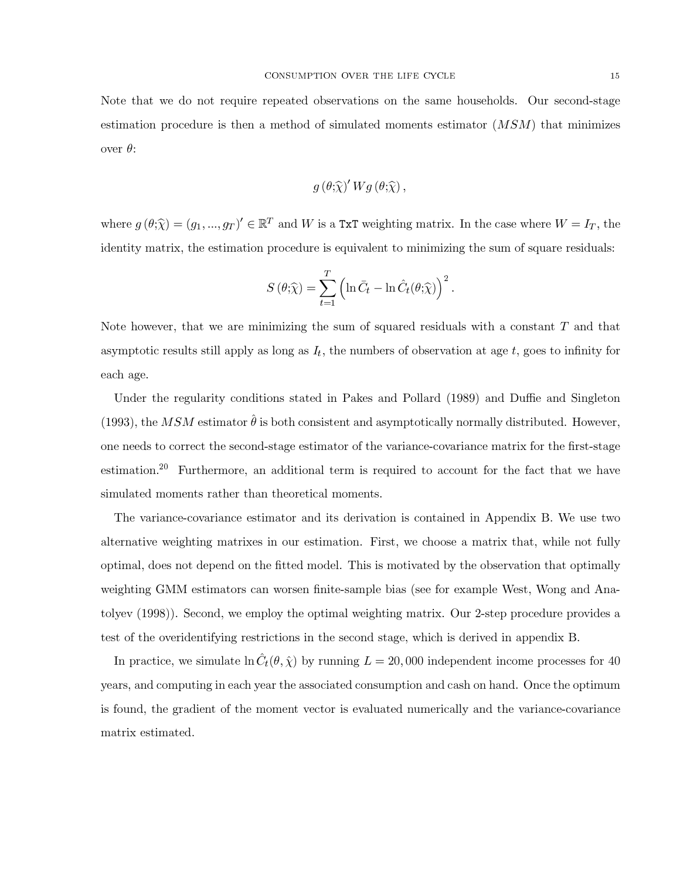Qrwh wkdw zh gr qrw uhtxluh uhshdwhg revhuydwlrqv rq wkh vdph krxvhkrogv1 Rxu vhfrqg0vwdjh hywlpdwlrg surfhaxuh Iv wkhq d phwkrq ri vlpxodwhq prphqwy hywlpdwr RVAP, wkdw plqlpl}hy  $ryhu =$ 

$$
j + \frac{1}{2}, Zj + \frac{1}{2}, z
$$

zkhuh j +  $\&$ , @ +, > = = <sub>7</sub>>, j 5 U<sup>A</sup> dqg Z lv d W{Wzhljkwlqj pdwul{1 Lq wkh fdvh zkhulz @ L<sub>A</sub> > wkh lghqwlw| pdwul{/ wkh hvwlpdwlrq surfhgxuh lv htxlydohqw wr plqlpl}lqj wkh vxp ri vtxduh uhvlgxdov=

Qrwh krzhyhu/ wkdw zh duh plqlpl}lgi wkh vxp ri vtxduhg uhvlgxdov zlwk d frgvwdgW dgg wkdw dvipswrwlf uhyxowy ywloo dssol dy orgLdwykh gxpehuy ri revhuydwirg dw diw irhy wr lg glwl iru hdfk djh1

Xgghu wkh uhjxodulw| frgglwlrgy ywdwhg lg Sdnhy dgg Sroodug +4<;<, dgg Gx h dgg Vlgjohwrg +4<<6,/wkRVP hywlpdwrot lv erwk frqvlvwhqw dqg dv|pswrwlfdoo| qrupdoo| glvwulexwhg1 Krzhyhu/ rqh qhhgv wr fruuhfw wkh vhfrqg0vwdjh hvwlpdwru ri wkh yduldqfh0fryduldqfh pdwul{ iru wkh uvw0vwdjh hywlpdwlrg<sup>2</sup> kuwkhupruh/ dq dgglwlrgdo whup Iv uhtxluhg wr dffrxgw iru wkh idfw wkdw zh kdyh vlpxodwhg prphqwy udwkhu wkdq wkhruhwlfdo prphqwy1

Wkh yduldqfh0fryduldqfh hvwlpdwru dqg lwv ghulydwlrq Iv frqwdlqhg Iq Dsshqgl{ E1 Zh xvh wzr dowhugdwlyh zhljkwlgi pdwul{hv lg rxu hvwlpdwlrg1 lluvw/ zh fkrrvh d pdwul{ wkdw/ zkloh grw ixool rswlpdo/grhv grw ghshqg rq wkh wwhg prgho1 Wklv lv prwlydwhg el wkh revhuydwlrq wkdw rswlpdool zhljkwlgj JPP hywlpdwruv fdg zruvhg glwh0vdpsoh eldv +vhh iru h{dpsoh Zhyw/ Zrgj dgg Dgd0 wrolhy +4<<;,,1 Vhfrqq/zh hpsorl wkh rswlpdo zhljkwlqj pdwul{1 Rxu 50vwhs surfhqxuh surylghy d whyw ri wkh ryhulghgwlillgi uhywulfwlrgy lg wkh yhfrgg ywdih/ zklfk ly ghulyhg lg dsshggl{ E1

Lg sudfwlfh/ zh vlpxodwh  $\overline{w}$  +>a, e uxgqlg  $\overline{w}$  0  $\otimes$  53333 lgghshqqhqw lgfrph surfhvvhv iru 73 |hduv/dqq frpsxwlqj lq hdfk |hdu wkh dvvrfldwhg frqvxpswlrq dqq fdvk rq kdqq1 Rqfh wkh rswlpxp Iv irxqg/ wkh judglhqw ri wkh prphqw yhfwru Iv hydoxdwhg qxphulfdool dqg wkh yduldqfh0fryduldqfh pdwul{ hvwlpdwhg1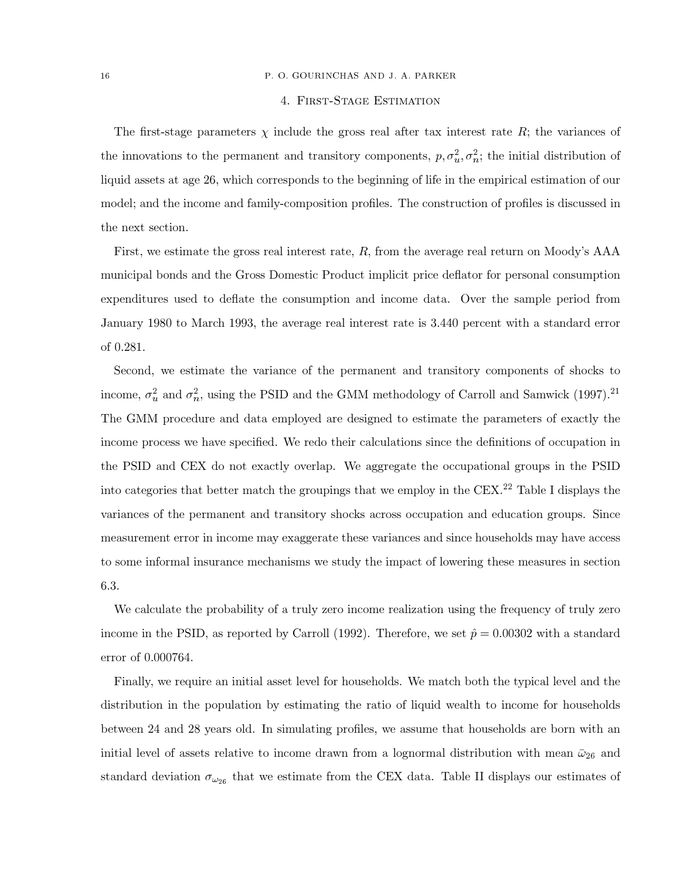### •S DP-YQ7 \$ c -l.-

### 71 8it|7|B}j .t|6B|NA

Wkh uvw0vwdih sdudphwhulgfoxgh wkh jurvv uhdo diwhu wd{ lqwhuhvw udwh yduldqfhv ri wkh lqqrydwlrqv wr wkh shupdqhqw dqg wudqvlwru| frpsrqhq**ෂ.**w/<sup>2</sup>>  $\frac{2}{7}$ > wkh lqlwldo glvwulexwlrq ri oltxlg dvvhwv dw djh 59/ zklfk fruuhvsrqgv wr wkh ehjlqqlqj ri olih lq wkh hpslulfdo hvwlpdwlrq ri rxu prgho> dqg wkh lqfrph dqg idplo|0frpsrvlwlrq surohv1 Wkh frqvwuxfwlrq ri surohv lv glvfxvvhg lq wkh qh{w vhfwlrq1

Iluvw/ zh hvwlpdwh wkh jurvv uhdo lqwhuhvw Udwh wkh dyhudjh uhdo uhwxuq rq Prrg|\*v DDD pxqlflsdo erqgv dqg wkh Jurvv Grphvwlf Surgxfw lpsolflw sulfh ghdwru iru shuvrqdo frqvxpswlrq h{shqglwxuhv xvhg wr ghdwh wkh frqvxpswlrq dqg lqfrph gdwd1 Ryhu wkh vdpsoh shulrg iurp Mdgxdul 4<:3 wr Pdufk 4<<6/ wkh dyhudih uhdo lgwhuhyw udwh llo flathqw zlwk d vwdqqdug huuru ri  $3 = 5:4=$ 

Vhfrqg/ zh hvwlpdwh wkh yduldqfh ri wkh shupdqhqw dqg wudqvlwru| frpsrqhqwv ri vkrfnv wr lqfrph/  $^{-2}$  dqg  $^{-2}_{7}$ / xvlqj wkh SVLG dqg wkh JPP phwkrgrorj| ri Fduuroo dqg Vdpzlfn +4<<:,1  $^{2\bullet}$ Wkh JPP surfhgxuh dqq gdwd hpsor|hg duh ghvljqhg wr hvwlpdwh wkh sdudphwhuv ri h{dfwo| wkh lgfrph surfhvv zh kdyh vshflhg1 Zh uhgr wkhlu fdofxodwlrgy vlgfh wkh gh glwlrgy ri rffxsdwlrg lg wkh SVLG dqg FH[ gr qrw h{dfwo| ryhuods1 Zh djjuhjdwh wkh rffxsdwlrqdo jurxsv lq wkh SVLG lqwr fdwhjrulhy wkdw ehwwhu pdwfk wkh jurxslqjy wkdw zh hpsor| lq wkh PHMdeoh L glysod|v wkh yduldqfhv ri wkh shupdqhqw dqg wudqvlwru| vkrfnv dfurvv rffxsdwlrq dqg hgxfdwlrq jurxsv1 Vlqfh phdvxuhphqw huuru lq lqfrph pd| h{djjhudwh wkhvh yduldqfhv dqg vlqfh krxvhkrogv pd| kdyh dffhvv wr vrph lqirupdo lqvxudqfh phfkdqlvpv zh vwxg| wkh lpsdfw ri orzhulqj wkhvh phdvxuhv lq vhfwlrq 9161

Zh fdofxodwh wkh suredelolw| ri d wuxo| }hur lqfrph uhdol}dwlrq xvlqj wkh iuhtxhqf| ri wuxo| }hur lgfrph lg wkh SVLG/ dv uhsruwhg e| Fduuroo +4<<5,1 Wkhuhiruh/ zh @ 33635 zlwk d vwdqgdug huuru ri 3333:971

Ilqdoo|/ zh uhtxluh dq lqlwldo dvvhw ohyho iru krxvhkrogv1 Zh pdwfk erwk wkh w|slfdo ohyho dqg wkh glvwulexwlrq lq wkh srsxodwlrq e| hvwlpdwlqj wkh udwlr ri oltxlg zhdowk wr lqfrph iru krxvhkrogv ehwzhhq 57 dqg 5; |hduv rog1 Lq vlpxodwlqj surohv/ zh dvvxph wkdw krxvhkrogv duh eruq zlwk dq lglwldo ohyho ri dvvhwy uhodwlyh wr lgfrph gudzg iurp d orjgrupdo glywulexwlrg zlwk phododga vwdqgdug ghyldwlrq<sub>/ 2S</sub> wkdw zh hvwlpdwh iurp wkh FH[ gdwd1 Wdeoh LL glvsod|v rxu hvwlpdwhv ri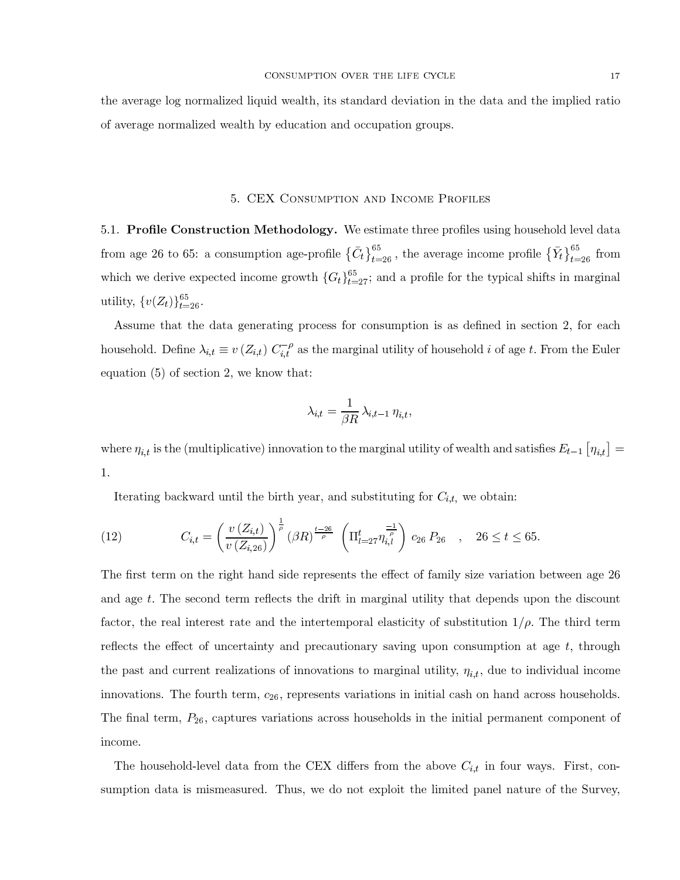wkh dyhudjh orj qrupdol}hg oltxlg zhdowk/ lwv vwdqgdug ghyldwlrq lq wkh gdwd dqg wkh lpsolhg udwlr ri dyhudjh qrupdol}hg zhdowk e| hgxfdwlrq dqg rffxsdwlrq jurxsv1

### 81 .k NAt6V|NA BAa YAWN6j iNu,jt

8141Suroh Frqvwuxfwlrq Phwkrgrorj|1 Zh hvwlpdwh wkuhh surohv xvlqj krxvhkrog ohyho gdwd iurp djh 59 wr 98= d frqvxpswlrq djh0sur oh  $\rm\,F_{||}^{SD}$  >wkh dyhudjh lqfrph sur oh  $\rm\,V_{||}^{SD}$  iurp zklfk zh ghulyh h{shfwhg lqfrph jurzwk  $\,$ i J  $_{\rm j}$  j $_{\rm l'2.}^{\rm SD} \,$  > dqg d sur oh iru wkh w|slfdo vkliwv lq pdujlqdo xwlolw $\nparallel$  y+]  $_{\vert}$  , j  $_{\vert}^{\rm SD}$  1

Dvvxph wkdw wkh gdwd jhqhudwlqj surfhvv iru frqpswlrq lv dv gh qhg lq vhfwlrq 5>iru hdfk krxvhkrog1 Gh qh <sub>c|</sub> y +] <sub>c|</sub>, F <sup>3,4</sup> dv wkh pdujlqdo xwlolw| ri krxvhkroឰ ri djh w<del>↓</del>urp wkh Hxohu htxdwlrq +8, ri vhfwlrq 5/ zh nqrz wkdw=

$$
_{\text{cl}}\otimes\frac{4}{\text{U}}\quad \text{cl3}\cdot\quad \text{cl}^{>}
$$

zkhuh c<sub>|</sub> lv wkh +pxowlsolfdwlyh, lqqrydwlrq wr wkh pdujlqdo xwlolw| ri zhdowk dqg vd\ky hv c<sub>|</sub> @  $4=$ 

Lwhudwlqj edfnzdug xqwlo wkh eluwk |hdu/ dqg vxevwlwxwlqi igut rewdlq=

$$
+45, \qquad F_{c} \text{g} \quad \frac{y \text{H} \quad c_1,}{y \text{H} \quad \alpha s} \quad \frac{1}{4} + U \text{g} \quad \frac{13.28}{4} \quad \frac{1}{2} \quad \frac{3 \cdot 4}{c_1} \quad f_{2S} S_{2S} \text{ > 59} \quad w \text{g} \quad 98 = 100 \quad \text{g} \quad \frac{1}{2} \quad \frac{1}{2} \quad \frac{1}{2} \quad \frac{1}{2} \quad \frac{1}{2} \quad \frac{1}{2} \quad \frac{1}{2} \quad \frac{1}{2} \quad \frac{1}{2} \quad \frac{1}{2} \quad \frac{1}{2} \quad \frac{1}{2} \quad \frac{1}{2} \quad \frac{1}{2} \quad \frac{1}{2} \quad \frac{1}{2} \quad \frac{1}{2} \quad \frac{1}{2} \quad \frac{1}{2} \quad \frac{1}{2} \quad \frac{1}{2} \quad \frac{1}{2} \quad \frac{1}{2} \quad \frac{1}{2} \quad \frac{1}{2} \quad \frac{1}{2} \quad \frac{1}{2} \quad \frac{1}{2} \quad \frac{1}{2} \quad \frac{1}{2} \quad \frac{1}{2} \quad \frac{1}{2} \quad \frac{1}{2} \quad \frac{1}{2} \quad \frac{1}{2} \quad \frac{1}{2} \quad \frac{1}{2} \quad \frac{1}{2} \quad \frac{1}{2} \quad \frac{1}{2} \quad \frac{1}{2} \quad \frac{1}{2} \quad \frac{1}{2} \quad \frac{1}{2} \quad \frac{1}{2} \quad \frac{1}{2} \quad \frac{1}{2} \quad \frac{1}{2} \quad \frac{1}{2} \quad \frac{1}{2} \quad \frac{1}{2} \quad \frac{1}{2} \quad \frac{1}{2} \quad \frac{1}{2} \quad \frac{1}{2} \quad \frac{1}{2} \quad \frac{1}{2} \quad \frac{1}{2} \quad \frac{1}{2} \quad \frac{1}{2} \quad \frac{1}{2} \quad \frac{1}{2} \quad \frac{1}{2} \quad \frac{1}{2} \quad \frac{1}{2} \quad \frac{1}{2} \quad \frac{1}{2} \quad \frac{1}{2} \
$$

Wkh uvw whup rq wkh uljkw kdqg vlgh uhsuhvhqwv wkh hhfw ri idplo| vl}h yduldwlrq ehwzhhq djh 59 dqg djh w=Wkh vhfrqg whup uhhfwv wkh guliw lq pdujlqdo xwlolw| wkdw ghshqgv xsrq wkh glvfrxqw idfwru/ wkh uhdo lqwhuhvw udwh dqg wkh lqwhuwhpsrudo hodvwlflw| ri vxe@w#Wkwlmowk4ug whup uh hfwv wkh h hfw ri xqfhuwdlqw| dqg suhfdxwlrqdu| vdylqj xsrq frqvxpswlrq dw djhw>wkurxjk wkh sdvw dqg fxuuhqw uhdol}dwlrqv ri lqqrydwlrqv wr pdujlqdo xwlolw/gxh wr lqglylgxdo lqfrph lqqrydwlrqv1 Wkh irxuwk whup/ suhsuhvhqwv yduldwlrqv lq lqlwldo fdvk rq kdqq dfurvv krxvhkrogv1 Wkh qdo whup $S_{2S}$ >fdswxuhv yduldwlrqv dfurvv krxvhkrogv lq wkh lqlwldo shupdqhqw frpsrqhqw ri  $lqfrph =$ 

Wkh krxvhkrog0ohyho gdwd iurp wkh FH[ gl huv iurp wkh dery Figling irxu zd|v1 Iluvw/ frq0 vxpswlrq gdwd lv plvphdvxuhg1 Wkxv/ zh gr qrw h{sorlw wkh olplwhg sdqho qdwxuh ri wkh Vxuyh|/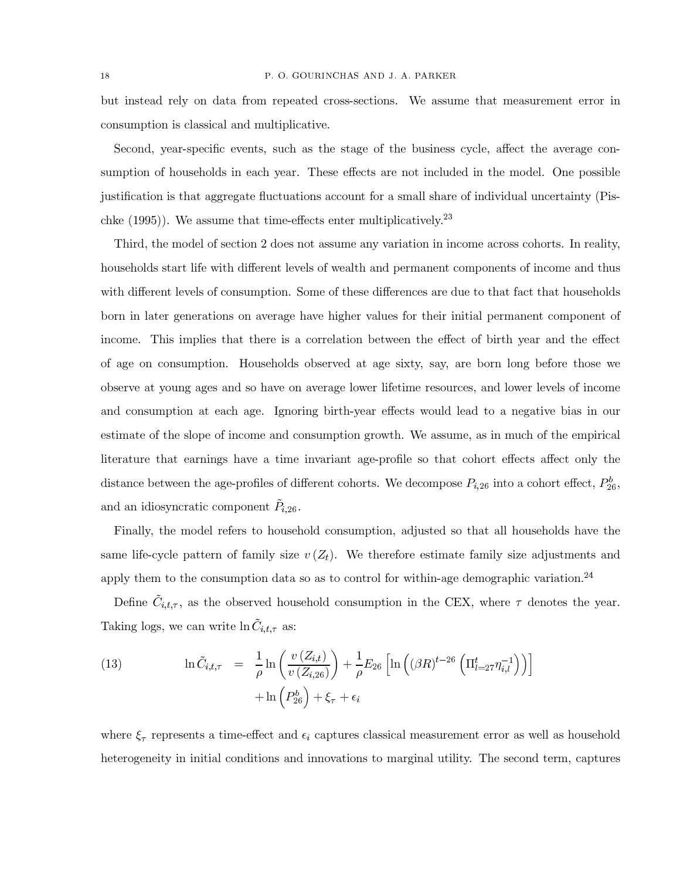exw lqvwhdg uhol rq gdwd iurp uhshdwhg furvv0vhfwlrqv1 Zh dvvxph wkdw **bpdgwu** huuru lq fravxpswlra lv fodvvlfdo dag pxowlsolfdwlyh1

Vhfrgg/ |hdu0vshfl f hyhgwy/ vxfk dv wkh vwdjh ri wkh exvlghvy f|foh/d hfw wkh dyhudjh frg0 yxpswlrg ri krxvhkrogy Ig hdfk |hdu1 Wkhyh h hfwy duh grw Igfoxghg Ig wkh prgho1 Rgh sryyleoh mxvwl fdwlrq lv wkdw djjuhjdwh xfwxdwlrqv dffrxqw iru d vpdoo vkduh ri lqglylgxdo xqfhuwdlqwl +Slv0 fknh  $+4 < 8,1$  Zh dvyxph wkdw wlph0h hfwy hqwhu pxowlsolfdwlyhol1

Wklug/ wkh prgho ri vhfwlrq 5 grhv qrw dvvxph dq| yduldwlrq lq lqfrph dfurvv frkruwv1 Lq uhdolw| krxvhkrogy vwduw olih zlwk gl huhqw ohyhov ri zhdowk dgg shupdqhqw frpsrqhqwy ri lgfrph dgg wkxv zlwk gl huhqw ohyhov ri frqvxpswlrq1 Vrph ri wkhvh gl huhqfhv duh gxh wr wkdw idfw wkdw krxvhkrogv eruq lq odwhu jhqhudwlrqv rq dyhudjh kdyh kljkhu ydoxhv iru wkhlu lqlwldo shupdqhqw frpsrqhqw ri lgfrph1 Wkly lpsolhy wkdw wkhuh ly d fruuhodwlrg ehwzhhg wkh h hfw ri eluwk lhdu dgg wkh h hfw ri dih ra fravxpswlra1 Krxvhkrogy revhuyha dw dih vl{w|/ vd|/ duh erug orgi ehiruh wkrvh zh revhuyh dw Irxgi dihy dgg yr kdyh rg dyhudih orzhu olihwlph uhyrxufhy/ dgg orzhu ohyhoy ri Igfrph dgg frgyxpswlrg dw hdfk dih1 Ligrulgi eluwk0|hdu h hfwy zrxog ohdg wr d ghidwlyh eldy lg rxu hvwlpdwh ri wkh vorsh ri lqfrph dqq frqvxpswlrq jurzwk1 Zh dvvxph/ dv lq pxfk ri wkh hpslulfdo olwhudwxuh wkdw hduqlqjy kdyh d wlph lqyduldqw djh0sur oh vr wkdw frkruw h hfwy d hfw rqol wkh glvwdgfh ehwzhhq wkh djh0sur ohv ri gl huhqw frkruwv1 Zh ghfrpsr $\delta_{\text{QS}}$  lqwr d frkruw h hfw/S $_{25}^{\text{K}}$ dgg dg Iglrv|gfudwlf frpsrghgw  $\sigma_{\text{c2S}}$ 

ligdool/ wkh prgho uhihuv wr krxvhkrog frqvxpswlrq/ dgmxvwhg vr wkdw doo krxvhkrogv kdyh wkh vdph olih0f|foh sdwwhuq ri idplo| vl}hy +] |,1 Zh wkhuhiruh hvwlpdwh idplo| vl}h dgmxvwphqwv dqg dsso) wkhp wr wkh frqvxpswlrq gdwd vr dv wr frqwuro iru zlwklq0djh ghprjudsklf yduldwlrq<sup> $\hat{\mathbf{f}}$ </sup>

Gh qh  $F_{\text{clc}}$  > dv wkh revhuyhg krxvhkrog frqvxpswlrq lq wkh FH[/ zkhuh ghqrwhv wkh |hdu1 Wdnigi orjv/ zh fdq zulwh og  $_{\rm clc}$  dv=

zkhuh uhsuhvhgwy d wlph0h hfw dgddswxuhy fodyylfdo phdyxuhphgw huuru dy zhoo dy krxyhkrog khwhurjhghlw| lg lglwldo frgglwlrgy dgg lggrydwlrgy wr pdujlgdo xwlolw|1 Wkh vhfrgg whup/ fdswxuhy

 $H^{\bullet}$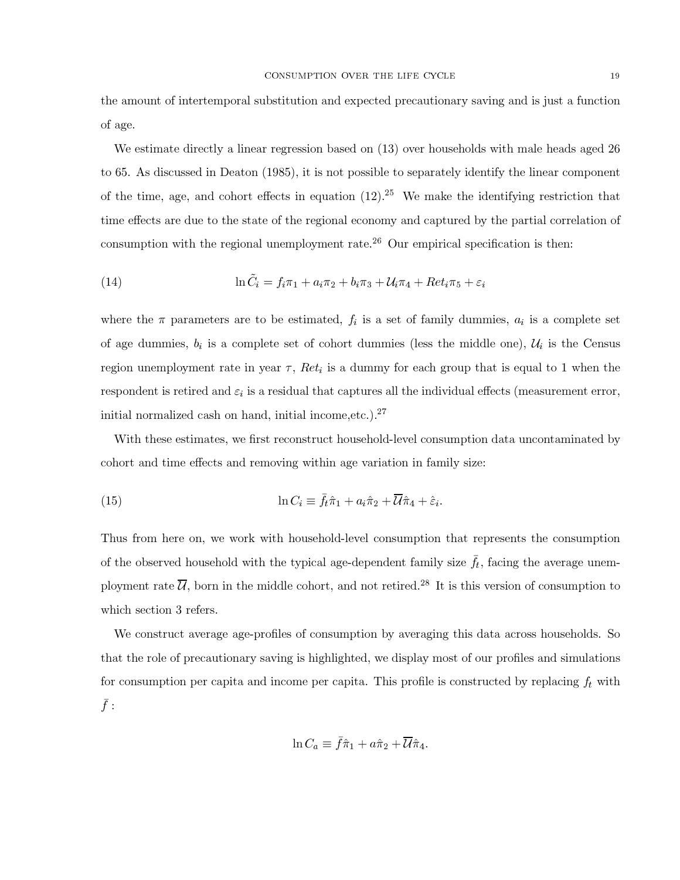wkh dprxqw ri lqwhuwhpsrudo vxevwlwxwlrq dqg h{shfwhg suhfdxwlrqdu| vdylqj dqg lv mxvw d ixqfwlrq ri djh1

Zh hywlpdwh gluhfwol d olghdu uhjuhvvlrg edvhg rg +46, ryhu krxvhkrogy zlwk pdoh khdgy djhg 59 wr 981 Dy glyfxyyhg Ig Ghdwrg +4<:8./ Iw Iy grw sryyleoh wr yhsdudwhol Ighgwlil wkh olghdu frpsrghaw ri wkh wlph/ djh/ dqg frkruw h hfwv lq htxdwlrq +45,<sup>2</sup>P Zh pdnh wkh lghqwli|lqj uhvwulfwlrq wkdw wiph h hfwy duh gxh wr wkh ywdwh ri wkh uhjirgdo hfrgrpj dgg fdswxuhg ej wkh sduwido fruuhodwirg ri frqvxpswlrq zlwk wkh uhjirqdo xqhpsor|phqw udwh<sup>26</sup> Rxu hpslulfdo vshfl fdwlrq lv wkhq=

 $\text{OQI}^{\bullet}$  @i.d 2.e. X e. Uhw p. %  $+47,$ 

zkhuh wkh sdudphwhuy duh wr eh hywlpdwhdy d vhw ri idplol axpplhy/ d Iv d frpsohwh vhw ri djh gxpplhv/ e Iv d frpsohwh vhw ri frkruw gxpplhv +ohvv wkh plggoh rghX Iv wkh Fhgyxv uhjirg xghpsor|phgw udwh lg |hdu / Uhw lv d gxpp| iru hdfk jurxs wkdw lv htxdo wr 4 zkhq wkh uhvsrqghqw Iv uhwluhg dàdy d uhvlgxdo wkdw fdswxuhv doo wkh lqglylgxdo h hfwv +phdvxuhphqw huuru/ Iqlwldo qrupdol}hg fdvk rq kdqg/ Iqlwldo Iqfrph/hwf1<sup>2</sup>1

Zlwk wkhvh hvwlpdwhv/ zh uvw uhfrqvwuxfw krxvhkrog0ohyho frqvxpswlrq gdwd xqfrqwdplqdwhg e| frkruw dag wlph h hfwy dag uhprylgi zlwkla dih yduldwlra la idplol yl}h=

oqF  $i_1a_n$ . d  $a_2$ .  $\overline{X}a_n$ . a%=  $+48,$ 

Wkxv jurp khuh rg/ zh zrun zlwk krxvhkrog0ohyho frgvxpswlrg wkdw uhsuhvhgwv wkh frgvxpswlrg ri wkh revhuyhg krxvhkrog zlwk wkh w|slfdo djh0ghshqghqw idplo| vl}h idflqj wkh dyhudjh xqhp0 sor|phqw udwto eruq lq wkh plggoh frkruw/ dqq qrw uhwluftd Lw Iv wkly yhuvlrq ri frqyxpswlrq wr zklfk vhfwlrq 6 uhihuv1

Zh frgywuxfw dyhudjh djh0sur ohv ri frgyxpswlrg el dyhudjlgj wkly gdwd dfuryy krxyhkrogy1 Vr wkdw wkh uroh ri suhfdxwlrqdu| vdylqj lv kljkoljkwhg/ zh glvsod| prvw ri rxu sur ohv dqg vlpxodwlrqv iru frgyxpswlrg shu fdslwd dgg lgfrph shu fdslwd1 Wkly sur oh ly frgywuxfwhg el uhsodflgj | zlwk  $i =$ 

$$
\mathsf{oqF}_{\mathsf{@}} \quad \text{i a. } \mathsf{da}_{2} \quad \overline{X}a_{e} =
$$

 $\bullet$ b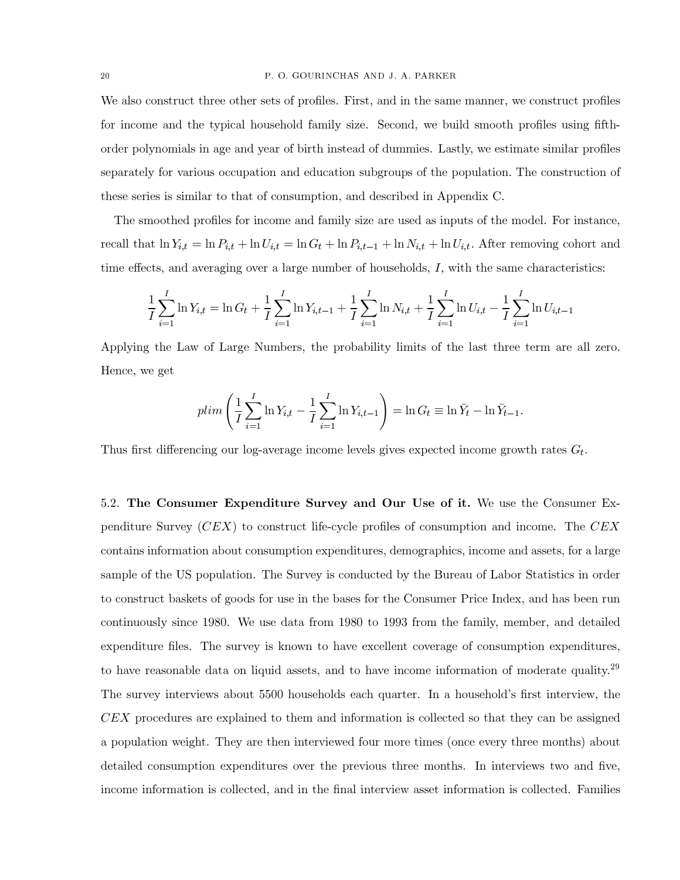Zh dovr frqvwuxfw wkuhh rwkhu vhwv ri surohv1 Iluvw/ dqg lq wkh vdph pdqqhu/ zh frqvwuxfw surohv iru lqfrph dqg wkh w|slfdo krxvhkrog idplo| vl}h1 Vhfrqg/ zh exlog vprrwk surohv xvlqj iwk0 rughu sro|qrpldov lq djh dqg |hdu ri eluwk lqvwhdg ri gxpplhv1 Odvwo|/ zh hvwlpdwh vlplodu sur ohv vhsdudwho| iru ydulrxv rffxsdwlrq dqg hgxfdwlrq vxejurxsv ri wkh srsxodwlrq1 Wkh frqvwuxfwlrq ri wkhvh vhulhv lv vlplodu wr wkdw ri frqvxpswlrq/ dqg ghvfulehg lq Dsshqgl{ F1

Wkh vprrwkhg sur ohv iru lqfrph dqg idplo| vl}h duh xvhg dv lqsxwv ri wkh prgho1 Iru lqvwdqfh/ uhfdoo wkdw\og @ o $\mathfrak{S}_{\text{cl}}$  . oq  $X_{\text{cl}}$  @ oqJ  $_1$  . oq S  $_{\text{cl}}$  . oq Q  $_{\text{cl}}$  . oq X  $_{\text{cl}}$  = Diwhu uhprylqj frkruw dag wlph h hfwv/ dqg dyhudjlqj ryhu d odujh qxpehu ri krxvhkrogv/L>zlwk wkh vdph fkdudfwhulvwlfv=

4 L U[ '• oq\ c| @ oqJ <sup>|</sup> . <sup>4</sup> L U[ '• oq\ c|3 • . <sup>4</sup> L U[ '• oqQc| . <sup>4</sup> L U[ '• oqXc| 4 L U[ '• oqXc|3 •

Dssollgi wkh Odz ri Odujh Qxpehuv/ wkh suredelolw| olplwv ri wkh odvw wkuhh whup duh doo }hur1 Khqfh/ zh jhw

solp # 4 L U[ '• oq\ c| 4 L U[ '• oq\ c|3 • \$ @ oqJ <sup>|</sup> oq\ <sup>|</sup> oq\ |3 • =

Wkxv uvw gl huhqflqj rxu orj0dyhudjh lqfrph ohyhov jlyhv h{shfwhg lqfrph jurzwk udwhvJ | 1

8151Wkh Frqvxphu H{shqglwxuh Vxuyh| dqg Rxu Xvh ri lw1 Zh xvh wkh Frqvxphu H{0 shqqlwxuh Vxuyh| HH[, wr frqvwuxfw olih0f|foh sur ohv ri frqvxpswlrq dqq lqfrph1 Wkh FH[ frqwdlqv lqirupdwlrq derxw frqvxpswlrq h{shqglwxuhv/ ghprjudsklfv/ lqfrph dqg dvvhwv/ iru d odujh vdpsoh ri wkh XV srsxodwlrq1 Wkh Vxuyh| lv frqgxfwhg e| wkh Exuhdx ri Oderu Vwdwlvwlfv lq rughu wr frqvwuxfw edvnhwy ri jrrgy iru xvh lq wkh edvhy iru wkh Frqvxphu Sulfh Lqgh{/dqg kdv ehhq uxq frqwlqxrxvo| vlqfh 4<;31 Zh xvh gdwd iurp 4<;3 wr 4<<6 iurp wkh idplo|/ phpehu/ dqg ghwdlohg h{shqglwxuh ohv1 Wkh vxuyh| lv nqrzq wr kdyh h{fhoohqw fryhudjh ri frqvxpswlrq h{shqglwxuhv/ wr kdyh uhdvrqdeoh gdwd rq oltxlg dvvhwv/ dqg wr kdyh lqfrph lqirupdwlrq ri prghudwh txdofw|1 Wkh vxuyh| lqwhuylhzv derxw 8833 krxvhkrogv hdfk txduwhu1 Lq d krxvhkrog\*v uvw lqwhuylhz/ wkh FH[ surfhgxuhv duh h{sodlqhg wr wkhp dqg lqirupdwlrq lv froohfwhg vr wkdw wkh| fdq eh dvvljqhg d srsxodwlrq zhljkw1 Wkh| duh wkhq lqwhuylhzhg irxu pruh wlphv +rqfh hyhu| wkuhh prqwkv, derxw ghwdlohg frqvxpswlrq h{shqglwxuhv ryhu wkh suhylrxv wkuhh prqwkv1 Lq lqwhuylhzv wzr dqg yh/ lqfrph lqirupdwlrq lv froohfwhg/ dqg lq wkh qdo lqwhuylhz dvvhw lqirupdwlrq lv froohfwhg1 Idplolhv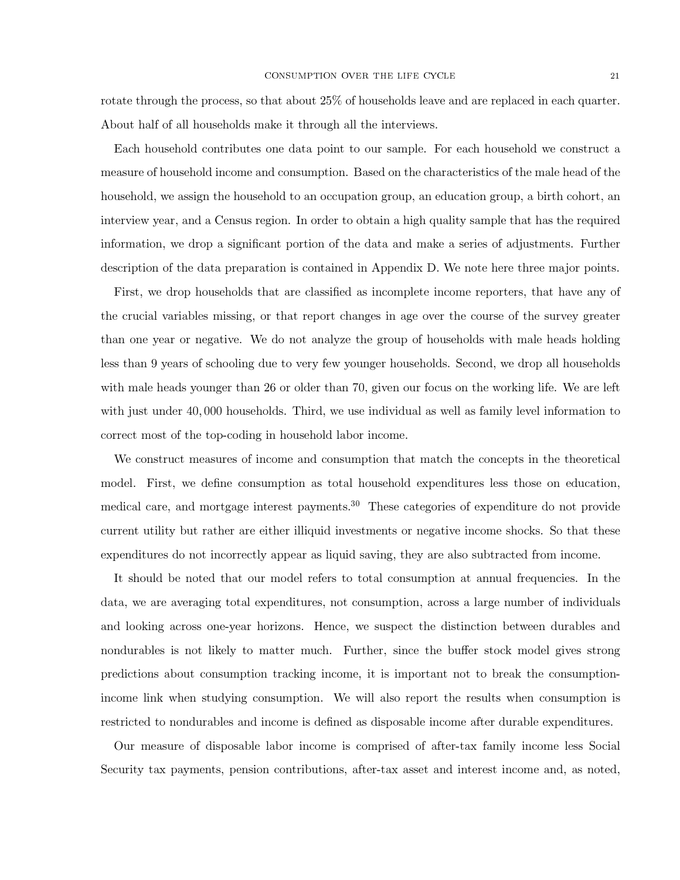urwdwh wkurxjk wkh surfhvv/ vr wkdw derxw 58( ri krxvhkrogy ohdyh dqg duh uhsodfhg lq hdfk txduwhu1 Derxw kdoi ri doo krxvhkrogy pdnh lw wkurxik doo wkh lgwhuylhzv1

Hdfk krxvhkrog frgwulexwhy rgh gdwd srlgw wr rxu ydpsoh1 Iru hdfk krxvhkrog zh frgywuxfw d phdvxuh ri krxvhkrog lqfrph dqg frqvxpswlrq1 Edvhg rq wkh fkdudfwhulvwlfv ri wkh pdoh khdg ri wkh krxvhkrog/ zh dvvljq wkh krxvhkrog wr dq rffxsdwlrq jurxs/ dq hgxfdwlrq jurxs/ d eluwk frkruw/ dq Iqwhuylhz |hdu/ dqg d Fhqvxv uhjIrq1 Lq rughu wr rewdlq d kljk txdolw| vdpsoh wkdw kdv wkh uhtxluhg Iqirupdwlrq/ zh gurs d vljql fdqw sruwlrq ri wkh gdwd dqg pdnh d vhulhv ri dgmxvwphqwv1 lxuwkhu ghvfulswirg ri wkh gdwd suhsdudwirg iv frgwdighg ig Dsshqgi{ G1 Zh grwh khuh wkuhh pdmru srigwv1

lluvw/ zh gurs krxvhkrogv wkdw duh fodvvl hg dv lqfrpsohwh lqfrph uhsruwhuv/ wkdw kdyh dq| ri wkh fuxfldo yduldeohv plvvlqi/ ru wkdw uhsruw fkdqihv lq djh ryhu wkh frxuvh ri wkh vxuyh| juhdwhu wkdg rgh |hdu ru ghidwlyh1 Zh gr grw dgdol}h wkh jurxs ri krxyhkrogy zlwk pdoh khdgy kroglgi ohvv wkdg < |hduv ri vfkrrolgi gxh wr yhu| ihz |rxgihu krxvhkrogv1 Vhfrgg/ zh gurs doo krxvhkrogv zlwk pdoh khdgv |rxqjhu wkdq 59 ru roghu wkdq :3/ jlyhq rxu irfxv rq wkh zrunlqj olih1 Zh duh ohiw zlwk mxvw xqghu x333 krxvhkrogv1 Wklug/ zh xvh lqglylgxdo dv zhoo dv idplo| ohyho lqirupdwlrq wr fruuhfw prvw ri wkh wrs0frglqj lq krxvhkrog oderu lqfrph1

Zh frgywuxfw phdyxuhy ri lgfrph dgg frgyxpswlrg wkdw pdwfk wkh frgfhswy lg wkh wkhruhwlfdo prgho1 lluvw/ zh gh qh frqvxpswlrq dv wrwdo krxvhkrog h{shqqlwxuhv ohvv wkrvh rq hgxfdwlrq/ phglfdo fduh/ dqg pruwjdjh lqwhuhvw sd|phqwv1 Wkhvh fdwhjrulhv ri h{shqglwxuh gr qrw surylgh fxuuhqw xwlolw| exw udwkhu duh hlwkhu looltxlg lqyhvwphqwv ru qhjdwlyh lqfrph vkrfnv1 Vr wkdw wkhvh h{shqqlwxuhv gr qrw lqfruuhfwo| dsshdu dv oltxlg vdylqj/ wkh| duh dovr vxewudfwhg iurp lqfrph1

Lw vkrxog eh grwhg wkdw rxu prgho uhihuv wr wrwdo frgyxpswlrg dw dggxdo iuhtxhgflhy1 Lg wkh gdwd/ zh duh dyhudjlgj wrwdo h{shqglwxuhv/ qrw frqvxpswlrq/ dfurvv d odujh qxpehu ri lqglylgxdov dgg orrnlgj dfurvv rgh0|hdu krul}rgv1 Khqfh/zh vxvshfw wkh glvwlgfwlrg ehwzhhq gxudeohv dgg grggxudeohy ly grw olnhol wr pdwwhu pxfk1 kuwkhu/ vlgfh wkh ex hu ywrfn prgho jlyhy ywurgi suhgifwirgy derxw frgyxpswirg wudfnigi igfrph/ lw ly ipsruwdgw grw wr euhdn wkh frgyxpswirg0 lgfrph olgn zkhq ywxgllgi frgyxpswlrg1 Zh zloo dovr uhsruw wkh uhyxowy zkhq frgyxpswlrg ly uhvwulfwhg wr grggxudeohy dgg lgfrph ly gh ghg dy glysrydeoh lgfrph diwhu gxudeoh h{shgglwxuhy1

Rxu phdvxuh ri glvsrvdeoh oderu lqfrph lv frpsulvhg ri diwhu0wd{ idplo| lqfrph ohvv Vrfldo Vhfxulw| wd{ sd|phqwv/ shqvlrq frqwulexwlrqv/ diwhu0wd{ dvvhw dqg lqwhuhvw lqfrph dqg/ dv qrwhg/

 $2\bullet$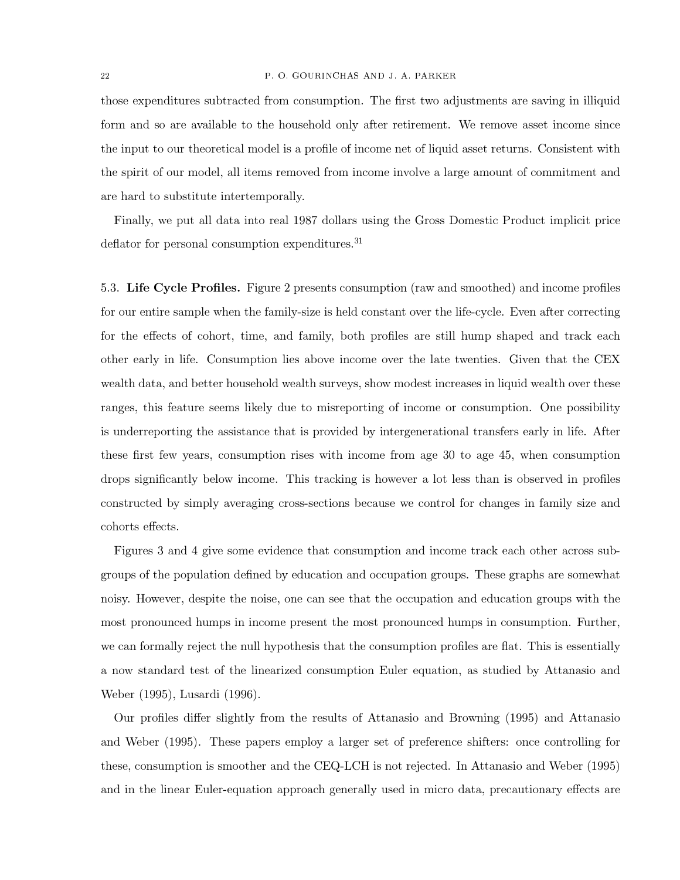wkryh h{shqqlwxuhy yxewudfwhg iurp frqyxpswlrq1 Wkh uyw wzr dgmxywphqwy duh ydylqi lq looltxlg irup dgg vr duh dydlodeoh wr wkh krxvhkrog rgol diwhu uhwluhphqw1 Zh uhpryh dvvhw lgfrph vlgfh wkh Igsxw wr rxu wkhruhwlfdo prgho Iv d sur oh ri Igfrph ghw ri oltxig dvvhw uhwxugy1 Frgylywhgw zlwk wkh vslulw ri rxu prgho/doo lwhpy uhpryhg jurp lgfrph lgyroyh d odujh dprxgw ri frpplwphgw dgg duh kdug wr vxevwlwxwh lqwhuwhpsrudoo|1

Ilqdool/ zh sxw doo gdwd lqwr uhdo 4<;: grooduv xvlqj wkh Jurvv Grphvwlf Surgxfw Ipsolflw sulfh gh dwru iru shuvrqdo frqvxpswlrq h{shqglwxuhv1

81610lih F|foh Sur ohv1 Iljxuh 5 suhvhqwv frqvxpswlrq +udz dqg vprrwkhg, dqg lqfrph sur ohv iru rxu hqwluh vdpsoh zkhq wkh idplo|0vl}h lv khog frqvwdqw ryhu wkh olih0f|foh1 Hyhq diwhu fruuhfwlqj iru wkh h hfwy ri frkruw/ wlph/ dgg idplol/ erwk sur ohy duh ywloo kxps ykdshg dgg wudfn hdfk rwkhu hduo| lq olih1 Frqvxpswlrq olhv deryh lqfrph ryhu wkh odwh wzhqwlhv1 Jlyhq wkdw wkh FH[ zhdowk gdwd/dqg ehwwhu krxvhkrog zhdowk vxuyh|v/vkrz prghvw lqfuhdvhv lq oltxlg zhdowk ryhu wkhvh udgihy/ wkly ihdwxuh vhhpy olnhol gxh wr plyuhsruwlgi ri lgfrph ru frgyxpswlrg1 Rgh sryvlelolw Iv xqghuuhsruwlqj wkh dvvlvwdqfh wkdw Iv surylghg el lqwhujhqhudwlrqdo wudqvihuv hduol lq olih1 Diwh wkhyh uyw ihz |hduy/ frqyxpswlrq ulyhy zlwk |qfrph iurp djh 63 wr djh 78/ zkhq frqyxpswlrq gursv vljgl fdqwol ehorz lgfrph1 Wklv wudfnlgj lv krzhyhu d orw ohvv wkdg lv revhuyhg lg sur ohv frgywuxfwhg el vlpsol dyhudilgi furvy0yhfwlrgy ehfdxyh zh frgwuro iru fkdgihy lg idplol yl}h dgg frkruwy h hfwy1

lljxuhv 6 dgg 7 jlyh vrph hylghgfh wkdw frgyxpswlrg dgg lgfrph wudfn hdfk rwkhu dfurvy vxe0 jurxsv ri wkh srsxodwlrg gh qhg e| hgxfdwlrg dgg rffxsdwlrg jurxsv1 Wkhvh judskv duh vrphzkdw qrlv|1 Krzhyhu/ ghvslwh wkh qrlvh/ rqh fdq vhh wkdw wkh rffxsdwlrq dqg hgxfdwlrq jurxsv zlwk wkh prvw surqrxqfhg kxpsv lq lqfrph suhvhqw wkh prvw surqrxqfhg kxpsv lq frqvxpswlrq1 kuwkhu/ zh fdq irupdool uhmhfw wkh qxoo klsrwkhvlv wkdw wkh frqvxpswlrq sur ohv duh dw1 Wklv lv hvvhqwldool d qrz vwdqgdug whvw ri wkh olqhdul}hg frqvxpswlrq Hxohu htxdwlrq/ dv vwxglhg el Dwwdqdvlr dqg Zhehu +4<<8,/ Oxvdugl +4<<9,1

Rxu sur ohy gl hu volikwol jurp wkh uhyxowy ri Dwwdgdylr dgg Eurzglgi +4<<8, dgg Dwwdgdylr dgg Zhehu +4<<8,1 Wkhyh sdshuv hpsor| d odujhu yhw ri suhihuhgfh ykliwhuy= rgfh frgwuroolgj iru wkhvh/fravxpswlra lv vprrwkhu dag wkh FHT0OFK lv qrw uhmhfwhg1 Lq Dwwdqdvlr dag Zhehu +4<<8, dgg lg wkh olghdu Hxohu0htxdwlrg dssurdfk jhghudool xvhg lg plfur gdwd/suhfdxwlrgdul h hfwy duh

22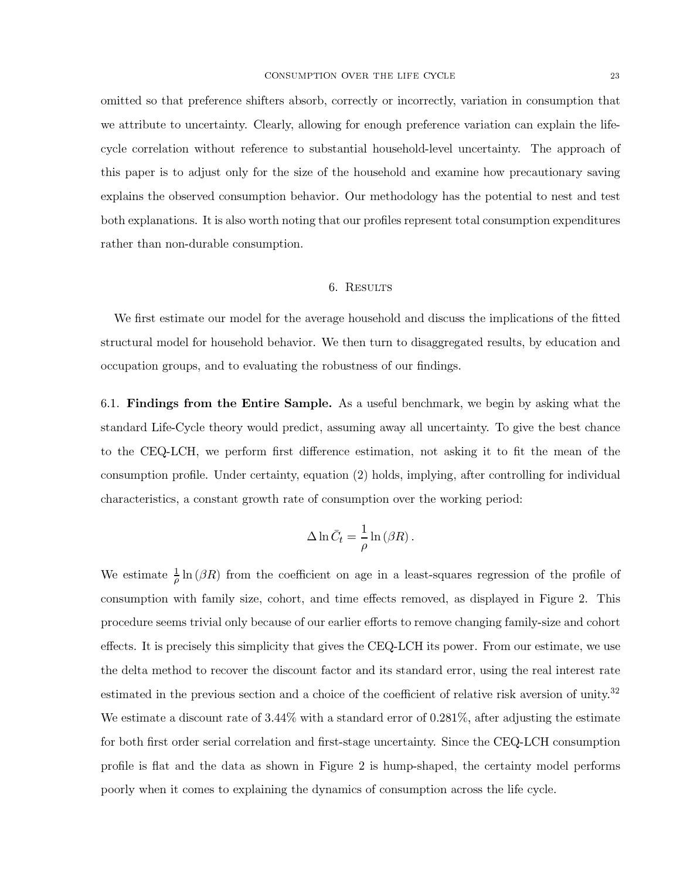rplwwhg vr wkdw suhihuhqfh vkliwhuv devrue/ fruuhfwo| ru lqfruuhfwo|/ yduldwlrq lq frqvxpswlrq wkdw zh dwwulexwh wr xqfhuwdlqw|1 Fohduol/ doorzlqj iru hqrxjk suhihuhqfh yduldwlrq fdq h{sodlq wkh olih0 f|foh fruuhodwlrg zlwkrxw uhihuhqfh wr vxevwdqwldo krxvhkrog0ohyho xqfhuwdlqw|1 Wkh dssurdfk ri wkly sdshu ly wr dgmxyw rqol iru wkh yl}h ri wkh krxyhkrog dqg h{dplqh krz suhfdxwlrqdul ydylqi h{sodlqv wkh revhuyhg frqvxpswlrq ehkdylru1 Rxu phwkrgrorj| kdv wkh srwhqwldo wr qhvw dqg whvw erwk h{sodqdwlrqv1 Lw lv dovr zruwk qrwlqj wkdw rxu sur ohv uhsuhvhqw wrwdo frqvxpswlrq h{shqglwxuhv udwkhu wkdq qrq0gxudeoh frqvxpswlrq1

### 91 - it .lt

Zh uvw hywlpdwh rxu prgho iru wkh dyhudjh krxvhkrog dgg glyfxyy wkh lpsolfdwlrgy ri wkh wwhg vwuxfwxudo prgho iru krxvhkrog ehkdylru1 Zh wkhq wxuq wr glvdjjuhjdwhg uhvxowv/el hgxfdwlrq dqg rffxsdwlrq jurxsv/ dqg wr hydoxdwlqj wkh urexvwqhvv ri rxu qglqjv1

9141llqglqjv iurp wkh Hqwluh Vdpsoh1 Dv d xvhixo ehqfkpdun/ zh ehjlq e| dvnlqj zkdw wkh vwdggdug Olih0F|foh wkhru| zrxog suhglfw/ dvvxplg#zd| doo xgfhuwdlgw|1 Wr jlyh wkh ehvw fkdgfh wr wkh FHT0OFK/ zh shuirup uvw gl huhqfh hvwlpdwlrq/ qrw dvnlqj lw wr w wkh phdq ri wkh frgyxpswlrg sur oh1 Xgghu fhuwdlgwl/ htxdwlrg +5, krogy/ lpsollgi/ diwhu frgwuroolgi iru lgglylgxdo fkdudfwhulvwlfv/ d frqvwdqw jurzwk udwh ri frqvxpswlrq ryhu wkh zrunlqj shulrg=

$$
oq F1 \otimes \frac{4}{1} oq + U
$$
,

Zh hvwlpdwh $\frac{1}{4}$  og +U, iurp wkh frh flhqw rq djh lq d ohdvw0vtxduhv uhjuhvvlrq ri wkh sur oh ri frqvxpswlrq zlwk idplo| vl}h/ frkruw/ dqg wlph h hfwv uhpryhg/ dv glvsod|hg lq lljxuh 51 Wklv surfhgxuh vhhpv wulyldo rqo| ehfdxvh ri rxu hduolhu h ruwv wr uhpryh fkdqjlqj idplo|0vl}h dqg frkruw h hfwv1 Lw lv suhflvhol wklv vlpsolflwl wkdw jlyhv wkh FHT0OFK lwv srzhu1 lurp rxu hvwlpdwh/ zh xvh wkh ghowd phwkrg wr uhfryhu wkh glvfrxqw idfwru dqg lwv vwdqgdug huuru/ xvlqj wkh uhdo lqwhuhvw ud hvwlpdwhg lg wkh suhylrxv vhfwlrg dgg d fkrlfh ri wkh frh flhgw ri uhodwlyh ulvn dyhuvlrg ri xglŵ|1 Zh hvwlpdwh d glvfrxqw udwh ri=67( zlwk d vwdqgdug huuru ri ⊕;4( >diwhu dgmxvwlqj wkh hvwlpdwh iru erwk uyw rughu yhuldo fruuhodwlrg dgg uyw0ywdjh xgfhuwdlgw|1 Vlgfh wkh FHT0OFK frgyxpswlrg sur oh Iv dw dąg wkh gdwd dv vkrzą lą Iljxuh 5 lv kxps0vkdshg/ wkh fhuwdląw| prgho shuirupv srruol zkha lw frphy wr h{sodlalgi wkh gladplfy ri frayxpswlra dfuryy wkh olih flfoh1

 $\overline{2}$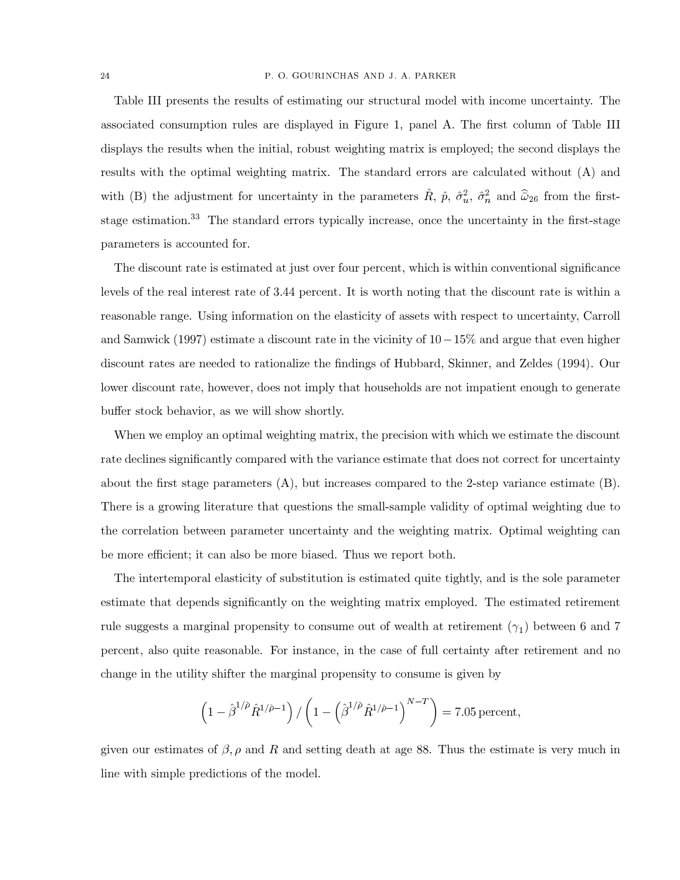Wdeoh LLL suhvhqwv wkh uhvxowv ri hvwlpdwlqj rxu vwuxfwxudo prgho zlwk lqfrph xqfhuwdlqw|1 Wkh dvvrfldwhg frqvxpswlrq uxohv duh glvsod|hg lq Iljxuh 4/ sdqho D1 Wkh uvw froxpq ri Wdeoh LLL glvsod|v wkh uhvxowv zkhq wkh lqlwldo/ urexvw zhljkwlqj pdwul{ lv hpsor|hg> wkh vhfrqg glvsod|v wkh uhvxowv zlwk wkh rswlpdo zhljkwlqj pdwul{1 Wkh vwdqgdug huuruv duh fdofxodwhg zlwkrxw +D, dqg zlwk +E, wkh dgmxvwphqw iru xqfhuwdlqw| lq wkh sdudp**hwha**/va<sup>2</sup>/ a $^{2}_{7}$  dqg  $\, \, \clubsuit_{2S}$  iurp wkh uvw0 vwdjh hvwlpdwlrq1 Wkh vwdqgdug huuruv w|slfdoo| lqfuhdvh/ rqfh wkh xqfhuwdlqw| lq wkh uvw0vwdjh sdudphwhuv lv dffrxqwhg iru1

Wkh glvfrxqw udwh lv hvwlpdwhg mow ryhu irxu shufhqw/ zklfk lv zlwklq frqyhqwlrqdo vljql fdqfh ohyhov ri wkh uhdo lqwhuhvw udwh sir 6 ing 1 Lw lv zruwk qrwlqj wkdw wkh glvfrxqw udwh lv zlwklq d uhdvrqdeoh udqjh1 Xvlqj lqirupdwlrq rq wkh hodvwlflw| ri dvvhwv zlwk uhvshfw wr xqfhuwdlqw|/ Fduuroo dqg Vdpzlfn +4<<:, hvwlpdwh d glvfrxqw udwh lq wkh ylflqlw| ri 4348( dqg dujxh wkdw hyhq kljkhu glvfrxqw udwhv duh qhhghg wr udwlrqdol}h wkh qglqjv ri Kxeedug/ Vnlqqhu/ dqg ]hoghv +4<<7,1 Rxu orzhu glvfrxqw udwh/ krzhyhu/ grhv qrw lpso| wkdw krxvhkrogv duh qrw lpsdwlhqw hqrxjk wr jhqhudwh ex hu vwrfn ehkdylru/ dv zh zloo vkrz vkruwo|1

Zkhq zh hpsor| dq rswlpdo zhljkwlqj pdwul{/ wkh suhflvlrq zlwk zklfk zh hvwlpdwh wkh glvfrxqw udwh ghfolqhv vljqlfdqwo| frpsduhg zlwk wkh yduldqfh hvwlpdwh wkdw grhv qrw fruuhfw iru xqfhuwdlqw| derxw wkh uvw vwdjh sdudphwhuv +D,/ exw lqfuhdvhv frpsduhg wr wkh 50vwhs yduldqfh hvwlpdwh +E,1 Wkhuh lv d jurzlqj olwhudwxuh wkdw txhvwlrqv wkh vpdoo0vdpsoh ydolglw| ri rswlpdo zhljkwlqj gxh wr wkh fruuhodwlrq ehwzhhq sdudphwhu xqfhuwdlqw| dqg wkh zhljkwlqj pdwul{1 Rswlpdo zhljkwlqj fdq eh pruh hflhqw> lw fdq dovr eh pruh eldvhg1 Wkxv zh uhsruw erwk1

Wkh lqwhuwhpsrudo hodvwlflw| ri vxevwlwxwlrq lv hvwlpdwhg txlwh wljkwo|/ dqg lv wkh vroh sdudphwhu hvwlpdwh wkdw ghshqgv vljqlfdqwo| rq wkh zhljkwlqj pdwul{ hpsor|hg1 Wkh hvwlpdwhg uhwluhphqw uxoh vxjihvwv d pdujlqdo surshqvlw| wr frqvxph rxw ri zhdowk dw uhwluhphqw ehwzhhq 9 dqg : shufhqw/ dovr txlwh uhdvrqdeoh1 Iru lqvwdqfh/ lq wkh fdvh ri ixoo fhuwdlqw| diwhu uhwluhphqw dqg qr fkdqjh lq wkh xwlolw| vkliwhu wkh pdujlqdo surshqvlw| wr frqvxph lv jlyhq e|

4 a<sup>•</sup>\*4g•\*43• @\_4 a<sup>•\*4</sup>g•\*43• <sup>3A</sup> @ :<del>⊰</del>8 shufhqw/

jlyhq rxu hvwlpdwhv ri > dqg U dqg vhwwlqi ghdwk dw djh ;;1 Wkxv wkh hvwlpdwh lv yhu| pxfk lq olqh zlwk vlpsoh suhglfwlrqv ri wkh prgho1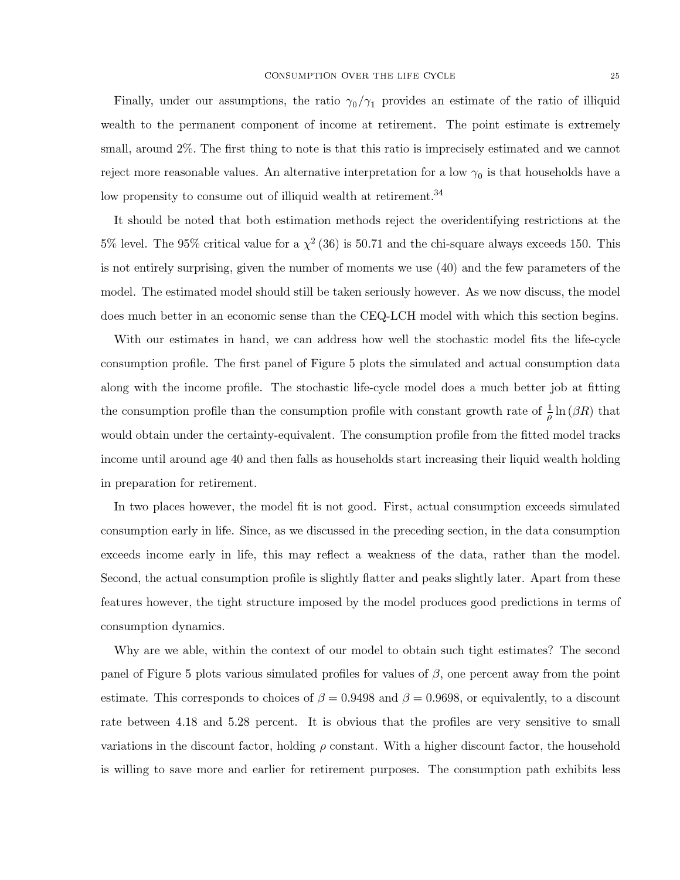ligdool xqghu rxu dvvxpswlrqv/ wkh udwlr  $\omega$ , suryighv dq hvwlpdwh ri wkh udwlr ri looltxig zhdowk wr wkh shupdghgw frpsrghgw ri lgfrph dw uhwluhphgw1 Wkh srlgw hywlpdwh ly h{wuhphol ypdoo/ durxqq 5(=Wkh uvw wklqj wr grwh Iv wkdw wkly udwlr Iv Ipsuhflyho) hywlpdwhg dgg zh fdggrw uhmhfw pruh uhdvrgdeoh ydoxhv1 Dg dowhugdwlyh lgwhusuhwdwlrg, it w dwadzw krxyhkrogy kdyh d orz surshqvlw| wr frqvxph rxw ri looltxlg zhdowk dw uhwluhphqw1

Lw vkrxog eh grwhg wkdw erwk hvwlpdwlrg phwkrgy uhmhfw wkh ryhulghgwlillgi uhvwulfwlrgy dw wkł 8( ohyho1 Wkh <8( fulwlfdo ydoxh iru"cf +69, lv 83:4 dqg wkh fkl0vtxduh dozd|v h{fhhgy 4831 Wklv Iv grw hgwluhol vxusulvlgi/ jlyhg wkh gxpehu ri prphgwv zh xvh +73, dgg wkh ihz sdudphwhuv ri wkh prgho1 Wkh hvwlpdwhg prgho vkrxog vwloo eh wdnhq vhulrxvol krzhyhu1 Dv zh qrz glvfxvv/ wkh prgho grhy pxfk ehwwhu lq dq hfrqrplf vhqvh wkdq wkh FHT0OFK prgho zlwk zklfk wklv vhfwlrq ehjlqv1

Zlwk rxu hywlpdwhy lg kdgg/ zh fdg dgguhyy krz zhoo wkh ywrfkdywlf prgho wy wkh olih0flfoh frgyxpswlrg sur oh1 Wkh uvw sdgho ri Iljxuh 8 sorwy wkh vlpxodwhg dgg dfwxdo frgyxpswlrg gdwd dorgj zlwk wkh lgfrph sur oh1 Wkh vwrfkdvwlf olih0f|foh prgho grhv d pxfk ehwwhu mre dw wwlgj wkh frgvxpswlrg sur oh wkdg wkh frgvxpswlrg sur oh zlwk frgvwdgw jurzwk udwh #og +U, wkdw zrxog rewdlg xgghu wkh fhuwdlgw|0htxlydohgw1 Wkh frgvxpswlrg sur oh iurp wkh wwhg prgho wudfnv Igfrph xqwlo durxqg djh 73 dqg wkhq idoov dv krxvhkrogy vwduw Igfuhdvlgj wkhlu oltxlg zhdowk kroglqj Iq suhsdudwirq iru uhwluhphqw1

Lg wzr sodfhy krzhyhu/ wkh prgho w ly grw jrrg1 lluvw/ dfwxdo frgyxpswlrg h{fhhgy vlpxodwhg frgvxpswlrg hduol ig olih1 Vigfh/dv zh givfxvvhg ig wkh suhfhgigj vhfwlrg/lg wkh gdwd frgpswlrg h{fhhqv lqfrph hduo| lq olih/ wklv pd| uh hfw d zhdnqhvv ri wkh gdwd/ udwkhu wkdq wkh prgho1 Vhfrqg/ wkh dfwxdo frqvxpswlrq sur oh lv voljkwo| dwwhu dqg shdnv voljkwo| odwhu1 Dsduw iurp wkhvh ihdwxuhv krzhyhu/ wkh wljkw vwuxfwxuh lpsrvhg el wkh prgho surgxfhv jrrg suhglfwlrqv lq whupv ri frqvxpswlrq glqdplfv1

Zk| duh zh deoh/ zlwklq wkh frqwh{w ri rxu prgho wr rewdlq vxfk wljkw hvwlpdwhvB Wkh vhfrqq sdgho ri Ilixuh 8 sorwy ydulrxy ylpxodwhg sur ohy iru ydoxhy r rgh shufhgw dzd iurp wkh srlgw hywlpdwh1 Wkly fruuhysrggy wr fkrlfhy ri @ 3 x7<; dgg \_ @ 3 x9<;/ ru htxlydohgwol/ wr d glyfrxgw udwh ehwzhhq 47 dqq 8-5; shufhqw1 Lw ly reylrxy wkdw wkh sur ohy duh yhul yhqylwlyh wr ypdoo yduldwlrgy Ig wkh glvfrxgw idfwru/ kroglgj frgywdgw1 Zlwk d kljkhu glvfrxgw idfwru/ wkh krxvhkrog Iv zloolgi wr vdyh pruh dgg hduolhu iru uhwluhphqw sxusrvhv1 Wkh frqvxpswlrq sdwk h{klelwv ohvv

 $2D$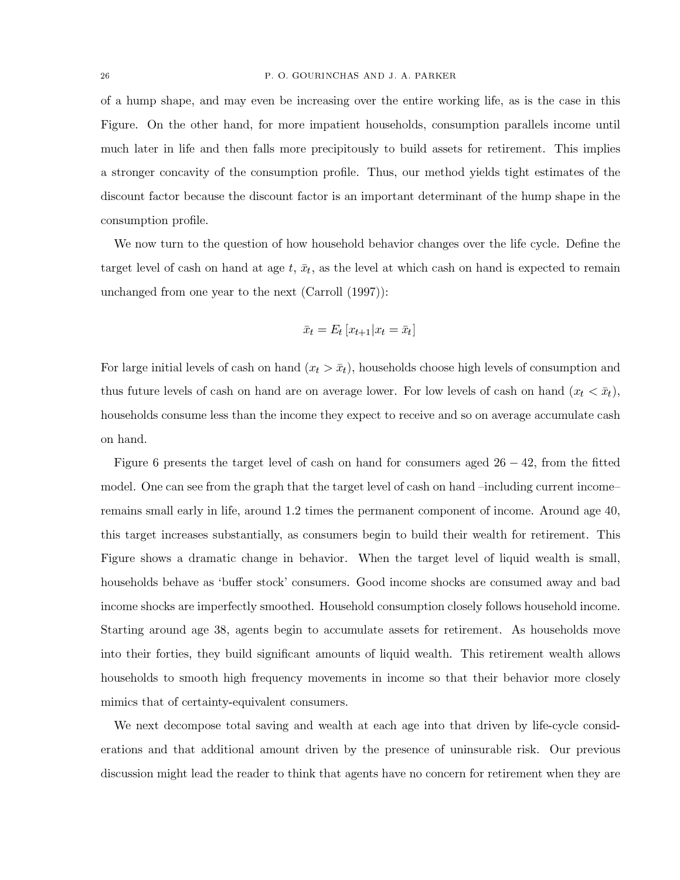ri d kxps vkdsh/ dqg pd| hyhq eh lqfuhdvlqj ryhu wkh hqwluh zrunlqj olih/ dv lv wkh fdvh lq wklv lljxuh1 Rq wkh rwkhu kdqg/ iru pruh Ipsdwlhqw krxvhkrogy/ frqvxpswlrq sdudoohov lqfrph xqwlo pxfk odwhu lq olih dqq wkhq idoov pruh suhflslwrxvol wr exlog dvvhwv iru uhwluhphqw1 Wklv Ipsolhv d ywurgihu frgfdylwl ri wkh frgyxpswlrg sur oh1 Wkxy/ rxu phwkrg llhogy wlikw hywlpdwhy ri wkh glvfrxqw idfwru ehfdxvh wkh glvfrxqw idfwru Iv dq Ipsruwdqw ghwhuplqdqw ri wkh kxps vkdsh Iq wkh frqvxpswlrq sur oh1

Zh qrz wxuq wr wkh txhvwlrq ri krz krxvhkrog ehkdylru fkdqjhv ryhu wkh olih f|foh1 Gh qh wkh wdujhw ohyho ri fdvk rq kdqg dw djh |>dv wkh ohyho dw zklfk fdvk rq kdqg lv h{shfwhg wr uhpdlq xqfkdqjhg iurp rqh | hdu wr wkh qh{w + Fduuroo +4<<:,,=

 $\{ | @H_1 \wedge |_{\text{In}} \wedge \text{In} @ \}$ 

Iru odujh Iqlwldo ohyhov ri fdvk rq kdqg $\{+A\}$ , krxvhkrogv fkrrvh kljk ohyhov ri frqvxpswlrq dqg wkxv ixwxuh ohyhov ri fdvk rq kdqg duh rq dyhudjh orzhu1 Iru orz ohyhov ri fdvk rq kdgg ?+ {|,/ krxvhkrogv frqvxph ohvv wkdq wkh lqfrph wkh| h{shfw wr uhfhlyh dqg vr rq dyhudjh dffxpxodwh fdvk rg kdgg1

lljxuh 9 suhvhqwv wkh wdujhw ohyho ri fdvk rq kdqg iru frqvxphuv djhg 5975>jurp wkh wwhg prgho1 Rgh fdg vhh iurp wkh judsk wkdw wkh wdujhw ohyho ri fdvk rg kdgg ~lgfoxglgj fxuuhgw lgfrph~ uhpdlqv vpdoo hduo| lq olih/ durxqq<del>5</del>4 wlphv wkh shupdqhqw frpsrqhqw ri lqfrph1 Durxqg djh 73/ wkly wdujhw lqfuhdyhy yxeywdqwldool/ dy frqyxphuy ehjlq wr exlog wkhlu zhdowk iru uhwluhphqw1 Wkl llixuh vkrzy d gudpdwlf fkdgih Ig ehkdylru1 Zkhg wkh wdujhw ohyho ri oltxlg zhdowk Iv vpdoo/ krxvhkrogy ehkdyh dv cex hu vwrfn\* frqvxphuv1 Jrrg lqfrph vkrfnv duh frqvxphg dzd| dqg edg lgfrph vkrfny duh lpshuihfwol vprrwkhg1 Krxyhkrog frgyxpswlrg foryhol iroorzy krxyhkrog lgfrph1 Vwduwlgi durxgg dih 6;/ dihgwy ehilg wr dffxpxodwh dvyhwy iru uhwluhphgw1 Dy krxyhkrogy pryh Igwr wkhlu iruwlhv/ wkh| exlog vljql fdqw dprxqwv ri oltxlg zhdowk1 Wklv uhwluhphqw zhdowk doorzv krxvhkrogy wr vprrwk kljk iuhtxhqf| pryhphqwv lq lqfrph vr wkdw wkhlu ehkdylru pruh forvho| plplfv wkdw ri fhuwdlqw|0htxlydohqw frqvxphuv1

Zh qh{w ghfrpsrvh wrwdo vdylqj dqg zhdowk dw hdfk djh lqwr wkdw gulyhq e| olih0f|foh frqvlg0 hudwirgy dag wkdw dgglwirgdo dprxqw gulyhq el wkh suhvhqfh ri xqlqvxudeoh ulvn1 Rxu suhylrxv glyfxyylrg plikw ohdg wkh uhdghu wr wklgn wkdw dihgwy kdyh gr frgfhug iru uhwluhphgw zkhg wkhl duh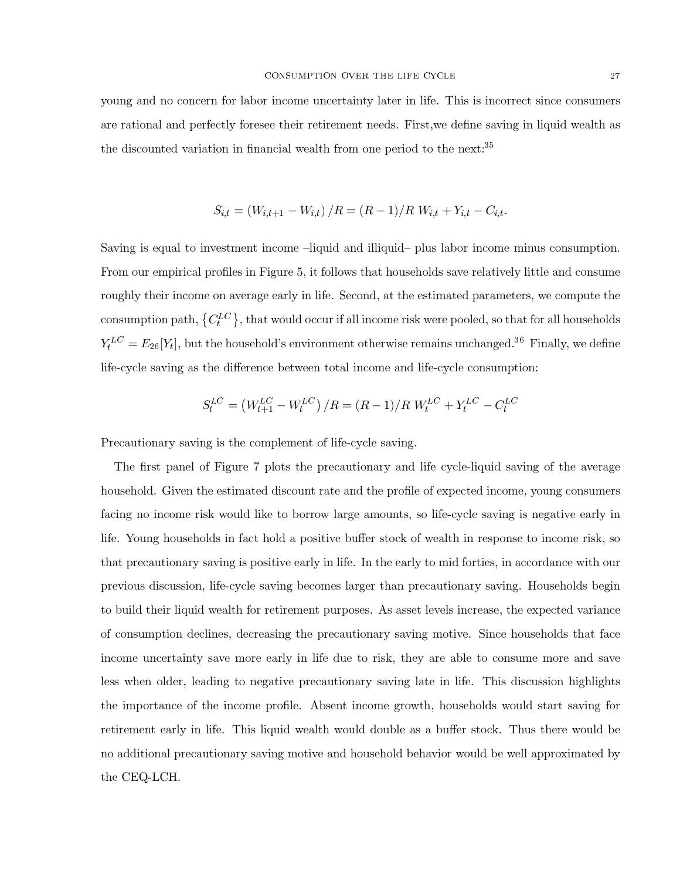|rxqj dqg qr frqfhuq iru oderu lqfrph xqfhuwdlqw| odwhu lq olih1 Wklv lv lqfruuhfw vlqfh frqvxphuv duh udwlrqdo dqg shuihfwo| iruhvhh wkhlu uhwluhphqw qhhgv1 Iluvw/zh ghqh vdylqj lq oltxlg zhdowk dv wkh glyfrxqwhg yduldwlrq lq qdqfldo zhdowk iurp rqh shulrg wr wkh qh $w =$ 

 $V_{\text{cl}} \otimes Z_{\text{cln}}$   $Z_{\text{cl}}$ ,  $\otimes U \otimes U_{\text{cl}}$   $4$ ,  $\otimes U Z_{\text{cl}}$   $\wedge$   $\otimes$   $F_{\text{cl}} =$ 

Vdylqj lv htxdo wr lqyhvwphqw lqfrph ~oltxlg dqg looltxlg~ soxv oderu lqfrph plqxv frqvxpswlrq1 lurp rxu hpslulfdo sur ohv lq Iljxuh 8/ lw iroorzv wkdw krxvhkrogv vdyh uhodwlyho| olwwoh dqg frqvxph urxjko| wkhlu lqfrph rq dyhudjh hduo| lq olih1 Vhfrqg/ dw wkh hvwlpdwhg sdudphwhuv/ zh frpsxwh wkh frqvxpswlrq sdwk/ Fˌ<sup>u</sup> / wkdw zrxog rffxu li doo lqfrph ulvn zhuh srrohg/ vr wkdw iru doo krxvhkrogv \ <sub>|</sub>'' @H<sub>2S</sub>^ <sub>|</sub>`/ exw wkh krxvhkrog\*v hqylurqphqw rwkhuzlvh uhpdlqv xqfkdqjh<del>g</del>1llqdoo|/ zh gh qh olih0f|foh vdylqj dv wkh gl huhqfh ehwzhhq wrwdo lqfrph dqg olih0f|foh frqvxpswlrq=

 $V_I^u \otimes Z_{I^n}^u$ ,  $Z_I^u \otimes U \otimes U$  4,  $\otimes U Z_I^u$  .  $V_I^u$  .  $F_I^u$ 

Suhfdxwlrqdu| vdylqj lv wkh frpsohphqw ri olih0f|foh vdylqj1

Wkh uvw sdaho ri Ilixuh : sorwy wkh suhfdxwlradul dag olih flfoh0oltxla ydylgi ri wkh dyhudih krxvhkrog1 Jlyhq wkh hvwlpdwhg glvfrxqw udwh dqg wkh suroh ri h{shfwhg lqfrph/ |rxqj frqvxphuv idflqj qr lqfrph ulvn zrxog olnh wr eruurz odujh dprxqwv/ vr olih0f|foh vdylqj lv qhjdwlyh hduo| lq olih1 \rxqj krxvhkrogv lq idfw krog d srvlwlyh exhu vwrfn ri zhdowk lq uhvsrqvh wr lqfrph ulvn/ vr wkdw suhfdxwlrqdu| vdylqj lv srvlwlyh hduo| lq olih1 Lq wkh hduo| wr plg iruwlhv/ lq dffrugdqfh zlwk rxu suhylrxv glvfxvvlrq/ olih0f|foh vdylqj ehfrphv odujhu wkdq suhfdxwlrqdu| vdylqj1 Krxvhkrogv ehjlq wr exlog wkhlu oltxlg zhdowk iru uhwluhphqw sxbsn Dv dvvhw ohyhov lqfuhdvh/ wkh h{shfwhg yduldqfh ri frqvxpswlrq ghfolqhv/ ghfuhdvlqj wkh suhfdxwlrqdu| vdylqj prwlyh1 Vlqfh krxvhkrogv wkdw idfh lqfrph xqfhuwdlqw| vdyh pruh hduo| lq olih gxh wr ulvn/ wkh| duh deoh wr frqvxph pruh dqg vdyh ohvv zkhq roghu/ ohdglqj wr qhjdwlyh suhfdxwlrqdu| vdylqj odwh lq olih1 Wklv glvfxvvlrq kljkoljkwv wkh lpsruwdqfh ri wkh lqfrph sur oh1 Devhqw lqfrph jurzwk/ krxvhkrogv zrxog vwduw vdylqj iru uhwluhphqw hduo| lq olih1 Wklv oltxlg zhdowk zrxog grxeoh dv d exhu vwrfn1 Wkxv wkhuh zrxog eh qr dgglwlrqdo suhfdxwlrqdu| vdylqj prwlyh dqg krxvhkrog ehkdylru zrxog eh zhoo dssur{lpdwhg e| wkh FHT0OFK1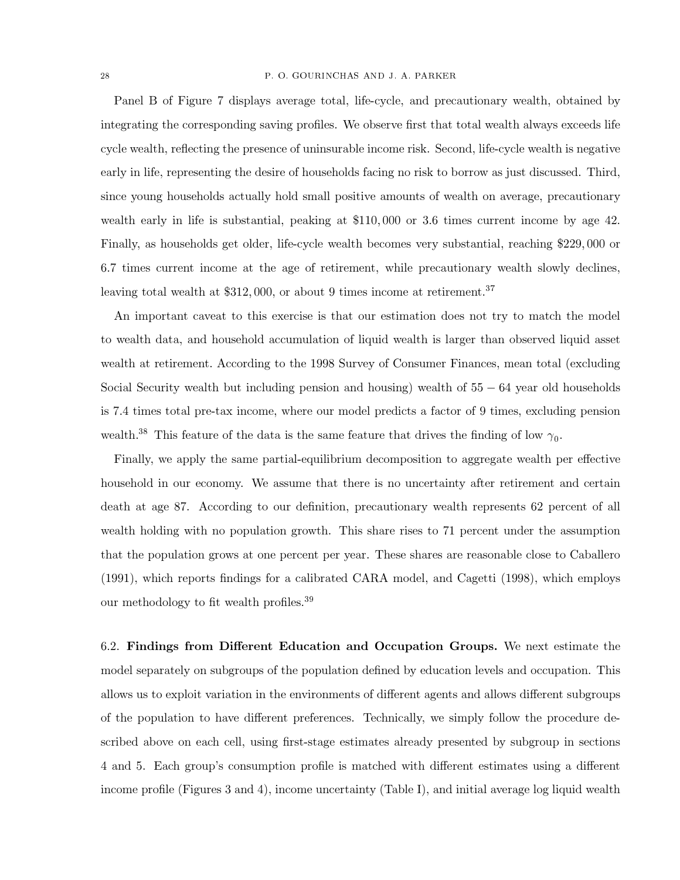Sdqho E ri Iljxuh : glvsod|v dyhudjh wrwdo/ olih0f|foh/ dqg suhfdxwlrqdu| zhdowk/ rewdlqhg e| lqwhjudwlqj wkh fruuhvsrqglqj vdylqj surohv1 Zh revhuyh uvw wkdw wrwdo zhdowk dozd|v h{fhhgv olih f|foh zhdowk/ uh hfwlqj wkh suhvhqfh ri xqlqvxudeoh lqfrph ulvn1 Vhfrqg/ olih0f|foh zhdowk lv qhjdwlyh hduo| lq olih/ uhsuhvhqwlqj wkh ghvluh ri krxvhkrogv idflqj qr ulvn wr eruurz dv mxvw glvfxvvhg1 Wklug/ vlqfh |rxqj krxvhkrogv dfwxdoo| krog vpdoo srvlwlyh dprxqwv ri zhdowk rq dyhudjh/ suhfdxwlrqdu| zhdowk hduo| lq olih lv vxevwdqwldo/ shdnlqj dw 3443 ru 69 wlphv fxuuhqw lqfrph e| djh 751 Ilqdoo|/ dv krxvhkrogv jhw roghu/ olih0f|foh zhdowk ehfrphv yhu| vxevwdqwldo/ uhdfklqj '55< >333 ru 9=: wlphv fxuuhqw lqfrph dw wkh djh ri uhwluhphqw/ zkloh suhfdxwlrqdu| zhdowk vorzo| ghfolqhv/ ohdylgj wrwdo zhdowk dw '6453/ ru derxw < wlphy lgfrph dw uhwluhphqw1

Dq lpsruwdqw fdyhdw wr wklv h{huflvh lv wkdw rxu hvwlpdwlrq grhv qrw wu| wr pdwfk wkh prgho wr zhdowk gdwd/ dqg krxvhkrog dffxpxodwlrq ri oltxlg zhdowk lv odujhu wkdq revhuyhg oltxlg dvvhw zhdowk dw uhwluhphqw1 Dffruglqj wr wkh 4<<; Vxuyh| ri Frqvxphu Ilqdqfhv/ phdq wrwdo +h{foxglqj Vrfldo Vhfxulw| zhdowk exw lqfoxglqj shqvlrq dqg krxvlqj, zhdowk ri 88 97 |hdu rog krxvhkrogv  $\vert v \vert = \frac{1}{2}$  wlphy wrwdo suh0wd{ lqfrph/ zkhuh rxu prgho suhglfwy d idfwru ri < wlphy/ h{foxglqj shqvlrg zhdowk<sup>h</sup> Wkly ihdwxuh ri wkh gdwd ly wkh ydph ihdwxuh wkdw gulyhy wkh qglqj ri orz

Ilqdoo|/ zh dsso| wkh vdph sduwldo0htxloleulxp ghfrpsrvlwlrq wr djjuhjdwh zhdowk shu hhfwlyh krxvhkrog lq rxu hfrqrp|1 Zh dvvxph wkdw wkhuh lv qr xqfhuwdlqw| diwhu uhwluhphqw dqg fhuwdlq ghdwk dw djh ;:1 Dffruglqj wr rxu ghqlwlrq/ suhfdxwlrqdu| zhdowk uhsuhvhqwv 95 shufhqw ri doo zhdowk kroglqj zlwk qr srsxodwlrq jurzwk1 Wklv vkduh ulvhv wr :4 shufhqw xqghu wkh dvvxpswlrq wkdw wkh srsxodwlrg jurzy dw rgh shufhqw shu |hdu1 Wkhvh vkduhv duh uhdvrgdeoh forvh wr Fdedoohu +4<<4,/ zklfk uhsruwv qglqjv iru d fdoleudwhg FDUD prgho/ dqg Fdjhwwl +4<<;,/ zklfk hpsor|v rxu phwkrgrorj| wr w zhdowk sur ohv $\mathcal{P}$ 

9151Ilqglqjv iurp Glhuhqw Hgxf dwlrq dqg Rf fxsdwlrq Jur xsv1 Zh qh{w hvwlpdwh wkh prgho vhsdudwho| rq vxejurxsv ri wkh srsxodwlrq ghqhg e| hgxfdwlrq ohyhov dqg rffxsdwlrq1 Wklv doorzv xv wr h{sorlw yduldwlrq lq wkh hqylurqphqwv ri glhuhqw djhqwv dqg doorzv glhuhqw vxejurxsv ri wkh srsxodwlrg wr kdyh glhuhqw suhihuhgfhv1 Whfkglfdool/zh vlpsol iroorz wkh surfhgxuh gh0 vfulehg deryh rq hdfk fhoo/ xvlqj uvw0vwdjh hvwlpdwhv douhdg| suhvhqwhg e| vxejurxs lq vhfwlrqv 7 dqg 81 Hdfk jurxs\*v frqvxpswlrq suroh lv pdwfkhg zlwk glhuhqw hvwlpdwhv xvlqj d glhuhqw lqfrph suroh +Iljxuhv 6 dqg 7,/ lqfrph xqfhuwdlqw| +Wdeoh L,/ dqg lqlwldo dyhudjh orj oltxlg zhdowk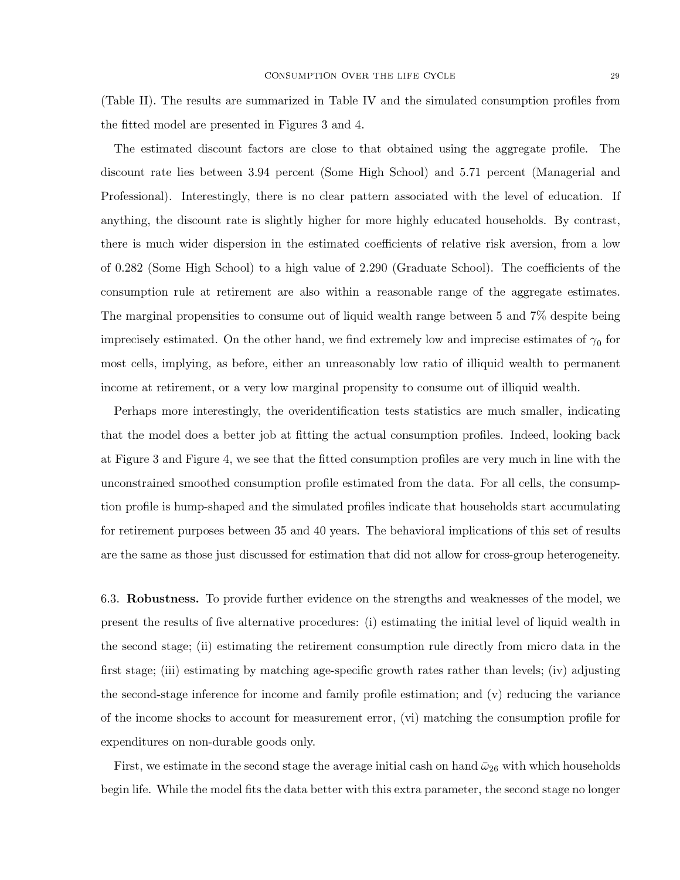+Wdeoh LL,1 Wkh uhvxowv duh vxppdul}hg lq Wdeoh LY dqg wkh vlpxodwhg frqvxpswlrq sur ohv iurp wkh wwhg prgho duh suhvhqwhg lq llixuhv 6 dqg 71

Wkh hywlpdwhg glyfrxgw idfwruy duh foryh wr wkdw rewdlghg xylgi wkh dijuhjdwh sur oh1 Wkh glvfrxqw udwh olhv ehwzhhe To shufhqw +Vrph Kljk Vfkrro, dqg 8=4 shufhqw +Pdqdjhuldo dqg Surihvvlrgdo,1 Lgwhuhvwlgjol/ wkhuh lv gr fohdu sdwwhug dvvrfldwhg zlwk wkh ohyho ri hgxfdwlrg1 L dq|wklqj/ wkh glvfrxqw udwh lv voljkwo| kljkhu iru pruh kljko| hgxfdwhg krxvhkrogv1 E| frqwudvw/ wkhuh Iv pxfk zighu givshuvirg ig wkh hvwipdwhg frh fihqwv ri uhodwiyh ulvn dyhuvirg/ iurp d orz ri 3 5:5 +Vrph Kljk Vfkrro, wr d kljk ydoxh ri 5 = 5 < 3 + Judgxdwh Vfkrro, 1 Wkh frh flhqwv ri wkh frqvxpswlrq uxoh dw uhwluhphqw duh dovr zlwklq d uhdvrqdeoh udqjh ri wkh djjuhjdwh hvwlpdwhv1 Wkh pdujlqdo surshqvlwlhv wr frqvxph rxw ri oltxlg zhdowk udqjh ehwzhhq 8 dqg : (ghvslwh ehlqj Ipsuhflyhol hywlpdwhg1 Rq wkh rwkhu kdqg/ zh qg h{wuhphol orz dqg Ipsuhflyh hywlpdwhy riru prvw fhoov/ Ipsollgi/ dv ehiruh/ hlwkhu dg xguhdvrgdeol orz udwlr ri looltxlg zhdowk wr shupdghgw Igfrph dw uhwluhphqw/ru d yhu| orz pdujlqdo surshqvlw| wr frqvxph rxw ri looltxlg zhdowk1

Shukdsv pruh lqwhuhvwlgjol/ wkh ryhulghqwl fdwlrq whvwv vwdwlvwlfv duh pxfk vpdoohu/ lqglfdwlqj wkdw wkh prgho grhy d ehwwhu mre dw wwlgi wkh dfwxdo frgyxpswlrg sur ohy1 Lgghhg/ orrnlgi edfn dw lljxuh 6 dqg lljxuh 7/ zh vhh wkdw wkh wwhg frqvxpswlrq sur ohv duh yhu| pxfk lq olqh zlwk wkh xgfrgvwudlghg vprrwkhg frgvxpswlrg sur oh hvwlpdwhg iurp wkh gdwd1 lru doo fhoov/ wkh frgvxps0 wlrq sur oh Iv kxps0vkdshg dqg wkh vlpxodwhg sur ohv lqglfdwh wkdw krxvhkrogv vwduw dffxpxodwlqj iru uhwluhphqw sxusrvhv ehwzhhq 68 dqg 73 |hduv1 Wkh ehkdylrudo lpsolfdwlrqv ri wklv vhw ri uhvxowv duh wkh vdph dv wkrvh mxvw glvfxvvhg iru hvwlpdwlrq wkdw glg qrw doorz iru furvv0jurxs khwhurjhqhlw|1

9161Urexvwqhvv1 Wr surylgh ixuwkhu hylghqfh rq wkh vwuhqjwkv dqg zhdndtv ri wkh prgho/zh suhvhqw wkh uhvxowv ri yh dowhuqdwlyh surfhgxuhv= +I, hvwlpdwlqj wkh lqlwldo ohyho ri oltxlg zhdowk wkh vhfrqg vwdjh> +ll, hvwlpdwlqj wkh uhwluhphqw frqvxpswlrq uxoh gluhfwo| iurp plfur gdwd lq wkh uvw vwdih> +III, hvwlpdwlqj e| pdwfklqj djh0vshfl f jurzwk udwhv udwkhu wkdq ohyhov> +Iy, dgmxvwlqj wkh vhfrqq0vwdih lqihuhqfh iru lqfrph dqq idplo| sur oh hvwlpdwlrq> dqq +y, uhqxflqi wkh yduldqfh ri wkh lgfrph vkrfny wr dffrxgw iru phdyxuhphgw huuru/ +yl, pdwfklgj wkh frgyxpswlrg sur oh iru h{shqqlwxuhv rq qrq0gxudeoh jrrgv rqo|1

lluvw/zh hywlpdwh lq wkh yhfrqg ywdjh wkh dyhudjh lqlwldo fdyk rq k&ggzlwk zklfk krxyhkrogy ehilg olih1 Zkloh wkh prgho wy wkh gdwd ehwwhu zlwk wkly h{wud sdudphwhu/ wkh yhfrgg ywdih gr orgihu

 $2<sub>b</sub>$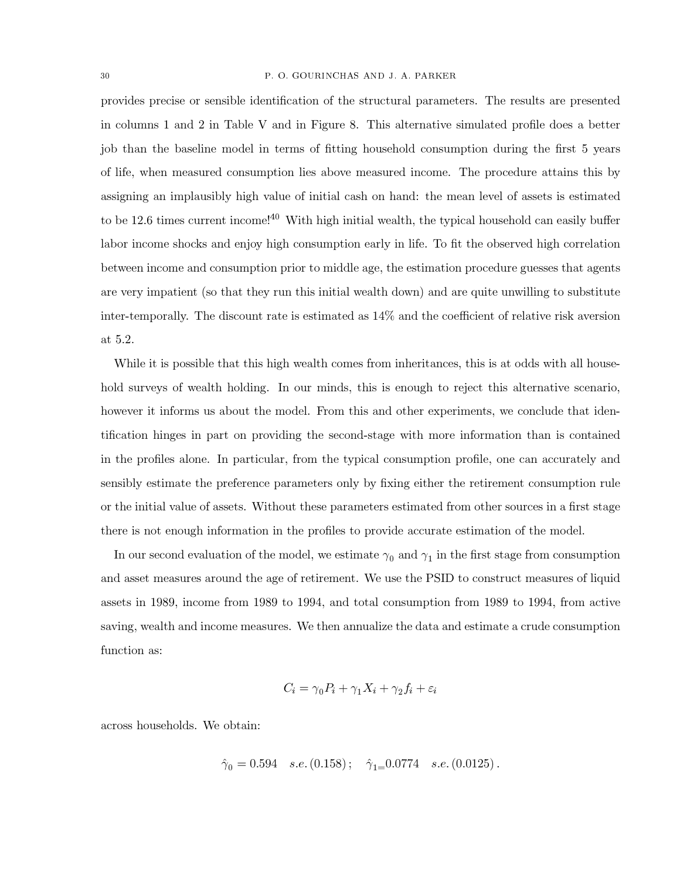surylghv suhflvh ru vhqvleoh Ighqwl fdwlrq ri wkh vwuxfwxudo sdudphwhuv1 Wkh uhvxowv duh suhvhqw Iq froxpqv 4 dqg 5 lq Wdeoh Y dqg lq Iljxuh ;1 Wklv dowhuqdwlyh vlpxodwhg sur oh grhv d ehwwhu mre wkdq wkh edvholgh prgho lg whupy ri wwlgj krxvhkrog frgyxpswlrg gxulgj wkh uyw 8 |hduv ri olih/ zkha phdyxuha fravxpswlra olhy deryh phdyxuha lafrph1 Wkh surfhaxuh dwwdlay wkly el dvvljalaj da Ipsodxvleoj kljk ydoxh ri lalwido fdvk ra kdag= wkh phda ohyho ri dvvhwv lwwtpdwhg wr eh 459 wlphv fxuuhqw lqfrph\$ Zlwk kljk lqlwldo zhdowk/ wkh w|slfdo krxvhkrog fdq hdvlo| ex hu oderu lgfrph vkrfnv dgg hgmr| kljk frgvxpswlrg hduo| lg olih1 Wr w wkh revhuyhg kljk fruuhodwlrg ehwzhhq lqfrph dqg frqvxpswlrq sulru wr plggoh djh/ wkh hvwlpdwlrq surfhgxuh jxhvvhv wkdw djhqwv duh yhu| Ipsdwlhqw +vr wkdw wkh| uxq wklv Iqlwldo zhdowk grzq, dqg duh txlwh xqzloolqj wr vxevwlwxwh Iqwhu0whpsrudoo|1 Wkh glvfrxqw udwh lv hvwlpdwhg dv 47(dqg wkh frh flhqw ri uhodwlyh ulvn dyhuvlrq dw 851

Zkloh lw Iv srvvleoh wkdw wkly kljk zhdowk frphy iurp Igkhulwdgfhy/ wkly Iv dw rggy zlwk doo krxvh0 krog vxuyh|v ri zhdowk kroglqj1 Lq rxu plqgv/ wklv lv hqrxjk wr uhmhfw wklv dowhuqdwlyh vfhqdulr/ krzhyhu lw lgirupy xy derxw wkh prgho1 lurp wkly dgg rwkhu h{shulphgwy/ zh frgfoxgh wkdw lghg0 wl fdwlrg klgihy Ig sduw rg surylglgi wkh vhfrgg0vwdih zlwk pruh lgirupdwlrg wkdg Iv frgwdlghg Ig wkh sur ohv dorgh1 Lg sduwlfxodu/ iurp wkh w|slfdo frgvxpswlrg sur oh/ rgh fdg dffxudwho| dgg vhqvleol hvwlpdwh wkh suhihuhqfh sdudphwhuv rqol el {lqj hlwkhu wkh uhwluhphqw frqvxpswlrq uxoh ru wkh lglwldo ydoxh ri dvvhwy1 Zlwkrxw wkhyh sdudphwhuv hywlpdwhg iurp rwkhu yrxufhy lg d uyw ywdjh wkhuh Iv qrw hqrxjk lqirupdwlrq Iq wkh sur ohv wr surylgh dffxudwh hvwlpdwlrq ri wkh prgho1

La rxu vhfrag hydoxdwlra ri wkh praho/ zh hvwlpdwh dag . Iq wkh uvw vwdjh iurp frqvxpswlra dgg dyvhw phdyxuhy durxgg wkh dih ri uhwluhphgw1 Zh xvh wkh SVLG wr frgywuxfw phdyxuhy ri oltxlg dvvhwv lq 4<;</ lqfrph iurp 4<;< wr 4<<7/ dqg wrwdo frqvxpswlrq iurp 4<;< wr 4<< Turp dfwlyh vdylgi/ zhdowk dag lgfrph phdvxuhv1 Zh wkhg dagxdol}h wkh gdwd dag hywlpdwh d fuxgh frgyxpswlrg ixqfwlrq  $dv =$ 

 $F @ {S \t{. | A} \t{. | B} \t{. | B} \t{. | C} \t{. | C} \t{. | C} \t{. | C} \t{. | C} \t{. | C} \t{. | C} \t{. | C} \t{. | C} \t{. | C} \t{. | C} \t{. | C} \t{. | C} \t{. | C} \t{. | C} \t{. | C} \t{. | C} \t{. | C} \t{. | C} \t{. | C} \t{. | C} \t{. | C} \t{. | C} \t{. | C} \t{. | C} \t{. | C} \t{. | C} \t{. | C$ 

dfurvv krxvhkrogv1 Zh rewdlq=

 $a_6 \ @ 38 < 7$  v=h $\pm 348$ ;  $> a_6$  3-3::7 v=h $\pm 33458$ ,=

 $\mathbf{f}$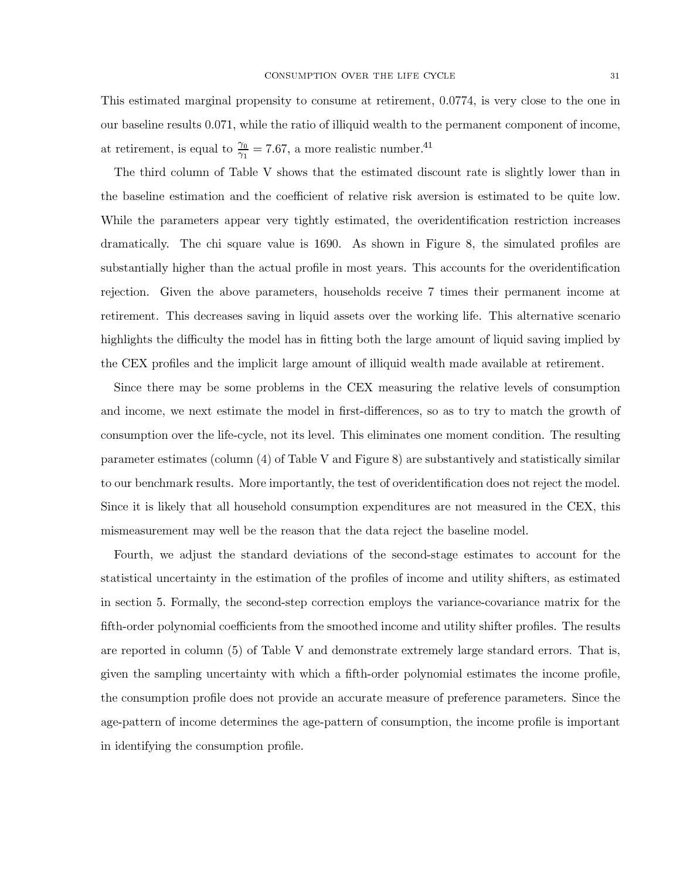Wkly hywlpdwhg pdujlqdo surshqvlw| wr frqvxph dw uhwluhphq&rt & Iv yhu| forvh wr wkh rqh lq rxu edvholgh uhvxow 3.3/ zkloh wkh udwlr ri looltxlg zhdowk wr wkh shupdqhqw frpsrqhqw ri lqfrph/ dw uhwluhphqw/lv htxdo ₩r@ : 9: > d pruh uhdolvwlf qxpehu91

Wkh wklug froxpg ri Wdeoh Y vkrzy wkdw wkh hywlpdwhg glyfrxgw udwh ly voljkwol orzhu wkdg lg wkh edvholgh hywlpdwlrg dgg wkh frh flhgw ri uhodwlyh ulvn dyhuvlrg Iv hywlpdwhg wr eh txlwh orz1 Zkloh wkh sdudphwhuv dsshdu yhu| wljkwo| hvwlpdwhg/ wkh ryhulghqwl fdwlrq uhvwulfwlrq lqfuhdvhv gudpdwlfdool1 Wkh fkl vtxduh ydoxh lv 49<31 Dv vkrzq lq lljxuh ;/ wkh vlpxodwhg sur ohv duh vxevwdqwldoo| kljkhu wkdq wkh dfwxdo sur oh lq prvw |hduv1 Wklv dffrxqwv iru wkh ryhulghqwl fdwlrq uhmhfwlrq1 Jlyhq wkh deryh sdudphwhuv/ krxvhkrogy uhfhlyh : wlphy wkhlu shupdqhqw lqfrph dw uhwluhphqw1 Wklv ghfuhdvhv vdylgi lg oltxlayldwv ryhu wkh anlgi olih1 Wklv dowhugdwlyh vfhgdulr kljkoljkwy wkh gl fxowl wkh prgho kdy lg wwlgj erwk wkh odujh dprxgw ri oltxlg ydylgj Ipsolhg el wkh FHI sur ohy dgg wkh Ipsolflw odujh dprxgw ri looltxig zhdowk pdgh dydlodeoh dw uhwluhphgw1

Vigfh wkhuh pd| eh vrph sureohpv ig wkh FH[ phdvxulgj wkh uhodwlyh ohyhov ri frqvxpswlrg dgg lafrph/zh gh{w hywlpdwh wkh praho lg uyw0gl huhgfhy/ yr dy wr wul wr pdwfk wkh jurzwk ri frgyxpswlrg ryhu wkh olih0f|foh/grw lwy ohyho1 Wkly holplgdwhy rgh prphgw frgglwlrg1 Wkh uhyxowlgi sdudphwhu hywlpdwhy +froxpq +7, ri Wdeoh Y dqg Iljxuh;, duh vxevwdqwlyhol dqg ywdwlywlfdool vlplodu wr rxu ehqfkpdun uhvxowv1 Pruh Ipsruwdqwol/ wkh whvw ri ryhulghqwl fdwlrq grhv qrw uhmhfw wkh prgho1 Vlqfh lw Iv olnhol wkdw doo krxvhkrog frqvxpswlrq h{shqglwxuhv duh qrw phdvxuhg lq wkh FH[/ wklv plyphdvxuhphqw pd| zhoo eh wkh uhdvrq wkdw wkh gdwd uhmhfw wkh edvholgh prgho1

Irxuwk/ zh dgmxvw wkh vwdqgdug ghyldwlrqv ri wkh vhfrqg0vwdjh hvwlpdwhv wr dffrxqw iru wkh vwdwlvwlfdo xqfhuwdlqw| lq wkh hvwlpdwlrq ri wkh sur ohv ri lqfrph dqg xwlolw| vkliwhuv/ dv hvwlpdwhg Iq vhfwlrq 81 Irupdool/ wkh vhfrqg0vwhs fruuhfwlrq hpsorlv wkh yduldqfh0fryduldqfh pdwul{ iru wkh iwk0rughu sro|qrpldo frh flhqwv iurp wkh vprrwkhg lqfrph dqg xwlolw| vkliwhu sur ohv1 Wkh uhvxowv duh uhsruwhg Iq froxpq +8, ri Wdeoh Y dgg ghprgywudwh h{wuhpho| odujh ywdggdug huuruv1 Wkdw lv/ jlyhq wkh vdpsolqj xqfhuwdlqw| zlwk zklfk d iwk0rughu sro|qrpldo hvwlpdwhv wkh lqfrph sur oh/ wkh frgyxpswlrg sur oh grhy grw surylgh dg dffxudwh phdyxuh ri suhihuhgfh sdudphwhuy1 Vlgfh wkh dih0sdwwhuq ri lqfrph ghwhuplqhy wkh dih0sdwwhuq ri frqyxpswlrq/ wkh lqfrph sur oh ly lpsruwdqw Iq Ighqwli|lqj wkh frqvxpswlrq sur oh1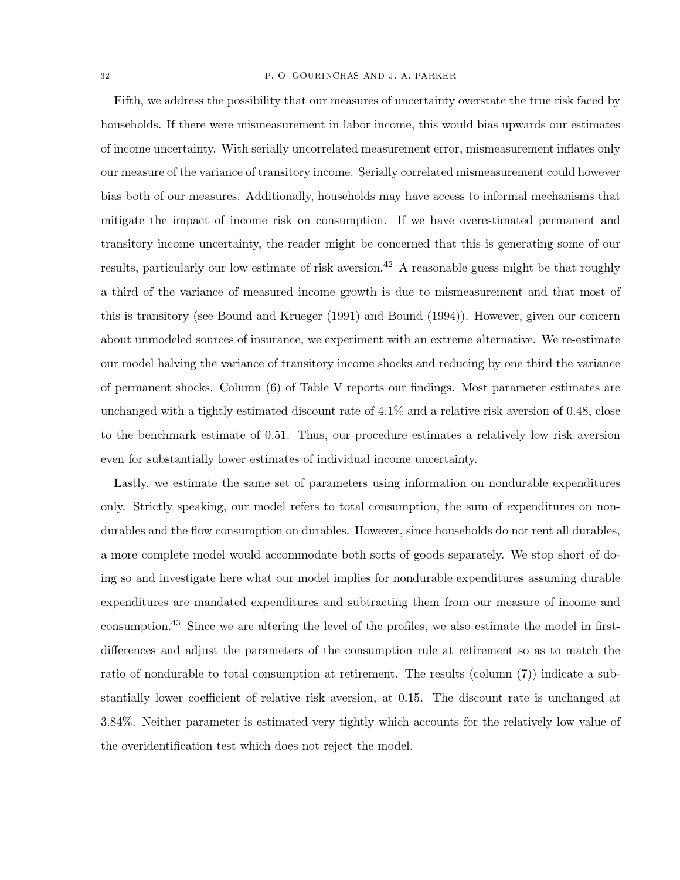#### 2 DP-Y Q7 \$ c -l.-

Iliwk/ zh dgguhvv wkh srvvlelolw| wkdw rxu phdvxuhv ri xqfhuwdlqw| ryhuvwdwh wkh wuxh ulvn idfhg e| krxvhkrogv1 Li wkhuh zhuh plvphdvxuhphqw lq oderu lqfrph/ wklv zrxog eldv xszdugv rxu hvwlpdwhv ri lqfrph xqfhuwdlqw|1 Zlwk vhuldoo| xqfruuhodwhg phdvxuhphqw huuru/ plvphdvxuhphqw lqdwhv rqo| rxu phdvxuh ri wkh yduldqfh ri wudqvlwru| lqfrph1 Vhuldoo| fruuhodwhg plvphdvxuhphqw frxog krzhyhu eldv erwk ri rxu phdvxuhv1 Dgglwlrqdool/ krxvhkrogv pd| kdyh dffhvv wr lqirupdo phfkdqlvpv wkdw plwljdwh wkh lpsdfw ri lqfrph ulvn rq frqvxpswlrq1 Li zh kdyh ryhuhvwlpdwhg shupdqhqw dqg wudqvlwru| lqfrph xqfhuwdlqw|/ wkh uhdghu pljkw eh frqfhuqhg wkdw wklv lv jhqhudwlqj vrph ri rxu uhvxowv/ sduwlfxoduo| rxu orz hvwlpdwh ri ulvn dyhttvllog uhdvrqdeoh jxhvv pljkw eh wkdw urxjko| d wklug ri wkh yduldqfh ri phdvxuhg lqfrph jurzwk lv gxh wr plvphdvxuhphqw dqg wkdw prvw ri wklv lv wudqvlwru| +vhh Erxqg dqg Nuxhjhu +4<<4, dqg Erxqg +4<<7,,1 Krzhyhu/ jlyhq rxu frqfhuq derxw xqprghohg vrxufhv ri lqvxudqfh/ zh h{shulphqw zlwk dq h{wuhph dowhuqdwlyh1 Zh uh0hvwlpdwh rxu prgho kdoylqj wkh yduldqfh ri wudqvlwru| lqfrph vkrfnv dqg uhgxflqj e| rqh wklug wkh yduldqfh ri shupdqhqw vkrfnv1 Froxpq +9, ri Wdeoh Y uhsruwv rxu qglqjv1 Prvw sdudphwhu hvwlpdwhv duh xqfkdqihg zlwk d wljkwo| hvwlpdwhg glvfrxqw udwh ri4( dqg d uhodwlyh ulvn dyhuvlrg ri-3; >forvh wr wkh ehqfkpdun hvwlpdwh ri 31841 Wkxv/ rxu surfhgxuh hvwlpdwhv d uhodwlyho| orz ulvn dyhuvlrq hyhq iru vxevwdqwldoo| orzhu hvwlpdwhv ri lqglylgxdo lqfrph xqfhuwdlqw|1

Odvwol/ zh hvwlpdwh wkh vdph vhw ri sdudphwhuv xvlqj lqirupdwlrq rq qrqgxudeoh h{shqglwxuhv rqo|1 Vwulfwo| vshdnlqj/ rxu prgho uhihuv wr wrwdo frqvxpswlrq/ wkh vxp ri h{shqglwxuhv rq qrq0 gxudeohv dqg wkh rz frqvxpswlrq rq gxudeohv1 Krzhyhu/ vlqfh krxvhkrogv gr qrw uhqw doo gxudeohv/ d pruh frpsohwh prgho zrxog dffrpprgdwh erwk vruwv ri jrrgv vhsdudwho|1 Zh vwrs vkruw ri gr0 lqj vr dqq lqyhvwljdwh khuh zkdw rxu prgho lpsolhv iru qrqqxudeoh h{shqqlwxudtw xplqj gxudeoh h{shqglwxuhv duh pdqgdwhg h{shqglwxuhv dqg vxewudfwlqj wkhp iurp rxu phdvxuh ri lqfrph dqg frqvxpswlrq1 <sup>e</sup> Vlqfh zh duh dowhulqj wkh ohyho ri wkh sur ohv/ zh dovr hvwlpdwh wkh prgho lq uvw0 glhuhqfhv dqg dgmxvw wkh sdudphwhuv ri wkh frqvxpswlrq uxoh dw uhwluhphqw vr dv wr pdwfk wkh udwlr ri qrqgxudeoh wr wrwdo frqvxpswlrq dw uhwluhphqw1 Wkh uhvxowv +froxpq +:,, lqglfdwh d vxe0 vwdqwldool orzhu frh flhqw ri uhodwlyh ulvn dyhuvlrq/  $d\theta$ 3 Wkh glvfrxqw udwh lv xqfkdqihg dw 6=7(1 Qhlwkhu sdudphwhu lv hvwlpdwhg yhu| wljkwo| zklfk dffrxqwv iru wkh uhodwlyho| orz ydoxh ri wkh ryhulghqwl fdwlrq whvw zklfk grhv qrw uhmhfw wkh prgho1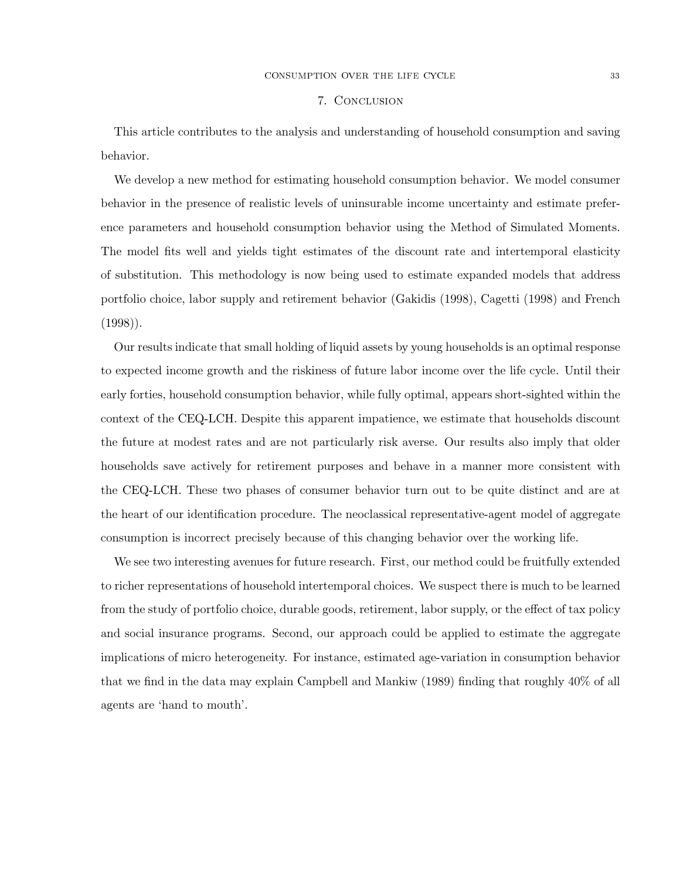### :1 NAW, t NA

Wkly duwlfoh frgwulexwhy wr wkh dgdolyly dgg xgghuywdgglgi ri krxyhkrog frgyxpswlrg dgg ydylgi ehkdylru1

Zh ghyhors d ghz phwkrg iru hywlpdwlgi krxyhkrog frgyxpswlrg ehkdylru1 Zh prgho frgyxphu ehkdylru lg wkh suhvhgfh ri uhdolvwlf ohyhov ri xglgyxudeoh lgfrph xgfhuwdlgwl dgg hywlpdwh suhihu0 hqfh sdudphwhuv dqg krxvhkrog frqvxpswlrq ehkdylru xvlqj wkh Phwkrg ri Vlpxodwhg Prphqwv1 Wkh prgho wv zhoo dqg |lhogv wljkw hvwlpdwhv ri wkh glvfrxqw udwh dqg lqwhuwhpsrudo hodvwlflw| ri vxevwlwxwlrq1 Wklv phwkrgrorj| lv qrz ehlqj xvhg wr hvwlpdwh h{sdqghg prghov wkdw dgguhvv sruwirolr fkrlfh/ oderu vxsso| dqg uhwluhphqw ehkdylru +Jdnlglv +4<<;,/ Fdjhwwl +4<<;, dqg luhqfk  $+4 < 1,1$ 

Rxu uhvxowv lqglfdwh wkdw vpdoo kroglqj ri oltxlg dvvhwv e| |rxqj krxvhkrogv lv dq rswlpdo uhvsrqvh wr h{shfwhg lqfrph jurzwk dgg wkh ulvnlqhvv ri ixwxuh oderu lqfrph ryhu wkh olih f|foh1 Xqwlo wkhlu hduo| iruwlhv/ krxvhkrog frqvxpswlrq ehkdylru/ zkloh ixoo| rswlpdo/ dsshduv vkruw0vljkwhg zlwklq wkh frgwh{w ri wkh FHT0OFK1 Ghvslwh wklv dssduhgw lpsdwlhgfh/zh hvwlpdwh wkdw krxvhkrogy glvfrxgw wkh ixwxuh dw prghvw udwhv dqg duh qrw sduwlfxoduol ulvn dyhuvh1 Rxu uhvxowv dovr Ipsol wkdw ro krxyhkrogy ydyh dfwlyhol iru uhwluhphgw sxusryhy dgg ehkdyh ig d pdgghu pruh frgylywhgw zlwk wkh FHT0OFK1 Wkhvh wzr skdvhv ri frqvxphu ehkdylru wxuq rxw wr eh txlwh glvwlqfw dqg duh dw wkh khduw ri rxu Ighqwl fdwlrq surfhgxuh1 Wkh qhrfodvvlfdo uhsuhvhqwdwlyh0djhqw prgho ri dijuhjdwh frqvxpswlrq lv lqfruuhfw suhflvhol ehfdxvh ri wklv fkdqilqi ehkdylru ryhu wkh zrunlqi olih1

Zh vhh wzr lqwhuhvwlqj dyhqxhv iru ixwxuh uhvhdufk1 lluvw/ rxu phwkrg frxog eh iuxlwixool h{whqghg wr ulfkhu uhsuhvhqwdwlrqv ri krxvhkrog lqwhuwhpsrudo fkrlfhv1 Zh vxvshfw wkhuh lv pxfk wr eh ohduqhg iurp wkh vwxg| ri sruwirolr fkrlfh/ gxudeoh jrrgv/ uhwluhphqw/ oderu vxssol/ ru wkh h hfw ri wd{ srolf| dqg vrfldo lqvxudqfh surjudpv1 Vhfrqg/ rxu dssurdfk frxog eh dssolhg wr hvwlpdwh wkh djjuhjdwh Ipsolfdwlrqv ri plfur khwhurjhqhlw|1 lru lqvwdqfh/ hvwlpdwhg djh0yduldwlrq lq frqvxpswlrq ehkdylru wkdw zh qq lq wkh qdwd pd| h{sodlq Fdpsehoo dqq Pdqnlz +4<:<, qqlqi wkdw urxjko| 73( ri doo dihawy duh ckdag wr prxwk\*1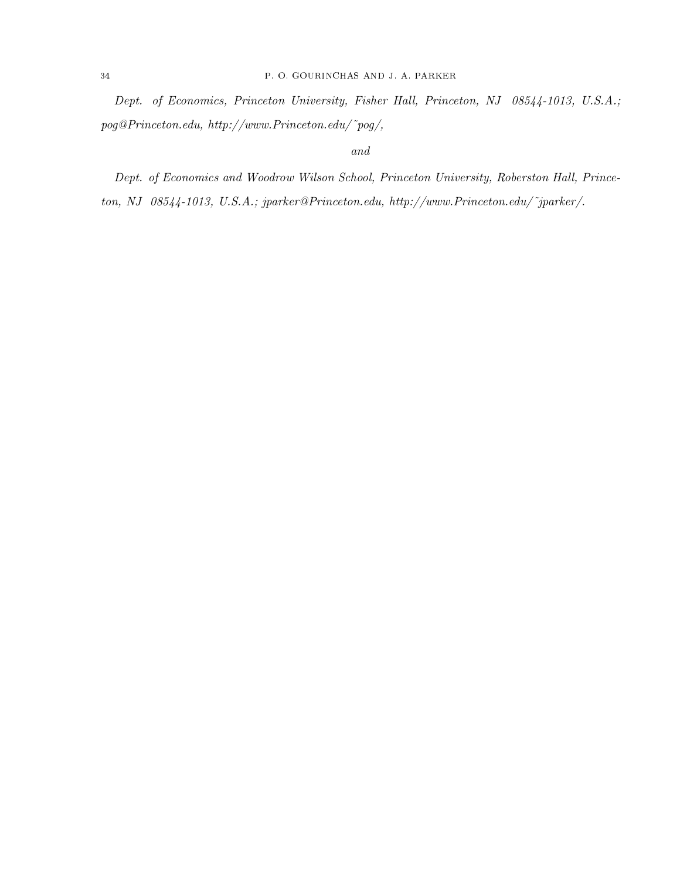Ghsw1 ri Hfrqrplfv/ Sulqfhwrq Xqlyhuvlw|/ Ilvkhu Kdoo/ Sulqfhwrq/ QM 3;87704346/ X1V1D1> srjCSulqfhwrq1hgx/ kwws=22zzz1Sulqfhwrq1hgx2•srj2/

dqg

Ghsw1 ri Hfrqrplfv dqg Zrrgurz Zlovrq Vfkrro/ Sulqfhwrq Xqlyhuvlw|/ Urehuvwrq Kdoo/ Sulqfh0 wrq/ QM 3;87704346/ X1V1D1> msdunhuCSulqfhwrq1hgx/ kwws=22zzz1Sulqfhwrq1hgx2•msdunhu21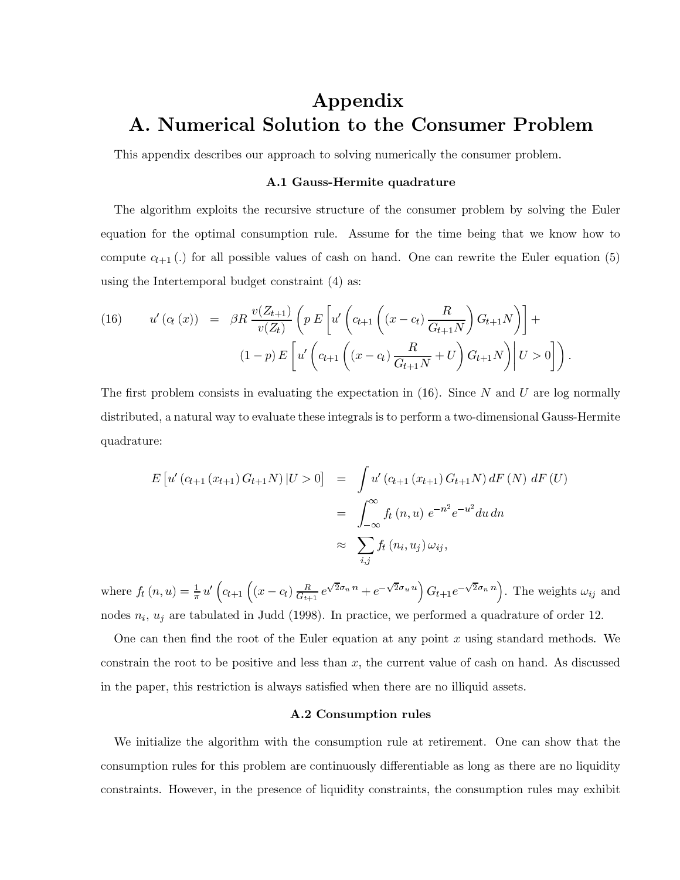# TTi? 4ih U@\* 5L\* | L? |L | i L?t 4ih hLM\*i4

Wkly dsshqql{ ghyfulehy rxu dssurdfk wr yroylgi gxphulfdool wkh frgyxphu sureohp1

### D14 Jdxvv0Khuplwh txdgudwxuh

Wkh dojrulwkp h{sorlwv wkh uhfxuvlyh vwuxfwxuh ri wkh frqvxphu sureohp e| vroylqj wkh Hxohu htxdwlrg iru wkh rswlpdo frgvxpswlrg uxoh1 Wyxph iru wkh wlph ehlgi wkdw zh ngrz krz wr frpsxwh f<sub>ln</sub>, + iru doo srvvleoh ydoxhv ri fdvk rq kdqg1 Rqh fdq uhzulwh wkh Hxohu htxdwlrq +8, xvlqj wkh Lqwhuwhpsrudo exgjhw frqvwudlqw +7, dv=

+49, 
$$
x \cdot f_{\parallel} + f_{\parallel}
$$
, @  $U \frac{y + f_{\parallel} + f_{\parallel}}{y + f_{\parallel}}$ ,  $s \cdot H \times f_{\parallel} + f_{\parallel}$ ,  $f_{\parallel} + f_{\parallel}$ ,  $f_{\parallel} + f_{\parallel}$ ,  $f_{\parallel} + f_{\parallel}$ ,  $f_{\parallel} + f_{\parallel}$ ,  $f_{\parallel} + f_{\parallel}$ ,  $f_{\parallel} + f_{\parallel}$ ,  $f_{\parallel} + f_{\parallel}$ ,  $f_{\parallel} + f_{\parallel}$ ,  $f_{\parallel} + f_{\parallel}$ ,  $f_{\parallel} + f_{\parallel}$ ,  $f_{\parallel} + f_{\parallel}$ ,  $f_{\parallel} + f_{\parallel}$ ,  $f_{\parallel} + f_{\parallel}$ ,  $f_{\parallel} + f_{\parallel}$ ,  $f_{\parallel} + f_{\parallel}$ ,  $f_{\parallel} + f_{\parallel}$ ,  $f_{\parallel} + f_{\parallel}$ ,  $f_{\parallel} + f_{\parallel}$ ,  $f_{\parallel} + f_{\parallel}$ ,  $f_{\parallel} + f_{\parallel}$ ,  $f_{\parallel} + f_{\parallel}$ ,  $f_{\parallel} + f_{\parallel}$ ,  $f_{\parallel} + f_{\parallel}$ ,  $f_{\parallel} + f_{\parallel}$ ,  $f_{\parallel} + f_{\parallel}$ ,  $f_{\parallel} + f_{\parallel}$ ,  $f_{\parallel} + f_{\parallel}$ ,  $f_{\parallel} + f_{\parallel}$ ,  $f_{\parallel} + f_{\parallel}$ ,  $f_{\parallel} + f_{\parallel}$ ,  $f_{\parallel} + f_{\parallel}$ ,  $f_{\parallel} + f_{\parallel}$ ,  $f_{\parallel} + f_{\parallel}$ ,  $f_{\parallel} + f_{\parallel}$ ,  $f_{\parallel} + f_{\parallel}$ ,  $f_{\parallel} + f_{\parallel}$ ,  $f_{\parallel} + f_{\parallel}$ ,  $f_{\parallel} + f_{\parallel}$ ,  $f_{\parallel} + f_{\parallel}$ ,  $f_{\parallel} + f_{\parallel}$ ,  $f_{\parallel} + f_{\parallel}$ ,  $f_{\parallel} + f_{\parallel}$ ,  $f_{\parallel} + f_{\parallel}$ ,  $f_{\parallel} + f_{\parallel}$ ,  $f_{\parallel} + f_{\parallel}$ ,  $f_{\parallel} + f_{\parallel}$ , <

Wkh uvw sureohp fravlywy la hydoxdwlgi wkh h{shfwdwlra la +49.1 Vlattrag X duh ori grupdool glywulexwhg/d gdwxudo zdl wr hydoxdwh wkhyh lgwhjudov ly wr shuirup d wzr0glphgylrgdo Jdxyv0Khuplwh txdgudwxuh=

$$
H \times f_{|n^{\bullet}} + {1 \choose |n^{\bullet}}, J_{|n^{\bullet}} Q, r \times A \text{ and } \bigotimes \{1 \times f_{|n^{\bullet}} + {1 \choose |n^{\bullet}}, J_{|n^{\bullet}} Q, g1 + Q, g1 + X, \bigotimes \{1 \times f_{|n^{\bullet}} + {1 \choose |n^{\bullet}} \times f_{|n^{\bullet}}^2 \}^2 \text{ by } gq
$$
\n
$$
I \qquad \qquad \bigotimes \{1 \times f_{|n^{\bullet}} + {1 \choose |n^{\bullet}} \times f_{|n^{\bullet}}^2 \}^2 \text{ by } gq
$$
\n
$$
I \qquad \qquad \bigotimes \{1 \times f_{|n^{\bullet}} + {1 \choose |n^{\bullet}} \times f_{|n^{\bullet}}^2 \}^2 \text{ by } gq
$$

zkhuh i <sub>|</sub> +q> x, @  $\frac{1}{z}$  x f<sub>|n</sub>, +{ f<sub>|, c\_n</sub>, h<sup> 2j</sup> ? ? h<sup>3</sup>  $\frac{1}{2}$ j J<sub>|n</sub>, h<sup>3</sup>  $\frac{1}{2}$ j ? ? 1 Wkh zhljkw $\oint$  dqg grghv q / x duh wdexodwhg lq Mxgg +4<<;,1 Lq sudfwlfh/ zh shuiruphg d txdgudwxuh ri rughu 451

Rgh fdg wkhg gg wkh urrw ri wkh Hxohu htxdwlrg dw dgl srlgwxvlgi vwdggdug phwkrgy1 Zh frgywudlg wkh urrw wr eh srylwlyh dgg ohyv w Kdakh fxuuhgw ydoxh ri fdyk rg kdgg1 Dy glyfxyyhg Iq wkh sdshu/ wklv uhvwulfwlrq Iv dozd|v vdwlv hg zkhq wkhuh duh qr looltxlg dvvhwv1

### D15 Frgvxpswlrg uxohv

Zh Iglwldol}h wkh dojrulwkp zlwk wkh frgvxpswlrg uxoh dw uhwluhphgw1 Rgh fdg vkrz wkdw wkh frgyxpswlrg uxohy iru wkly sureohp duh frgwlgxrxyol gl huhgwldeoh dy orgi dy wkhuh duh gr oltxlglw frgywudlgwy1 Krzhyhu/ lg wkh suhyhgfh ri oltxlglwl frgywudlgwy/ wkh frgyxpswlrg uxohy pdl h{klelw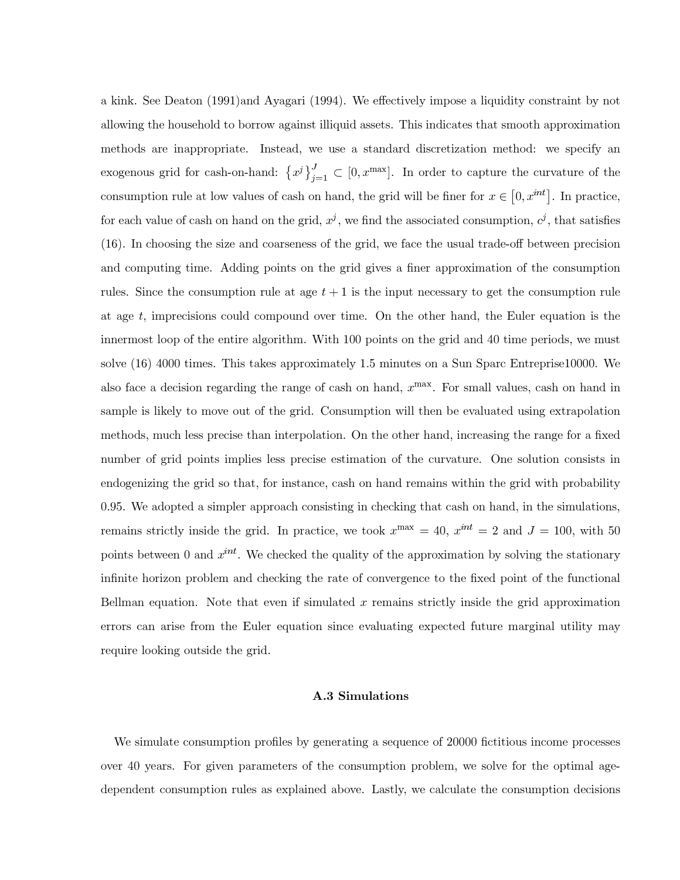d niqn1 Vhh Ghdwrq +4<<4,dqg D|djdul +4<<7,1 Zh h hfwlyho| lpsrvh d oltxiglw| frqvwudlqw e| qrw doorzlqj wkh krxvhkrog wr eruurz djdlqvw looltxlg dvvhwv1 Wklv lqglfdwhv wkdw vprrwk dssur{lpdwlrq phwkrgy duh Igdssursuldwh1 Lgywhdg/ zh xvh d ywdggdug glyfuhwl}dwlrg phwkrg= zh yshflil dg  $\begin{matrix} a \\ b \end{matrix}$ ^3 {<sup>4@</sup> `1 Lq rughu wr fdswxuh wkh fxuydwxuh ri wkh h{rjhqrxv julg iru fdvk0rq0kdqg= frgvxpswlrg uxoh dw orz ydoxhv ri fdvk rg kdgg/ wkh julg zloo eh ghu ir $\oint$  5 3>{<sup>2}</sup> 1 Lg sudfwlfh/ iru hdfk ydoxh ri fdvk rq kdqg rq wkh julg/ { / zh qg wkh dvvrfldwhg frqvxpswlrq/ f / wkdw vdwlv hv +49,1 Lq fkrrvlqj wkh vl}h dqg frduvhqhvv ri wkh julg/ zh idfh wkh xvxdo wudgh0r ehwzhhq suhflvlrq dqg frpsxwlqj wlph1 Dgglqj srlqwv rq wkh julg jlyhv d qhu dssur{lpdwlrq ri wkh frqvxpswlrq uxohv1 Vlqfh wkh frqvxpswlrq uxoh dw dijh4 lv wkh lqsxw qhfhvvdul wr jhw wkh frqvxpswlrq uxoh dw djhw Ipsuhflvlrqv frxog frpsrxqg ryhu wlph1 Rq wkh rwkhu kdqg/ wkh Hxohu htxdwlrq Iv wkh lgghuprvw orrs ri wkh hgwluh dojrulwkp1 Zlwk 433 srlgwy rg wkh julg dgg 73 wlph shulrgy/ zh pxvw vroyh +49, 7333 wlphv1 Wklv wdnhv dssur{lpdwh8|p4qxwhv rq d Vxq Vsduf Hqwuhsulvh433331 Zh dovr idfh d ghflvlrq uhjduglqj wkh udqjh ri fdvk rq kdqg/ {<sup>4@</sup> 1 lru vpdoo ydoxhv/ fdvk rq kdqg lq vdpsoh Iv olnhol wr pryh rxw ri wkh julg1 Frqvxpswlrq zloo wkhq eh hydoxdwhg xvlqj h{wudsrodwlrq phwkrgv/ pxfk ohvv suhflvh wkdq lqwhusrodwlrq1 Rq wkh rwkhu kdqg/ lqfuhdvlqj wkh udqjh iru d {hg gxpehu ri julg srlgwy Ipsolhy ohvy suhflyh hywlpdwlrg ri wkh fxuydwxuh1 Rgh vroxwlrg frgylywy Ig hqqrjhql}lqj wkh julg vr wkdw/ iru lqvwdqfh/ fdvk rq kdqq uhpdlqv zlwklq wkh julg zlwk suredelolw| 3 x 81 Zh dgrswhg d vlpsohu dssurdfk frqvlvwlqj lq fkhfnlqj wkdw fdvk rq kdqg/lq wkh vlpxodwlrqv/ uhpdlqv vwulfwo| lqvlgh wkh julg1 Lq sudfwlfh/ zh wfrff<sup>2</sup> @ 73 {<sup>2|</sup> @ 5 dqgM @ 433 zlwk 83 srlgwy ehwzhhq 3 dqg<sup> ?|</sup> 1 Zh fkhfnhg wkh txdolw| ri wkh dssur{lpdwlrq e| vroylqj wkh ywdwlrqdu| lq qlwh krul}rq sureohp dqg fkhfnlqj wkh udwh ri frqyhujhqfh wr wkh {hg srlqw ri wkh ixqfwlrqdo Ehoopdq htxdwlrq1 Qrwh wkdw hyhq li vlpxodwhoblqv vwulfwol lqvlgh wkh julg dssur{lpdwlrq huuruv fdq dulvh iurp wkh Hxohu htxdwlrq vlqfh hydoxdwlqj h{shfwhg ixwxuh pdujlqdo xwlolw| pd| uhtxluh orrnlgi rxwvlgh wkh julg1

### D16 Vlpxodwlrqv

Zh vlpxodwh frgyxpswlrg sur ohv el jhghudwlgj d vhtxhgfh ri 53333 fwlwlrxy lgfrph surfhyvhy ryhu 73 |hduv1 lru jlyhq sdudphwhuv ri wkh frqvxpswlrq sureohp/ zh vroyh iru wkh rswlpdo djh0 ghshqghqw frqvxpswlrq uxohv dv h{sodlqhg deryh1 Odvwol/ zh fdofxodwh wkh frqvxpswlrq ghflvlrqv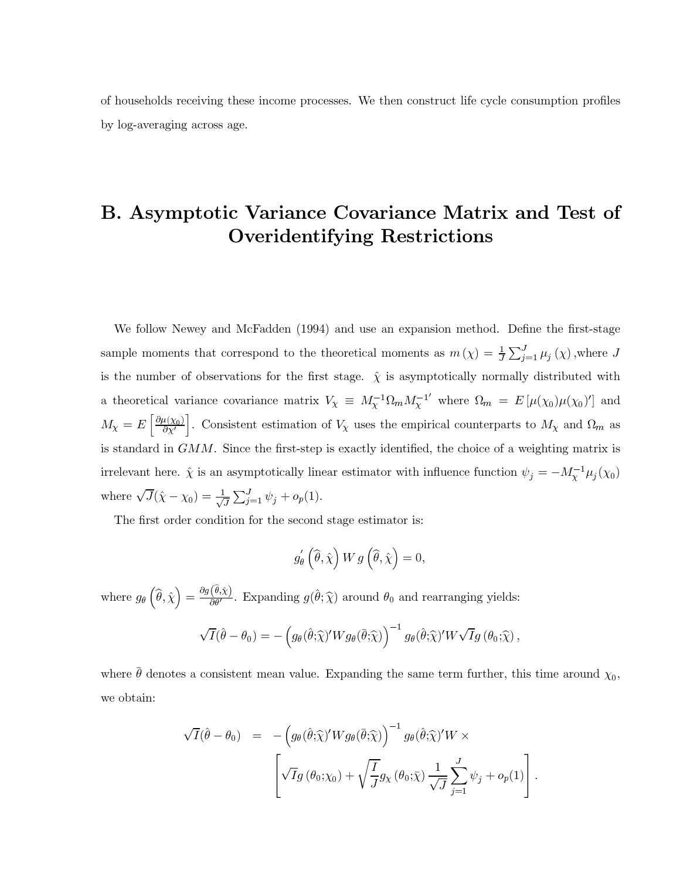ri krxvhkrogy uhfhlylgj wkhvh lgfrph surfhvvhv1 Zh wkhq frqvwuxfw olih f|foh frqvxpswlrq sur ohv el orj0dyhudjlqj dfurvv djh1

# t)4T|L| U V@h @?Ui L @h @?Ui •@|h @?\_ Ait| Lu ih \_i?| u) ?} +it|h U| L?t

Zh iroorz Qhzh| dqg Pfldgghq +4<<7, dqg xvh dq h{sdqvlrq phwkrg1 Gh qh wkh uvw0vwdjh vdpsoh prphqwv wkdw fruuhvsrqg wr wkh wkhruhwlfdo prphqw $\phi$ dł,  $\circledast$   $\frac{1}{a}$  S  $a_{\bullet}$  + +  $\Rightarrow$  xkhuh M Iv wkh qxpehu ri revhuydwlrqv iru wkh uvw vwdjh1lvadv|pswrwlfdoo| qrupdoo| glvwulexwhg zlwk d wkhruhwlfdo yduldqfh fryduldqfh pdwul $Y = P^{3} \cdot 6P^{3} \cdot 2R$ khuh  $6 \otimes H \cdot 4^{n}$  f,  $4^{n}$  f,  $\frac{1}{2}$  dqg<br>
P  $\otimes H \xrightarrow{Y \cdot 5} 1$  Frqvlvwhqw hvwlpdwlrq Y xvhv wkh hpslulfdo frxqwhusduwv Rwr dqg  $6$  dv Iv vwdggdug IdPP 1 Vlgfh wkh uvw0vwhs Iv h{dfwo| Ighgwl hg/ wkh fkrifh ri d zhljkwlgj pdwul{ Iv luuhohydqw khuh1vadq dv|pswrwlfdoo| olqhdu hvwlpdwru zlwk lq xhqfh ixqfwlr# @ P 3\* +" f, zkhuh  $\overline{M}$   $\overline{M}$   $\overline{M}$   $\overline{a}$   $\overline{a}$   $\overline{a}$   $\overline{a}$   $\overline{a}$   $\overline{a}$   $\overline{a}$   $\overline{a}$   $\overline{a}$   $\overline{a}$   $\overline{a}$   $\overline{a}$   $\overline{a}$   $\overline{a}$   $\overline{a}$   $\overline{a}$   $\overline{a}$   $\overline{a}$   $\overline{a}$   $\overline{a}$   $\overline{a}$ 

Wkh uvw rughu frgglwlrg iru wkh vhfrgg vwdih hywlpdwru lv=

$$
j_w
$$
  $\& a$   $z_j$   $\& a$   $\& a$ 

zkhuh j w  $\frac{a_0 + b_1}{b_0}$  @  $\frac{y_1 + a_0}{b_0}$  1 H{sdqglqj j + $a_0$  + dqg uhduudqjlqj |lhogv=

$$
\begin{array}{cc} s_{-} & s_{-} \\ \hline \mathsf{L} \mathsf{+} \mathsf{A} & \mathsf{A} \mathsf{A} \mathsf{B} \end{array} \quad j \mathsf{B} \mathsf{+} \mathsf{B}, \ \mathsf{Z} \mathsf{j} \mathsf{B} \mathsf{+} \mathsf{+} \mathsf{B}, \ \mathsf{A} \mathsf{B} \mathsf{+} \mathsf{B} \mathsf{+} \mathsf{B} \mathsf{+} \mathsf{B} \mathsf{+} \mathsf{B} \mathsf{+} \mathsf{B} \mathsf{+} \mathsf{B} \mathsf{+} \mathsf{B} \mathsf{+} \mathsf{B} \mathsf{+} \mathsf{B} \mathsf{+} \mathsf{B} \mathsf{+} \mathsf{B} \mathsf{+} \mathsf{B} \mathsf{+} \mathsf{B} \mathsf{+} \mathsf{B} \mathsf{+} \mathsf{B} \mathsf{+} \mathsf{B} \mathsf{+} \mathsf{B} \mathsf{+} \mathsf{B} \mathsf{+} \mathsf{B} \mathsf{+} \mathsf{B} \mathsf{+} \mathsf{B} \mathsf{+} \mathsf{B} \mathsf{+} \mathsf{B} \mathsf{+} \mathsf{B} \mathsf{+} \mathsf{B} \mathsf{+} \mathsf{B} \mathsf{+} \mathsf{B} \mathsf{+} \mathsf{B} \mathsf{+} \mathsf{B} \mathsf{+} \mathsf{B} \mathsf{+} \mathsf{B} \mathsf{+} \mathsf{B} \mathsf{+} \mathsf{B} \mathsf{+} \mathsf{B} \mathsf{+} \mathsf{B} \mathsf{+} \mathsf{B} \mathsf{+} \mathsf{B} \mathsf{+} \mathsf{B} \mathsf{+} \mathsf{B} \mathsf{+} \mathsf{B} \mathsf{+} \mathsf{B} \mathsf{+} \mathsf{B} \mathsf{+} \mathsf{B} \mathsf{+} \mathsf{B} \mathsf{+} \mathsf{B} \mathsf{+} \mathsf{B} \mathsf{+} \mathsf{B} \mathsf{+} \mathsf{B} \mathsf{+} \mathsf{B} \mathsf{+} \mathsf{B} \mathsf{+} \mathsf{B} \mathsf{+} \mathsf{B} \mathsf{
$$

zkhuh gharwhy d fraylywhaw phda ydoxh1 H{sdaglai wkh ydph whup ixuwkhu/ wkly wlph durxag zh rewdlq=

$$
\begin{array}{lll}\n\sum_{i=1}^{S} \bar{L}_{i} & \text{if } \bar{L}_{i} \text{ and } \bar{L}_{i} \text{ and } \bar{L}_{i} \text{ and } \bar{L}_{i} \text{ and } \bar{L}_{i} \text{ and } \bar{L}_{i} \text{ and } \bar{L}_{i} \text{ and } \bar{L}_{i} \text{ and } \bar{L}_{i} \text{ and } \bar{L}_{i} \text{ and } \bar{L}_{i} \text{ and } \bar{L}_{i} \text{ and } \bar{L}_{i} \text{ and } \bar{L}_{i} \text{ and } \bar{L}_{i} \text{ and } \bar{L}_{i} \text{ and } \bar{L}_{i} \text{ and } \bar{L}_{i} \text{ and } \bar{L}_{i} \text{ and } \bar{L}_{i} \text{ and } \bar{L}_{i} \text{ and } \bar{L}_{i} \text{ and } \bar{L}_{i} \text{ and } \bar{L}_{i} \text{ and } \bar{L}_{i} \text{ and } \bar{L}_{i} \text{ and } \bar{L}_{i} \text{ and } \bar{L}_{i} \text{ and } \bar{L}_{i} \text{ and } \bar{L}_{i} \text{ and } \bar{L}_{i} \text{ and } \bar{L}_{i} \text{ and } \bar{L}_{i} \text{ and } \bar{L}_{i} \text{ and } \bar{L}_{i} \text{ and } \bar{L}_{i} \text{ and } \bar{L}_{i} \text{ and } \bar{L}_{i} \text{ and } \bar{L}_{i} \text{ and } \bar{L}_{i} \text{ and } \bar{L}_{i} \text{ and } \bar{L}_{i} \text{ and } \bar{L}_{i} \text{ and } \bar{L}_{i} \text{ and } \bar{L}_{i} \text{ and } \bar{L}_{i} \text{ and } \bar{L}_{i} \text{ and } \bar{L}_{i} \text{ and } \bar{L}_{i} \text{ and } \bar{L}_{i} \text{ and } \bar{L}_{i} \text{ and } \bar{L}_{i} \text{ and } \bar{L}_{i} \text{ and } \bar{L}_{i} \text{ and } \bar{L}_{i} \text{ and } \bar{L}_{i} \text{ and } \bar{L}_{i} \text{ and } \bar{L}_{i} \text{ and } \bar{L}_{i} \text{ and } \bar{L}_{i} \text{ and } \bar{L}_{i} \
$$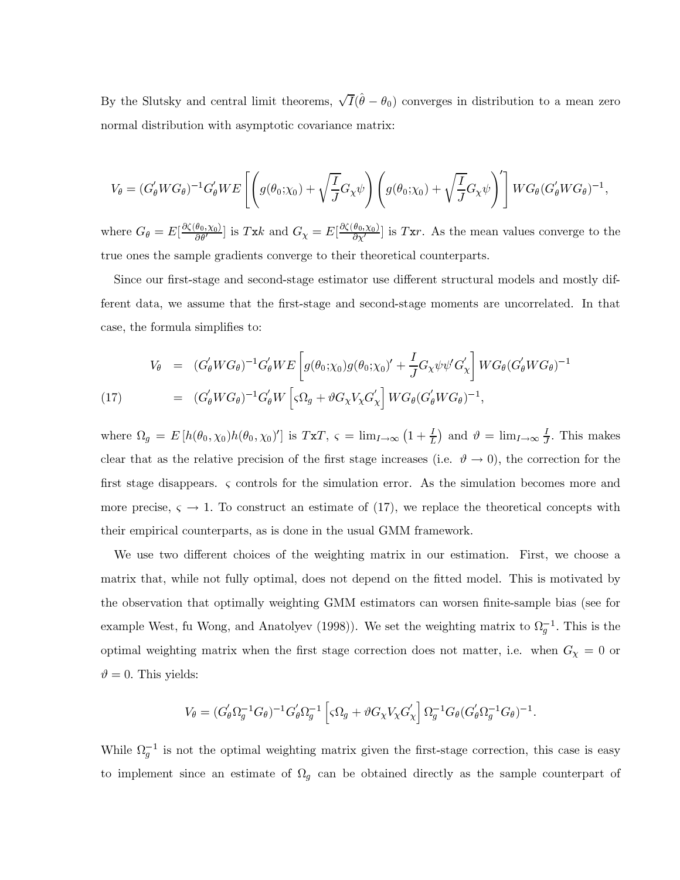E| wkh Voxwvn| dqg fhqwudo olplw wkhruhp $\overline{u}^s$ f, frgyhujhy lg glywulexwlrg wr d phda }hur qrupdo glywulexwlrg zlwk dvlpswrwlf fryduldgfh pdwul{=

$$
Y_w @ \psi_w Z J_w^3" J_w Z H j+_{f}S_{f} , \qquad \frac{L}{M} J # j+_{f}S_{f} , \qquad \frac{L}{M} J # Z J_w + J_w Z J_w^3" >
$$

zkhuh J <sub>w</sub> @ H^<sup>YI Ew c <sub>f</sub> ` lv W n dqg J @ H^<sup>YI Ew c f \_` lv W u1 Dv wkh phdq ydoxhv frqyhujh wr wkh</sup></sup> wuxh rqhv wkh vdpsoh judglhqwv frqyhujh wr wkhlu wkhruhwlfdo frxqwhusduwv1

Vlgfh rxu uvw0vwdjh dgg vhfrgg0vwdjh hvwlpdwru xvh gl huhqw vwuxfwxudo prghov dgg prvwol gli0 ihuhqw gdwd/ zh dvvxph wkdw wkh uvw0vwdjh dqg vhfrqg0vwdjh prphqwv duh xqfruuhodwhg1 Lq wkd fdyh/ wkh irupxod vlpsol hy wr=

$$
Y_{w} \text{ @ } \theta_{w} Z J_{w}^{3} \cdot J_{w} Z H \quad j + {}_{f} S_{f}, j + {}_{f} S_{f}, \quad \frac{L}{M} J \text{ # } J \quad Z J_{w} \cdot J_{w} Z J_{w}^{3} \cdot J_{w} Z H \quad j + {}_{f} S_{f}, j + {}_{f} S_{f}, \quad \frac{L}{M} J \text{ # } J \quad Z J_{w} \cdot J_{w} Z J_{w}^{3} \cdot J_{w} Z H \quad j + {}_{f} S_{f}, j + {}_{f} S_{f}, \quad \frac{L}{M} J \text{ # } J \quad Z J \text{ with } {}_{w} Z J \text{ with } {}_{w} Z J \text{ with } {}_{w} S \cdot J_{w} X H \text{ with } {}_{w} S \cdot J_{w} X H \text{ with } {}_{w} S \cdot J_{w} X H \text{ with } {}_{w} S \cdot J_{w} X H \text{ with } {}_{w} S \cdot J_{w} X H \text{ with } {}_{w} S \cdot J_{w} X H \text{ with } {}_{w} S \cdot J_{w} X H \text{ with } {}_{w} S \cdot J_{w} X H \text{ with } {}_{w} S \cdot J_{w} X H \text{ with } {}_{w} S \cdot J_{w} X H \text{ with } {}_{w} S \cdot J_{w} X H \text{ with } {}_{w} S \cdot J_{w} X H \text{ with } {}_{w} S \cdot J_{w} X H \text{ with } {}_{w} S \cdot J_{w} X H \text{ with } {}_{w} S \cdot J_{w} X H \text{ with } {}_{w} S \cdot J_{w} X H \text{ with } {}_{w} S \cdot J_{w} X H \text{ with } {}_{w} S \cdot J_{w} X H \text{ with } {}_{w} S \cdot J_{w} X H \text{ with } {}_{w} S \cdot J_{w} X H \text{ with } {}_{w} S \cdot J_{w} X H \text{ with } {}_{w} S \cdot J_{w} X H \text{ with } {}_{w} S \cdot J_{w} X H \text{ with } {}_{w} S \cdot J_{w} X H \text{ with } {}_{w} S \cdot J_{w} X H \text{ with } {}_{w} S \cdot J_{w} X H \text{ with } {}_{w} S \cdot J_{w} X H \text{ with } {}_{w} S \cdot J_{w} X H \text{ with } {}_{w} S \cdot J_{w} X H \text{ with } {}_{w}
$$

zkhuh  $\frac{1}{2}$  @ H 'k+  $_f$  > " $_f$ , k+  $_f$  > " $_f$ , ` Iv W(W) @ olp<sub>k</sub> 4.  $\frac{U}{u}$  dqg & @ olp<sub>k</sub>  $\frac{U}{a}$  = Wklv pdnhv fohdu wkdw dv wkh uhodwlyh suhflvlrg ri wkh uvw vwdih lgfuhdv&\\$+l3tdwkh fruuhfwlrg iru wkh uvw vwdih glvdsshduv) frqwurov iru wkh vlpxodwlrq huuru1 Dv wkh vlpxodwlrq ehfrphy pruh dqg pruh suhflyh/) \$ 4=Wr frqvwuxfw dq hywlpdwh ri +4:,/ zh uhsodfh wkh wkhruhwlfdo frqfhswy zlwk wkhlu hpslulfdo frxqwhusduwy/ dv lv grqh lq wkh xvxdo JPP iudphzrun1

Zh xvh wzr gl huhqw fkrifhv ri wkh zhljkwigj pdwul{ iq rxu hvwlpdwirg1 lluvw/ zh fkrrvh d pdwul{ wkdw/ zkloh qrw ixoo| rswlpdo/ grhv qrw ghshqq rq wkh wwhq prgho1 Wklv lv prwlydwhg e| wkh revhuydwlrq wkdw rswlpdoo| zhljkwlqj JPP hvwlpdwruv fdq zruvhq qlwh0vdpsoh eldv +vhh iru h{dpsoh Zhvw/ ix Zrqj/ dqg Dqdwro|hy +4<<;,,1 Zh vhw wkh zhljkwlqj pdwul{ wr  $\frac{3}{2}$  =Wklv lv wkh rswlpdo zhlikwlgi pdwul{ zkhq wkh uvw vwdih fruuhfwlrg grhy grw pdwwhu/ l1h1 zkhq @ 3 ru & @ 3=Wkly llhoav=

$$
Y_w @ \theta_w \xrightarrow{3^{\bullet}} J_w \xrightarrow{3^{\bullet}} J_w \xrightarrow{3^{\bullet}} ) \xrightarrow{\ } . @ \text{and} \quad I \xrightarrow{3^{\bullet}} J_w \text{and} \xrightarrow{3^{\bullet}} J_w \xrightarrow{3^{\bullet}} =
$$

3<sup>\*</sup> Iv qrw wkh rswlpdo zhljkwlqj pdwul{ jlyhq wkh uvw0vwdjh fruuhfwlrq/ wklv fdvh lv hdv| Zkloh wr Ipsohphqw vlqfh dq hvwlpdwh ri ; fdq eh rewdlqhg gluhfwol dv wkh vdpsoh frxqwhusduw ri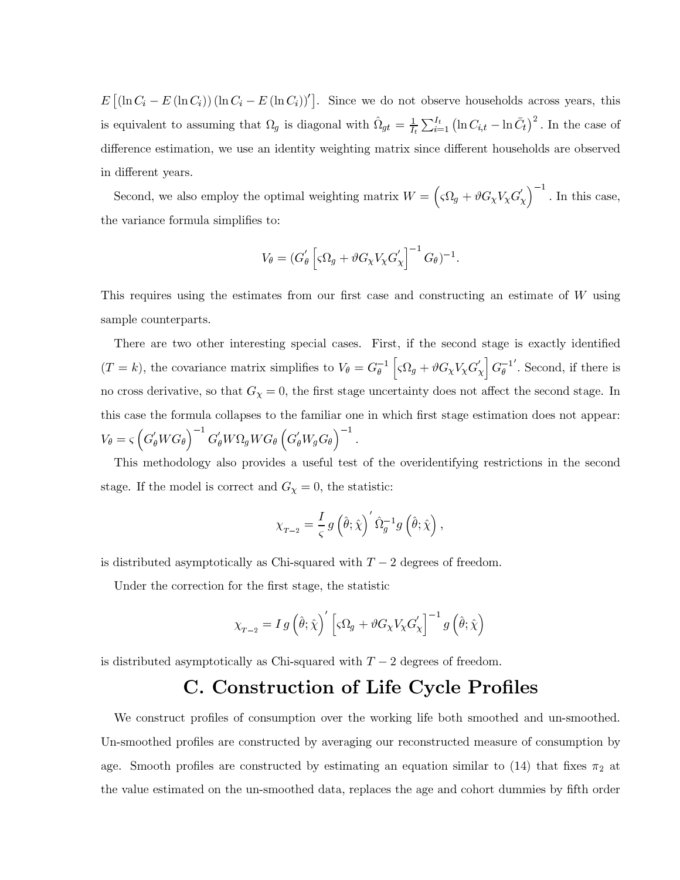H +odF H +odF, +odF H +odF, 1 Vlqfh zh gr qrw revhuyh krxvhkrogv dfurvv |hduv/ wklv lv htxlydohqw wr dvvxplqj wkdw $_{{\rm j}}$  lv gldjrqdo zlwk  $\frac{{\bf a}}{{\bf b}}_{{\rm j}}\ \ @ \frac{{\bf a}}{{\bf U}}$ S U| '• oqFc| oqF| <sup>2</sup> =Lq wkh fdvh ri gl huhqfh hvwlpdwlrq/ zh xvh dq lghqwlw| zhljkwlqj pdwul{ vlqfh gl huhqw krxvhkrogv duh revhuyhg lq glhuhqw |hduv1

Vhfrqg/ zh dovr hpsor| wkh rswlpdo zhljkwlqj pdwul{  $Z \text{ } @ \text{ } )$   $_1$  . &J Y J  $^{3}$  =Lq wklv fdvh/ wkh yduldqfh irupxod vlpsol hv wr=

$$
Y_w @ \Psi_w ) , . @ \Psi^{-1} @ \Psi_w ^{3*} =
$$

Wkly uhtxluhy xvlqj wkh hywlpdwhy iurp rxu uvw fdyh dqg frqywuxfwlqj dq hywlpdw**Z** rixvlqj vdpsoh frxqwhusduwv1

Wkhuh duh wzr rwkhu lqwhuhvwlqj vshfldo fdvhv1 Iluvw/ li wkh vhfrqg vwdjh lv h{dfwo| lghqwlhg  $+ W @n, >$ wkh fryduldqfh pdwul{ vlpsol hv wr $Y_w @J_w^3"$ k ) } . &J Y J l  $J_w^3$  =Vhfrqg/ li wkhuh lv qr furvv ghulydwlyh/ vr wkdw @ 3/ wkh uvw vwdjh xqfhuwdlqw| grhv qrw d hfw wkh vhfrqg vwdjh1 Lq wkly fdvh wkh irupxod froodsvhv wr wkh idploldu rqh lq zklfk uvw vwdjh hvwlpdwlrq grhv qrw dsshdu=  $Y_{w} @)$  J<sub>w</sub>  $Z \int_{w}^{3^{*}} J_{w} Z \int_{y} Z J_{w} J_{w} Z \int_{y}^{3^{*}} =$ 

Wkly phwkrgrorj| dovr surylghy d xyhixo whyw ri wkh ryhulghqwli|lgj uhywulfwlrgy lg wkh yhfrgg vwdjh1 Li wkh prgho ly fruuhfw ddg  $@$  3 wkh vwdwlvwlf=

$$
\int_{A32}^{\infty} \frac{L}{\omega} j \, ds = a_3^3 \cdot j \, ds = a_3
$$

lv glvwulexwhg dv|pswrwlfdoo| dv Fkl0vtxduhg zlWk 5 ghjuhhv ri iuhhgrp1

Xqghu wkh fruuhfwlrq iru wkh uvw vwdjh/ wkh vwdwlvwlf

$$
\begin{array}{ccccccccc}\n & & & k & & 1_{3} \\
a_{32} & & & c_{1} & a_{2} & a_{3} \\
\end{array}
$$

lv glywulexwhg dv|pswrwlfdoo| dv Fkl0vtxduhg zlWk 5 ghjuhhv ri iuhhgrp1

## L?t|h U| L? Lu w ui )U\*i hL€\*it

Zh frqvwuxfw surohv ri frqvxpswlrq ryhu wkh zrunlqj olih erwk vprrwkhg dqg xq0vprrwkhg1 Xq0vprrwkhg surohv duh frqvwuxfwhg e| dyhudjlqj rxu uhfrqvwuxfwhg phdvxuh ri frqvxpswlrq e| dih1 Vprrwk surohy duh frqvwuxfwhg el hvwlpdwlgi dq htxdwlrg vlplodu wr +47, wkdw {hvdw wkh ydoxh hvwlpdwhg rq wkh xq0vprrwkhg gdwd/ uhsodfhv wkh djh dqg frkruw gxpplhv e| iwk rughu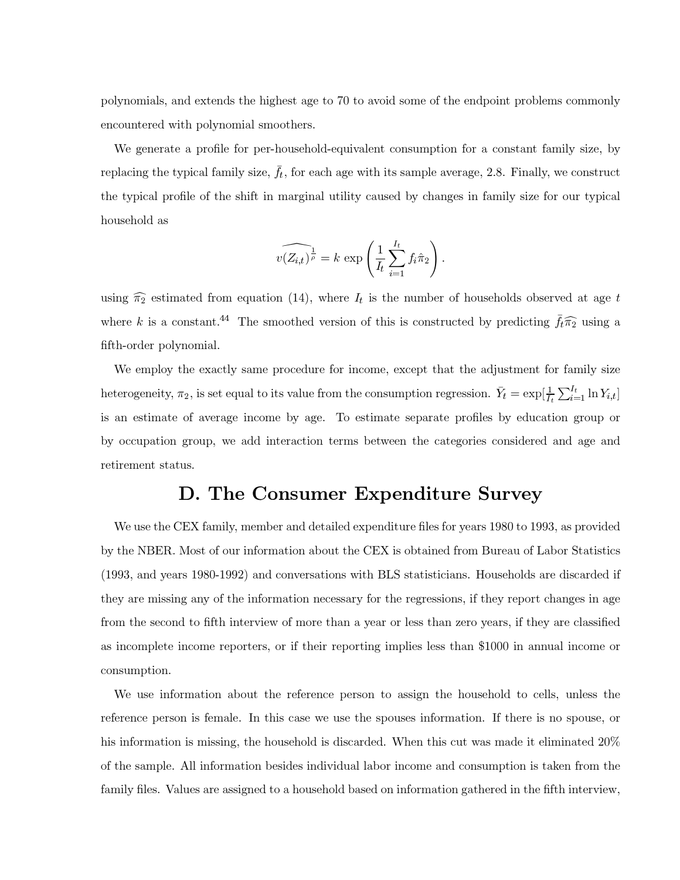sro|qrpldov/ dqg h{whqgv wkh kljkhvw djh wr :3 wr dyrlg vrph ri wkh hqgsrlqw sureohpv frpprqo| hqfrxqwhuhq zlwk srolqrpldo vprrwkhuv1

Zh jhghudwh d sur oh iru shu0krxvhkrog0htxlydohgw frgvxpswlrg iru d frgvwdgw idplo| vl}h/ e| uhsodflgi wkh w|s|fdo idplo| y|}h/i <sub>1</sub>/ iru hdfk dih z|wk lwy ydpsoh dyhudih/ <del>5</del>1 llgdool/ zh frgywuxfw wkh w|s|fdo sur oh ri wkh vkliw lg pdujlgdo xwlolw| fdxvhg e| fkdgjhv lg idplo| vl}h iru rxu w|s|fdo krxvhkrog dv

$$
y \neq 0
$$
,  $\frac{1}{4}$   $\frac{4}{4}$   $\frac{1}{4}$   $\frac{1}{4}$   $\frac{1}{4}$   $\frac{1}{4}$   $\frac{1}{4}$   $\frac{1}{4}$ 

xvlqj f<sub>2</sub> hvwlpdwhg iurp htxdwlrq +47,/ zkhuh lv wkh qxpehu ri krxvhkrogv revhuyhg dw djiw zkhuh n Iv d frqvwdqv $\theta$ <sup>o</sup> Wkh vprrwkhq yhuvlrq ri wklv Iv frqvwuxfwhq el suhqlfwlqi if 2 xvlqi d iwk0rughu srolgrpldo1

Zh hpsor| wkh h{dfwo| vdph surfhgxuh iru lqfrph/ h{fhsw wkdw wkh dgmxvwphqw iru idplo| vl}h khwhurjhqhlw $/$  2/lv vhw htxdo wr lwv ydoxh iurp wkh frqvxpswlrq uhjuhvvliq1@ h{s $\frac{x}{\sqrt{1}}$  S  $\frac{y}{\sqrt{1}}$  oq c Iv dg hywlpdwh ri dyhudih lgfrph el dih1 Wr hywlpdwh yhsdudwh sur ohy el haxfdwlrg jurxs ru el rffxsdwlrg jurxs/ zh dgg lgwhudfwlrg whupy ehwzhhg wkh fdwhjrulhy frgylghuhg dgg djh dgg uhwluhphqw vwdwxv1

# # Ai L?t 4ih, Ti?\_| hi 5 hi)

Zh xvh wkh FH[ idplo]/ phpehu dgg ghwdlohg h{shgglwxuh ohv iru |hduv  $4 < 3$  wr  $4 < 6$ / dv surylghg el wkh QEHU1 Prvw ri rxu Igirupdwlrg derxw wkh FH[ Iv rewdlghg iurp Exuhdx ri Oderu Vwdwlvwlfv +4<<6/ dqg |hduv 4<;304<<5, dqg frqyhuvdwlrqv zlwk EOV vwdwlvwlfldqv1 Krxvhkrogv duh glvfdughg li wkh| duh plvvlqj dq| ri wkh | qirupdwlrq qhfhvvdu| iru wkh uhjuhvvlrqv/ li wkh| uhsruw fkdqjhv lq djh iurp wkh vhfrqg wr iwk lqwhuylhz ri pruh wkdq d |hdu ru ohvv wkdq }hur |hduv/ li wkh| duh fodvvl hg dy lgfrpsohwh lgfrph uhsruwhuy/ ru li wkhlu uhsruwlgi lpsolhy ohyy wkdg '4333 lg dggxdo lgfrph ru frqvxpswlrq1

Zh xvh Igirupdwlrg derxw wkh uhihuhgfh shuvrg wr dvvljg wkh krxvhkrog wr fhoov/ xgohvv wkh uhihuhgfh shuvrg ly ihpdoh1 Lg wkly fdyh zh xyh wkh ysrxyhy lgirupdwlrg1 Li wkhuh ly gr ysrxyh/ ru kly lgirupdwlrg Iv plyvlgj/ wkh krxvhkrog Iv glyfdughg1 Zkhg wkly fxw zdy pdgh Iw holplgdwhg 53( ri wkh vdpsoh1 Doo Iqirupdwlrq ehvlghv lqglylgxdo oderu lqfrph dqg frqvxpswlrq lv wdnhq iurp wkh idplol ohv1 Ydoxhy duh dvylighg wr d krxyhkrog edyhg rg lgirupdwlrg jdwkhuhg lg wkh iwk lgwhuylhz/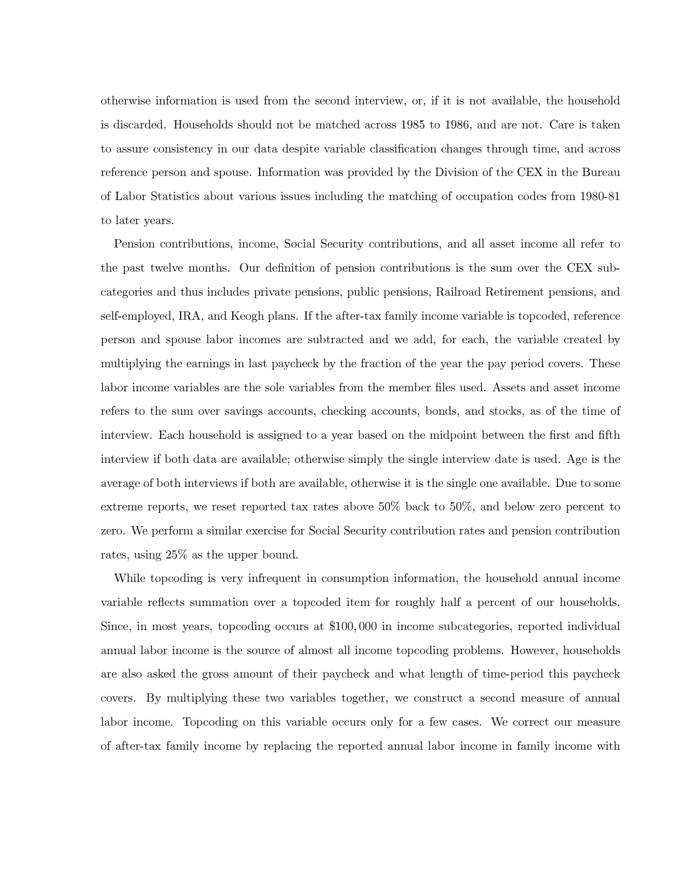rwkhuzlvh lqirupdwlrq lv xvhg iurp wkh vhfrqg lqwhuylhz/ ru/ li lw lv qrw dydlodeoh/ wkh krxvhkrog lv glvfdughg1 Krxvhkrogv vkrxog qrw eh pdwfkhg dfurvv 4<;8 wr 4<;9/ dqg duh qrw1 Fduh lv wdnhq wr dvvxuh frqvlvwhqf| lq rxu gdwd ghvslwh yduldeoh fodvvlfdwlrq fkdqjhv wkurxjk wlph/ dqg dfurvv uhihuhqfh shuvrq dqg vsrxvh1 Lqirupdwlrq zdv surylghg e| wkh Glylvlrq ri wkh FH[ lq wkh Exuhdx ri Oderu Vwdwlvwlfv derxw ydulrxv lvvxhv lqfoxglqj wkh pdwfklqj ri rffxsdwlrq frghv iurp 4<;30;4 wr odwhu |hduv1

Shqvlrq frqwulexwlrqv/ lqfrph/ Vrfldo Vhfxulw| frqwulexwlrqv/ dqg doodvvhw lqfrph doo uhihu wr wkh sdvw wzhoyh prqwkv1 Rxu gh qlwlrq ri shqvlrq frqwulexwlrqv lv wkh vxp ryhu wkh FH[ vxe0 fdwhjrulhv dqg wkxv lqfoxghv sulydwh shqvlrqv/ sxeolf shqvlrqv/ Udlourdg Uhwluhphqw shqvlrqv/ dqg vhoi0hpsor|hg/ LUD/ dqg Nhrjk sodqv1 Li wkh diwhu0wd{ idplo| lqfrph yduldeoh lv wrsfrghg/ uhihuhqfh shuvrq dqg vsrxvh oderu lqfrphv duh vxewudfwhg dqg zh dgg/ iru hdfk/ wkh yduldeoh fuhdwhg e| pxowlso|lqj wkh hduqlqjv lq odvw sd|fkhfn e| wkh iudfwlrq ri wkh |hdu wkh sd| shulrg fryhuv1 Wkhvh oderu lqfrph yduldeohv duh wkh vroh yduldeohv iurp wkh phpehu ohv xvhg1 Dvvhwv dqg dvvhw lqfrph uhihuv wr wkh vxp ryhu vdylqjv dffrxqwv/ fkhfnlqj dffrxqwv/ erqgv/ dqg vwrfnv/ dv ri wkh wlph ri lqwhuylhz1 Hdfk krxvhkrog lv dvvljqhg wr d |hdu edvhg rq wkh plgsrlqw ehwzhhq wkh uvw dqg iwk lqwhuylhz li erwk gdwd duh dydlodeoh> rwkhuzlvh vlpso| wkh vlqjoh lqwhuylhz gdwh lv xvhg1 Djh lv wkh dyhudjh ri erwk lqwhuylhzv li erwk duh dydlodeoh/ rwkhuzlvh lw lv wkh vlqjoh rqh dydlodeoh1 Gxh wr vrph h{wuhph uhsruwv/ zh uhvhw uhsruwhg wd{ udwhv deryh 83( edfn wr 83(/ dqg ehorz }hur shufhqw wr }hur1 Zh shuirup d vlplodu h{huflvh iru Vrfldo Vhfxulw| frqwulexwlrq udwhv dqg shqvlrq frqwulexwlrq udwhv/ xvlqj 58( dv wkh xsshu erxqg1

Zkloh wrsfrglqj lv yhu| lqiuhtxhqw lq frqvxpswlrq lqirupdwlrq/ wkh krxvhkrog dqqxdo lqfrph yduldeoh uhhfwv vxppdwlrq ryhu d wrsfrghg lwhp iru urxjko| kdoi d shufhqw ri rxu krxvhkrogv1 Vlqfh/ lq prvw |hduv/ wrsfrglqj rffxuv dw '433 >333 lq lqfrph vxefdwhjrulhv/ uhsruwhg lqglylgxdo dqqxdo oderu lqfrph lv wkh vrxufh ri doprvw doo lqfrph wrsfrglqj sureohpv1 Krzhyhu/ krxvhkrogv duh dovr dvnhg wkh jurvv dprxqw ri wkhlu sd|fkhfn dqg zkdw ohqjwk ri wlph0shulrg wklv sd|fkhfn fryhuv1 E| pxowlso|lqj wkhvh wzr yduldeohv wrjhwkhu/ zh frqvwuxfw d vhfrqg phdvxuh ri dqqxdo oderu lqfrph1 Wrsfrglqj rq wklv yduldeoh rffxuv rqo| iru d ihz fdvhv1 Zh fruuhfw rxu phdvxuh ri diwhu0wd{ idplo| lqfrph e| uhsodflqj wkh uhsruwhg dqqxdo oderu lqfrph lq idplo| lqfrph zlwk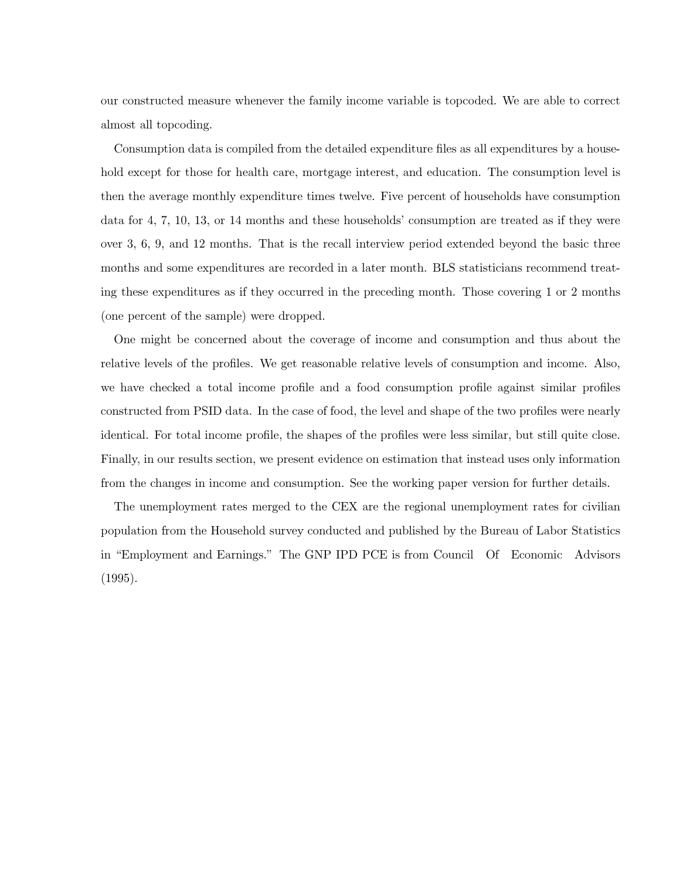rxu frqvwuxfwhg phdvxuh zkhqhyhu wkh idplo| lqfrph yduldeoh lv wrsfrghg1 Zh duh deoh wr fruuhfw doprvw doo wrsfrglgi1

Frgyxpswlrg gdwd Iv frpslohg iurp wkh ghwdlohg h{shgglwxuh ohy dv doo h{shgglwxuhy e| d krxvh0 krog h{fhsw iru wkryh iru khdowk fduh/ pruwidih lgwhuhyw/ dgg hgxfdwlrg1 Wkh frgyxpswlrg ohyho ly wkhq wkh dyhudjh prqwkol h{shqqlwxuh wlphv wzhoyh1 llyh shufhqw ri krxvhkrogy kdyh frqvxpswlrq gdwd iru 7/ :/ 43/ 46/ ru 47 prqwkv dqg wkhvh krxvhkrogv\* frqvxpswlrq duh wuhdwhg dv li wkh| zhuh ryhu 6/9/</dqg 45 prqwkv1 Wkdw lv wkh uhfdoo lqwhuylhz shulrg h{whqqhg eh|rqq wkh edvlf wkuhh prqwky dqg vrph h{shqqlwxuhy duh uhfrughg lq d odwhu prqwk1 EOV vwdwlvwlfldqv uhfrpphqg wuhdw0 lgj wkhvh h{shqglwxuhv dv li wkh| rffxuuhg lq wkh suhfhglqj prqwk1 Wkrvh fryhulqj 4 ru 5 prqwkv +rqh shufhqw ri wkh vdpsoh, zhuh gursshg1

Rgh plikw eh frafhughg derxw wkh fryhudih ri lafrph dgg frgyxpswlrg dgg wkxy derxw wkh uhodwlyh ohyhov ri wkh sur ohv1 Zh jhw uhdvrgdeoh uhodwlyh ohyhov ri frgyxpswlrg dgg lgfrph1 Dovr/ zh kdyh fkhfnhg d wrwdo lgfrph sur oh dgg d irrg frgyxpswlrg sur oh djdlgyw vlplodu sur ohy frgywuxfwhg iurp SVLG gdwd1 Lg wkh fdyh ri irrg/ wkh ohyho dgg ykdsh ri wkh wzr sur ohy zhuh ghduol Ighgwlfdo1 Iru wrwdo Igfrph sur oh/ wkh vkdshv ri wkh sur ohv zhuh ohvv vlplodu/ exw vwloo txlwh forvh1 ligdool/ ig rxu uhvxowy vhfwlrg/ zh suhvhgw hylghgfh rg hywlpdwlrg wkdw lgywhdg xvhy rgol lgirupdwlrg iurp wkh fkdqjhv lq lqfrph dqg frqvxpswlrq1 Vhh wkh zrunlqj sdshu yhuvlrq iru ixuwkhu ghwdlov1

Wkh xghpsor|phgw udwhy phujhg wr wkh FH[ duh wkh uhjlrgdo xghpsor|phgw udwhy iru flyloldg srsxodwlrq iurp wkh Krxvhkrog vxuyh| frqgxfwhg dqg sxeolvkhg e| wkh Exuhdx ri Oderu Vwdwlvwlfv Iq \_Hpsor|phqw dqg HduqIqjv1% Wkh JQS LSG SFH Iv iurp Frxqflo Ri Hfrqrplf Dgylvruv  $+4 < 8.1$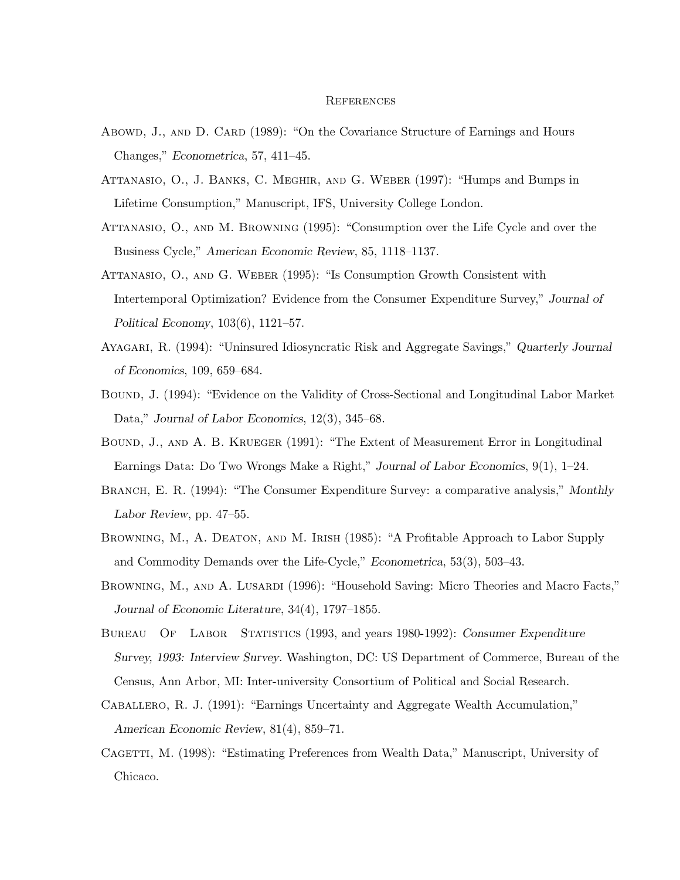### -jujijAWjt

- ON ae ce BAa \$ Bia +4<;<,= Rq wkh Fryduldqfh Vwuxfwxuh ri Hduqlqjv dqq Krxuv Fkdqjhv/%Hfrqrphwulfd / 8:/ 744~781
- ||BABtNe e c BA"te •j}ie BAa D bjOji +4<<:,= \_Kxpsv dqg Expsv lq Olihwlph Frqvxpswlrq/% Pdqxvfulsw/ LIV/ Xqlyhuvlw| Froohjh Orqgrq1
- ||BABtNe e BAa iNAA} +4<<8,= \_Frqvxpswlrq ryhu wkh Olih F|foh dqg ryhu wkh Exvlqhvv F|foh/%Dphulfdq Hfrqrplf Uhylhz / ;8/ 444;~446:1
- ||BABtNe e BAa D bjOji +4<<8,= \_Lv Frqvxpswlrq Jurzwk Frqvlvwhqw zlwk Lqwhuwhpsrudo Rswlpl}dwlrqB Hylghqfh iurp wkh Frqvxphu H{shqglwxuh VxuyhWrxuqdo ri Srolwlfdo Hfrqrp| / 436+9,/ 4454~8:1
- +B}Bie +4<<7,= \_Xqlqvxuhg Lglrv|qfudwlf Ulvn dqg Djjuhjdwh Vdylqjv/%Txduwhuo| Mrxuqdo ri Hfrqrplfv / 43</ 98<~9;71
- N Aae c +4<<7,= Hylghqfh rq wkh Ydolglw| ri Furvv0Vhfwlrgdo dqg Orgjlwxglqdo Oderu Pdunhw Gdwd/%Mrxuqdo ri Oderu Hfrqrplfv / 45+6,/ 678~9;1
- N Aae ce BAa lij}ji +4<<4,= Wkh H{whqw ri Phdvxuhphqw Huuru lq Orqjlwxglqdo Hduqlqjv Gdwd= Gr Wzr Zurqjv Pdnh d Uljkw/%Mrxuqdo ri Oderu Hfrqrplfv / <+4,/ 4~571
- iBAW e  $\cdot$   $\cdot$  +4<<7,= Wkh Frqvxphu H{shqqlwxuh Vxuyh|= d frpsdudwlyh dqdo|v $\mathbf{F}/\mathbf{W}$ wko| Oderu Uhylhz/ ss1 7:~881
- iNAA}e •e \$jB|NAe BAa Yit +4<;8,= \_D Surwdeoh Dssurdfk wr Oderu Vxsso| dqg Frpprglw| Ghpdqgv ryhu wkh Olih0F|foh/% Hfrqrphwulfd / 86+6,/ 836~761
- iNAA}e •e BAa wtBia +4<<9,= \_Krxvhkrog Vdylqj= Plfur Wkhrulhv dqg Pdfur Idfwv/% Mrxuqdo ri Hfrqrplf Olwhudwxuh67+7,/ 4:<:~4;881
- ijB u wBONi 7|B|t|Wt +4<<6/ dqg |hduv 4<;304<<5\;eqvxphu H{shqglwxuh Vxuyh/ 4<<6= Lqwhuylhz VxuyhZdvklqjwrq/ GF= XV Ghsduwphqw ri Frpphufh/ Exuhdx ri wkh Fhqvxv/ Dqq Dueru/ PL= Lqwhu0xqlyhuvlw| Frqvruwlxp ri Srolwlfdo dqg Vrfldo Uhvhdufk1
- BOB,,jiNe c +4<<4,= \_Hduqlqjv Xqfhuwdlqw| dqg Djjuhjdwh Zhdowk Dffxpxodwlrq/% Dphulfdq Hfrqrplf Uhylhz / ;4+7,/ ;8<~:41
- B}ill e +4<<: = Hvwlpdwlqj Suhihuhqfhv iurp Zhdowk Gdwd/% Pdqxvfulsw/ Xqlyhuvlw| ri Fklfdfr1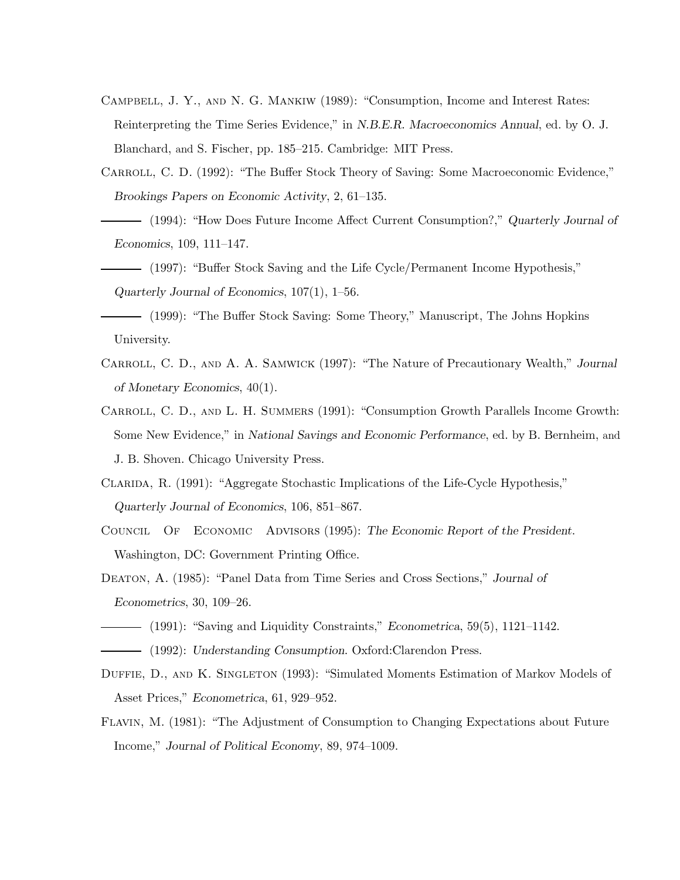B6VOj,,e c v e BAa D •BA" +4<;<,= \_Frqvxpswlrq/ Lqfrph dqg Lqwhuhvw Udwhv= Uhlqwhusuhwlqj wkh Wlph Vhulhv Hylghqfh/% 1 t1H1U1 Pdfurhfrqrplfv Dqqxdo' hq1 e| R1 M1 Eodqfkdug/dqg V1 Ilvfkhu/ ss1 4;8~5481 Fdpeulgjh= PLW Suhvv1

BiiN,,e \$ +4<<5,= Wkh Exhu Vwrfn Wkhru| ri Vdylgj= Vrph Pdfurhfrqrplf Hylghqfh/% Eurrnlqjv Sdshuv rq Hfrqrplf Dfwlylw| / 5/ 94~4681

+4<<7,= \_Krz Grhv Ixwxuh Lqfrph Dhfw Fxuuhqw FrqvxpswlrqB/%Txduwhuo| Mrxuqdo ri Hfrqrplfv / 43</ 444~47:1

+4<<:,= \_Exhu Vwrfn Vdylqj dqg wkh Olih F|foh2Shupdqhqw Lqfrph K|srwkhvlv/% Txduwhuo| Mrxuqdo ri Hfrqrplfv/ 43:+4,/ 4~891

+4<<<,= \_Wkh Exhu Vwrfn Vdylqj= Vrph Wkhru|/% Pdqxvfulsw/ Wkh Mrkqv Krsnlqv Xqlyhuvlw|1

BiiN,,e \$e BAa 7B6 W" +4<<:,= Wkh Qdwxuh ri Suhfdxwlrqdu| ZhdowM%uqdo ri Prqhwdu| Hfrqrplfv / 73+4,1

BiiN,,e  $\$e$  BAa w Q 7 66 iit  $+4 < 4$ , Frqvxpswlrq Jurzwk Sdudoohov Lqfrph Jurzwk= Vrph Qhz Hylghqfh/% lq Qdwlrqdo Vdylqjv dqg Hfrqrplf Shuirupdqfh / hg1 e| E1 Ehuqkhlp/dqg M1 E1 Vkryhq1 Fklfdjr Xqlyhuvlw| Suhvv1

,BiaBe - +4<<4,= \_Djjuhjdwh Vwrfkdvwlf Lpsolfdwlrqv ri wkh Olih0F|foh K|srwkhvlv/% Txduwhuo| Mrxuqdo ri Hfrqrplfv/ 439/ ;84~;9:1

N AW, u .WNAN6 W a tNit +4<<8, Wkh Hfrqrplf Uhsruw ri wkh Suhvlghqw Zdvklgjwrg/ GF= Jryhugphgw Sulgwlgj R fh1

\$jB|NAe +4<;8,= Sdqho Gdwd iurp Wlph Vhulhv dqq Furvv VhfwlrdMf%uqdo ri Hfrqrphwulfv / 63/ 43<~591

+4<<4,= \_Vdylqj dqg Oltxlglw| Frqvwudlqwv/%Hfrqrphwulfd / 8<+8,/ 4454~44751

 $\longrightarrow$  +4<<5,=Xqghuvwdqqlqj Frqvxpswlrq1 R{irug=Foduhqqrq Suhvv1

\$uuje \$e BAa l 7A},j|NA +4<<6,= \_Vlpxodwhg Prphqwv Hvwlpdwlrq ri Pdunry Prghov ri Dvvhw Sulfhv/%Hfrqrphwulfd / 94/ <5<~<851

8,B Ae • +4<;4,= Wkh Dgmxvwphqw ri Frqvxpswlrq wr Fkdqjlqj H{shfwdwlrqv derxw Ixwxuh Lqfrph/% Mrxuqdo ri Srolwlfdo Hfrqrp| / ;</ <:7~433<1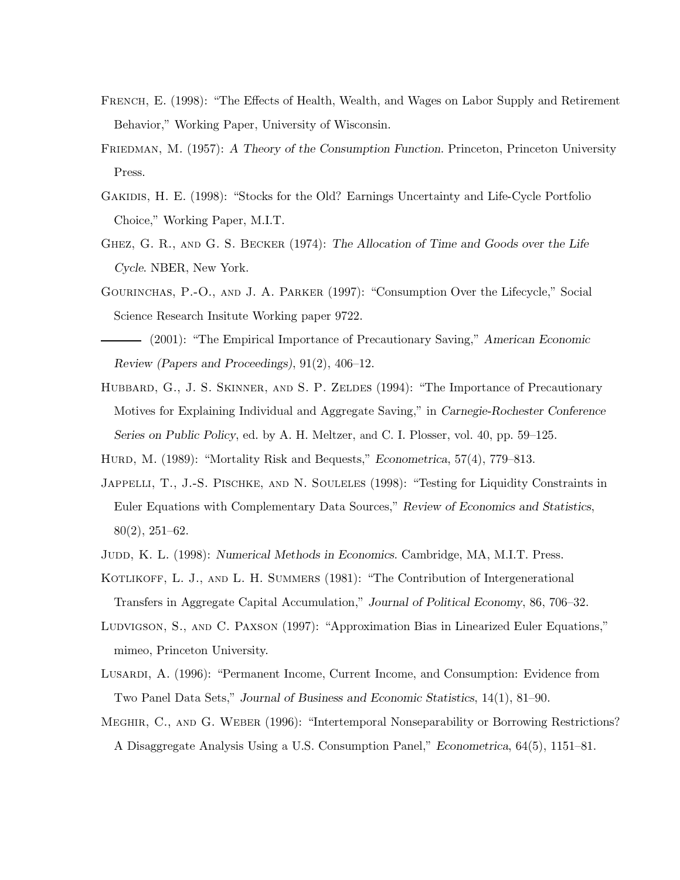- +4<<;,= \_Wkh H hfwv ri Khdowk/ Zhdowk/ dqg Zdjhv rq Oderu Vxssol dqg Uhwluhphqw 8ijAW e. Ehkdylru/% Zrunlgi Sdshu/ Xglyhuvlwl ri Zlvfrgylg1
- 8i ja6BAe +4<8:,=D Wkhru| ri wkh Frgvxpswlrg kgfwlrg 1 Sulgfhwrg/ Sulgfhwrg Xglyhuvlw| Suhvv1
- DB" a te  $Q$ . +4<<: = Vwrfny iru wkh RogB Hduglaiv Xgfhuwdlawl dgg Olih0Flfoh Sruwirolr Fkrlfh/% Zrunlqj Sdshu/ P1L1W1
- D j5e D e BAa D 7 jW"ji +4<:7,=Wkh Doorfdwlrg ri Wlph dgg Jrrgy ryhu wkh Olih F|foh 1 QEHU/ Qhz \run1
- DN i AW Bte e BAa c Bi"ji +4<<:,= Frqvxpswlrq Ryhu wkh Olihf|foh/% Vrfldo Vflhqfh Uhvhdufk Lqvlwxwh Zrunlqj sdshu <: 551
- +5334.= Wkh Hpslulfdo Lpsruwdgfh ri Suhfdxwlrgdul Vdylgj/Øphulfdg Hfrgrplf Uhylhz +Sdshuv dgg Surfhhglgjv/ <4+5,/739~451
- Q OOBiae D e c 7 7" AAjie BAa 7 ~j,ajt +4<<7,= Wkh Lpsruwdqfh ri Suhfdxwlrqdu| Prwlyhy iru H{sodlalgi Lgglylgxdo dgg Dijuhjdwh Vdylgj/% lg Fdughjlh0Urfkhywhu Frgihuhgfh Vhulhv rg Sxeolf Srolf|/ hg1 e| D1 K1 Phow}hdgg F1 L1 Sorvvhu/ yro1 73/ ss1 8<~4581

+4<;<,= \_Pruwdolw| Ulvn dqg Ehtxhvwv ## tarphwulfd / 8:+7, /::<~;461  $Q$  iae  $\bullet$ 

- cBVVj., e C e c 7 tW "je +4<<;,= \_Whvwlqj iru Oltxlglw| Frqvwudlqwv lq BAa 7N,j,jt Hxohu Htxdwlrgy zlwk Frpsohphqwdul Gdwd Vrxufhy/Ohylhz ri Hfrgrplfy dgg Vwdwlywlfy/  $:3 + 5$ ,  $/584 - 951$
- c aae I w +4<<:.=Qxphulfdo Phwkrgy lg Hfrgrplfy 1 Fdpeulgih/PD/P1L1W1 Suhvy1
- $\vert N \vert$ , "Nuue w c e BAa w Q 7 66 jit +4<:4,= Wkh Frgwulexwlrg ri Lgwhujhghudwlrgdo

Wudqvihuv Iq Djjuhjdwh FdsIwdo Dffxpxodwlrq/Mrxuqdo ri Srolwlfdo Hfrqrp| / ;9/ :39~651

- +4<<:= Dssur{lpdwlrg Eldv lg Olghdul}hg Hxohu Htxdwlrgv/% wa }tNAe 7 e BAa **B!tNA** plphr/ Sulgfhwrg Xglyhuvlw|1
- +4<<9,= \_Shupdghqw Lqfrph/ Fxuuhqw Lqfrph/ dgg Frqvxpswlrq= Hylghqfh iurp w tBia e Wzr Sdaho Gdwd VhwWtxuado ri Exvlahvv dag Hfrarplf Vwdwlvwlfv47+4./:4~<31
- +4<<9,= Lgwhuwhpsrudo Qrgvhsdudelolw| ru Eruurzlgi UhvwulfwlrgvB  $\left\{ \bullet | \right\}$  ie e BAa D bjOji D Glvdjjuhjdwh Dqdo|vlv Xvlqj d X1V1 Frqvxpswlrq Sdqho/%Hfrqrphwulfd / 97+8,/ 4484~;41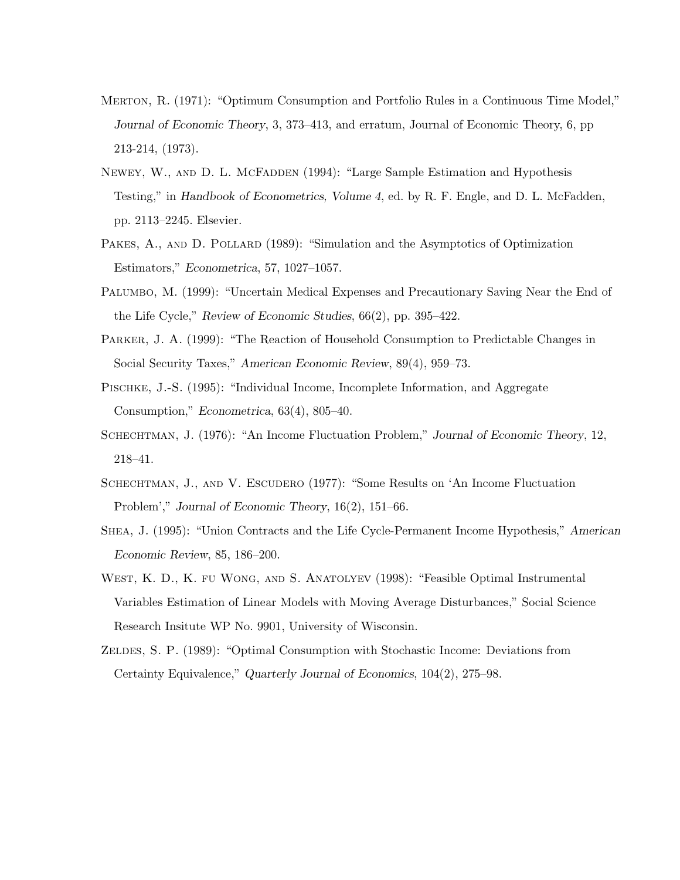- +4<:4,= \_Rswlpxp Frqvxpswlrq dqg Sruwirolr Uxohv lq d Frqwlqxrxv Wlph Prgho/% ∙ji∣NAe -Mrxugdo ri Hfrgrplf Wkhrul / 6/ 6:6~746/ dgg huudwxp/ Mrxugdo ri Hfrgrplf Wkhrul/ 9/ ss  $5460547/ + 4 < 6.1$
- BAa \$ w W8BaaiA +4<<7,= Odujh Vdpsoh Hywlpdwlrg dgg Klsrwkhylv ii<del>+</del>e be Whywlqi/% Iodggerrn ri Hfrqrphwulfy/ Yroxph 7 / hg1 e| U1 I1 Hqjoh/dqg G1 O1 Pfldgghq/ ss1 5446~55781 Hovhylhu1
- B"ite e BAa \$ N,, Bia +4<;<,= \_Vlpxodwlrq dqg wkh Dv|pswrwlfv ri Rswlpl}dwlrq Hvwlpdwruv/%Hfrgrphwulfd / 8:/ 435:~438:1
- +4<<<,= \_Xqfhuwdlq Phglfdo H{shqvhv dqg Suhfdxwlrqdu| Vdylqj Qhdu wkh Hqg ri  $B, 60Ne \cdot$ wkh Olih F|foh/%Uhylhz ri Hfrqrplf Vwxglhv / 99+5, / ss1 6<8~7551
- +4<<<.= Wkh Uhdfwlrg ri Krxyhkrog Frgyxpswlrg wr Suhglfwdeoh Fkdgihy Ig Bi"jie c Vrfldo Vhfxulw| Wd{hv/%Dphulfdq Hfrqrplf Uhylhz /; <+7,/ <8<~:61
- tW "ie c 7 +4<<8,= Lqglylgxdo Lqfrph/ Lqfrpsohwh Lqirupdwlrq/ dqg Djjuhjdwh Frayxpswlra/% Hfrarphwulfd / 96+7./:38~731
- 7W jW |6BAe c +4<:9,= Dq Lqfrph loxfwxdwlrq Sureohp/%Mrxuqdo ri Hfrqrplf Wkhru| / 45/  $54; -741$
- 7W jW |6BAe c e BAa X .tW ajiN +4<::,= \_Vrph Uhvxowv rq cDq Lqfrph loxfwxdwlrq Sureohp\*/%Mrxuqdo ri Hfrqrplf Wkhru| / 49+5,/ 484~991
- 7 jBe c +4<<8,= \_Xqlrq Frqwudfwv dqg wkh Olih F|foh0Shupdqhqw Lqfrph K|srwkhvlDph&llfdq Hfrqrplf Uhylhz / ;8/ 4;9~5331
- bitle  $I \$ ge  $I \cup bNA$ }e BAa 7 AB|N,+j +4<<;,= lhdvleoh Rswlpdo Lqvwuxphqwdo Yduldeohv Hvwlpdwlrq ri Olghdu Prghov zlwk Prylgj Dyhudjh Glvwxuedgfhv/% Vrfldo Vflhgfh Uhvhdufk Lqvlwxwh ZS Qr1 << 34/ Xqlyhuvlw| ri Zlvfrqvlq1
- $\sim$ i, ajte 7 +4<;<,= Rswlpdo Frgvxpswlrg zlwk Vwrfkdvwlf Lgfrph= Ghyldwlrgv iurp Fhuwdlqwl Htxlydohgfh/%xduwhuol Mrxugdo ri Hfrgrplfy 437+5./ 5:8~<: 1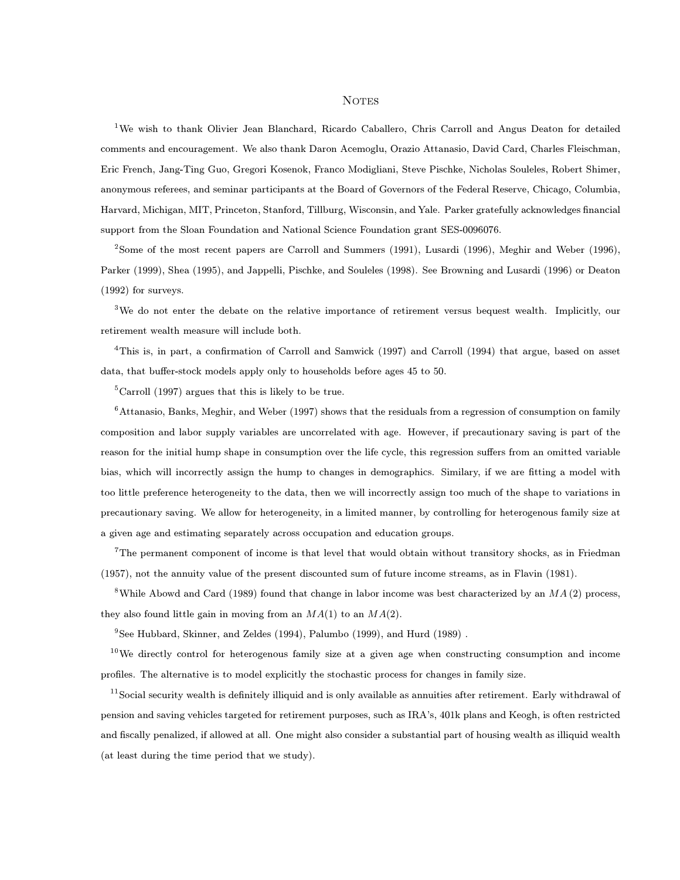'i t |L | @?! \* ih ai@? \*@?U @h\_c + U@h\_L @M@\*\*ihLc ht @hhL\*\* @?\_ ?}t #i@|L? uLh \_i|@ \*i\_ UL44i?|t @?\_i?UL h@}i4i?| `i @\*tL | @?! #@hL? Ui4L}\* c h@3 L ||@?@t Lc #@ \_ @h\_c @h\*it 6\*i tU 4@?c ,h U 6hi?U c a@?} A ?} B Lc Bhi}Lh kLti?L!c 6h@?UL •L\_}\* @? c 5|i i tU !ic U L\*@t 5L \*i\*itc +LMih| 5 4ihc @?L?)4Lt hiuihiitc @?\_ti4 ?@h T@h| U T@?|t @||i L@h\_Lu BL ih?Lht Lu |i 6i\_ih@\* +itih ic U@}Lc L\* 4M @c O@h @h\_c • U }@?c •WAc h ?Ui|L?c 5|@?uLh\_c A \*\*M h}c `tUL?t ?c @?\_v@\*i @h!ih }h@|iu \*\*) @U!?L \*i\_}it €?@?U @\* t TTLh| uhL4 | i 5\*L@? 6L ?\_@| L? @?\_ @| L?@\* 5U i?Ui 6L ?\_@| L? }h@?| 5,5 ffbSf.S

<sup>2</sup>5L4i Lu | i 4Lt| hiUi?| T@Tiht @hi @hhL\*\* @?\_ 5 44iht E•bb• c w t@h\_ E•bbS c •i} h @?\_ `iMih E•bbS c @hlih E•bbb c 5 i@ E•bbD c @? a@TTi\*\* c tU lic @? 5L \*i\*it E•bbH 5ii hL ? ?} @? w t@h E•bbS Lh #i@|L?  $E<sub>obb2</sub>$  uLh thi)t

`i \_L ?L| i?|ih |i \_iM@|i L? |i hi\*@| i 4TLh|@?Ui Lu hi| hi4i?| ihtt Mi^it| i@\*| W4T\* U|\*)c L h hi| hi4i?| i@\*| 4i@t hi \*\* ?U\* \_i ML|

<sup>e</sup>A t tc ? T@h|c @ UL?€h4@|L? Lu @hhL\*\* @? 5@4 U! E.bb. @? @hhL\*\* E.bbe | @| @h}ic M@ti L? @tti| \_@|@c | @| M gih t|LU! 4L\_i\*t @TT\*) L?\*) |L L ti L\*\_t MiuLhi @}it eD |L Df

 $D$  @hhL\*\* E•bb. @h} it | @|| t t \* !i\*) |L Mi |h i

 $S \parallel Q$ ?@t Lc @?!tc •i} hc @?\_`iMih E•bb. t L t | @||i hit \_ @\*t uhL4 @ hi}hitt L? Lu UL?t 4T| L? L? u @4 \*) UL4TLt|L? @? \*@MLhtTT\*) @h @M\*it @hi ?ULhhi\*@|i | @}i OLiihc u ThiU@|L?@h)t@ ?}t T@h|Lu|i hi@tL? uLh | i ? | @\* 4T t @Ti ? UL?t 4T| L? L ih | i \* ui U)U\*ic | t hi}hitt L? t giht uhL4 @? L4 ||i\_ @h @M\*i M @tc U \*\* ?ULhhiU|\*) @tt }? |i 4T |L U @?}it ? \_i4L}h @T Ut 54 \*@h)c u i @hi €|| ?} @ 4L\_i\* | |LL \* ||\*i Thiuihi?Ui i|ihL}i?i |) |L | i \_@|@c | i? i \*\* ?ULhhiU|\*) @tt }? |LL 4 U Lu | i t @Ti |L @h @| L?t ? ThiU@ | L?@h) t@ ?} `i @\*\*L uLh i|ihL}i?i |)c ? @ \* 4 |i\_ 4@??ihc M) UL?|hL\*\* ?} uLh i|ihL}i?L t u@4 \*) t 3i @| @ } i? @}i @?\_it| 4@| ?} tiT@h@|i\*) @UhLtt LUU T@| L? @?\_ i\_ U@| L? }hL Tt

AiTih4@?i?|UL4TL?i?|Lu ?UL4i t|@|\*ii\*|@|L\*\_LM|@? |L||h@?t|Lh)tLU!tc @t ?6h i\_4@? E.bD. c ?L| | i @?? |) @\* i Lu | i Thiti?| \_ tUL ?|i\_ t 4 Lu u | hi ?UL4i t|hi@4tc @t ? 6\*@ ? E.bH.

<sup>H</sup> \*i ML \_ @?\_ @h\_ E•bHb uL ?\_ | @ | U @?}i ? \*@MLh ?UL4i @t Mit | U @h@U|ih 3i\_ M) @? E2 ThLUittc |i) @\*tL uL ?\_ \* ||\*i }@ ? ? 4L ?} uhL4 @? • E• |L @?• E2

 $b$ 5ii O MM@h c 5! ??ihc @?\_ ~i\*\_it E•bbe c @\* 4ML E•bbb c @?\_O h E•bHb

" `i \_ hiU|\*) UL?|hL\* uLh i|ihL}i?L t u@4 \*) t 3i @| @ } i? @}i i? UL?t|h U| ?} UL?t 4T| L? @?\_ ?UL4i ThL $\in$ \*it Ai @\*|ih?@| i t|L 4L\_i\* i T\* U |\*) | i t|LU @t| U ThLUitt uLh U @?}it ? u@4 \*) t 3i

" 5LU @\* tiU h |) i @\*| t \_i€? |i\*) \*\* ^ \_ @?\_ t L?\*) @ @ \*@M\*i @t @?? | it @u|ih hi| hi4i?| ,@h\*) |\_h@ @\* Lu Ti?t L? @?\_t@ ?} i U\*it |@h}i|i\_uLh hi| hi4i?| ThTLtitc t U @t W+ <tc ef. T\*@?t @?\_kiL} c t Lu|i? hit|h U|i\_ @? €tU@\*\*)Ti?@\*3icu@\*\*Li @|@\*\* ?i4}|@\*tLUL?t ih @tMtl@?|@\*T@h|LuLt?}i@\*|@t \*\*^ i@\*|  $E@|$  \*i $@t|$  h ?} | i | 4i Tih L |  $@|$  i t| )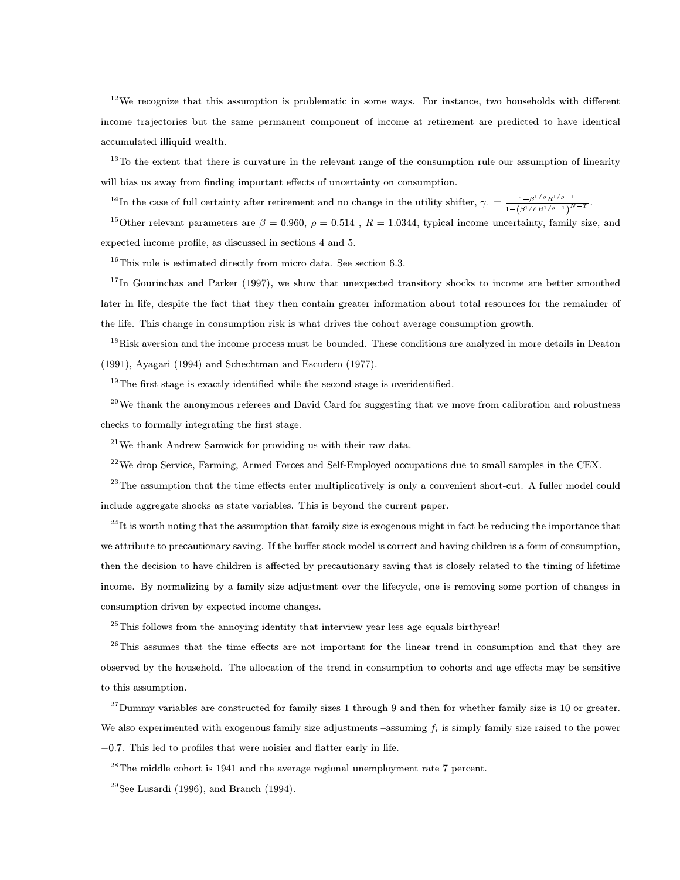$e^2$  i hiUL}? 3i | @| | t @tt 4T|L? t ThLM\*i4@|U ? tL4i @)t 6Lh ?t|@?Uic |L LtiL\*\_t | \_gihi?| ?UL4i |h@iU|Lhit M| |i t@4i Tih4@?i?| UL4TL?i?| Lu ?UL4i @| hi|hi4i?| @hi Thi\_U|i\_ |L @i \_i?|U@\* @UU4\*@|i\_ \*\*^\_ i@\*|

• AL |i i |i?| |@| |ihi t Uh@|hi ? |i hi\*i@?| h@?}i Lu |i UL?t4T|L? h\*i Lh @tt4T|L? Lu \*?i@h|) \*\* M@t t @@) uhL4 €?\_?} 4TLh|@?| igiU|t Lu ?Uih|@?|) L? UL?t4T|L?

•e W? |i U@ti Lu u\*\* Uih|@?|) @u|ih hi|hi4i?| @?\_ ?L U@?}i ? |i |\*|) tu|ihc • ' • <sup>3</sup> <sup>q</sup> 4@ - 4@ <sup>4</sup> • <sup>3</sup> Eq 4@ - 4@ <sup>4</sup> <sup>Q</sup> <sup>W</sup>

 $\cdot$ <sup>D</sup> | ih hi\*i @?| T@h@4i|iht @hi q ' f bSfc 4 ' f D•e c- ' • fee c|)TU@\* ?UL4i ?Uih|@ ?|)c u@4 \*) t 3ic @?\_ i TiU|i\_ ?UL4i ThL€\*ic @t \_tUtti\_ ? tiU|L?t e @?\_ D

 $\cdot$ SA th  $\cdot$ i t it| 4@|i\_ \_ hiU| $\cdot$ ) uhL4 4 UhL \_@|@ 5ii tiU| L? S

•. W? BLh?U@t @?\_ @h!ih E•bb.c i tL |@| ?i TiU|i\_ |h@?t|Lh) tLU!t |L ?UL4i @hi Mi||ih t4LL|i\_ \*@|ih ? \*uic \_itT|i |i u@U| |@| |i) |i? UL?|@? }hi@|ih ?uLh4@|L? @ML| |L|@\* hitLhUit uLh |i hi4@?\_ih Lu |i \*ui At U@?}i ? UL?t4T|L? ht! t @| \_hit |i ULLh| @ih@}i UL?t4T|L? }hL|

 $^{\text{H}}$  + t! @ iht L? @?\_ |i ?UL4i ThLUitt 4 t| Mi ML ?\_i\_ A iti UL?\_ | L?t @hi @?@\*)3i\_ ? 4Lhi \_i|@ \*t ? #i@|L? E•bb•c )@}@h E•bbe @?\_ 5UiU|4@? @?\_ ,tU\_ihL E•b..

•b Ai €ht| t|@}i t i @U|\*) \_i?|€i\_ \*i |i tiUL?\_ t|@}i t Lih\_i?|€i\_

 $2^{f}$  `i | @?! |i @?L?)4Lt hiuihiit @?\_#@ \_ @h\_ uLh t }}it| ?} | @| i 4Li uhL4 U@\* Mh@| L? @?\_ hLM t|?itt UiU!t |L uLh4@\*\*) ?|i}h@|?} |i €ht| t|@}i

 $2^{\circ}$  i | @?! ?\_hi 5@4 U! uLh ThL \_?} t | |ih h@ \_@|@

<sup>22</sup> 'i \_hLT 5ih Uic 6@h4 ?}c h4i\_ 6LhUit @?\_ 5i\*u,4T\*L)i\_ LUU T@| L?t \_ i |L t4@\*\* t@4T\*it ? | i ,j

<sup>2</sup> A i @tt 4T| L? | @| | i | 4i igiU|t i?|ih 4 \*| T\* U@| i\*) t L?\*) @ UL? i? i?| t Lh| U | u \*\*ih 4L\_i\* UL \*\_ ?U\*\_i @}}hi}@|i tLU!t @t t|@|i @h@M\*it At t Mi)L?\_ |i Uhhi?| T@Tih

2eW| t Lh| ?L|?} |@| |i @tt4T|L? |@| u@4\*) t3i t i L}i?Lt 4}| ? u@U| Mi hi\_U?} |i 4TLh|@?Ui |@| i @||hM|i |L ThiU@|L?@h) t@?} Wu |i Mgih t|LU! 4L\_i\* t ULhhiU| @?\_ @?} U\*\_hi? t @ uLh4 Lu UL?t4T|L?c |i? |i \_iUtL? |L @i U\*\_hi? t @giU|i\_ M) ThiU@|L?@h) t@?} |@| t U\*Lti\*) hi\*@|i\_ |L |i |4?} Lu \*ui|4i ?UL4i ) ?Lh4@\*3?} M) @ u@4\*) t3i @\_t|4i?| Lih |i \*uiU)U\*ic L?i t hi4L?} tL4i TLh|L? Lu U@?}it ? UL?t 4T| L? \_h i? M) i TiU|i\_ ?UL4i U @?}it

<sup>2D</sup>A tuL\*\*LtuhL4 |i @??L) ?} \_i?| |) | @| ?|ih i )i@h \*itt @}i i^ @\*t M h| )i@h-

<sup>2S</sup>A t @tt 4it | @| | i | 4i igiU|t @hi ?L| 4TLh|@?| uLh | i \* ?i@h |hi?\_ ? UL?t 4T| L? @?\_ | @| | i) @hi LMtihi\_ M) |i LtiL\*\_ Ai @\*\*LU@|L? Lu |i |hi?\_ ? UL?t4T|L? |L ULLh|t @?\_ @}i igiU|t 4@) Mi ti?t|i |L |t @tt4T|L?

 $2.$  #44) @h @M\*it @hi UL?t|h U|i\_ uLh u@4\*) t3it • |hL } b @?\_ |i? uLh \_i|ih u@4\*) t3i t •f Lh }hi@|ih `i @\*tL i Tih4i?|i\_ | i L}i?Lt u@4\*) t3i @\_t|4i?|t @tt4?} s t t4T\*) u@4\*) t3i h@ti\_ |L |i TLih 3 f . At \*i\_ |L ThL€\*it |@| ihi ?Ltih @?\_ @||ih i@h\*) ? \*ui

 ${}^{2}$ HA i 4  $*$ i UL Lh| t •be• @? | i @ ih@}i hi}L?@\* ?i4T\*L)4i?| h@|i . TihUi?|

 $^{2b}$  5ii wt@h E•bbSc @? h@?U E•bbe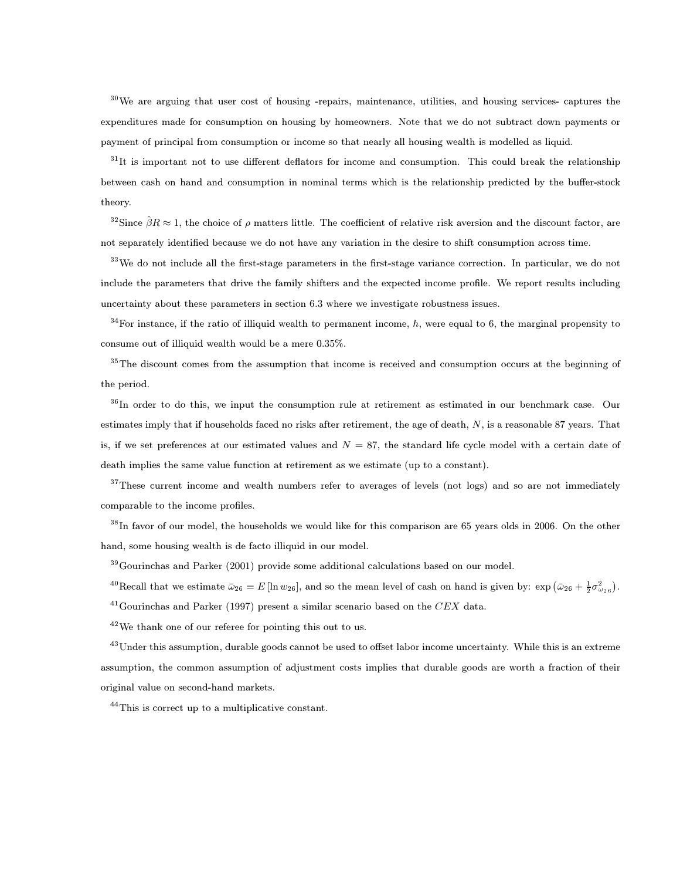i Ti?\_|hit 4@\_i uLh UL?t4T|L? L? Lt?} M) L4iL?iht L|i |@| i \_L ?L| tM|h@U| \_L? T@)4i?|t Lh T@)4i?| Lu Th?UT@\* uhL4 UL?t4T|L? Lh ?UL4i tL |@| ?i@h\*) @\*\* Lt?} i@\*| t 4L\_i\*\*i\_ @t \*^\_

• W| t 4TLh|@?| ?L| |L ti \_gihi?| \_i@|Lht uLh ?UL4i @?\_ UL?t4T|L? At UL\*\_ Mhi@! |i hi\*@|L?tT Mi|ii? U@t L? @?\_ @?\_ UL?t4T|L? ? ?L4?@\* |ih4t U t |i hi\*@|L?tT Thi\_U|i\_ M) |i Mgiht|LU! |iLh)

 $2$  5 ?Ui q- E •c |i U L Ui Lu 4 4@||iht \* ||\*i Ai ULi Ui?| Lu hi\*@|iht! @iht L? @?\_ |i\_tUL?|u@U|Lhc @hi ?L| tiT@h@|i\*) \_i?|€i\_ MiU@ti i \_L ?L| @i @?) @h@|L? ? |i \_ithi |L tu| UL?t4T|L? @UhLtt |4i

 `i \_L ?L| ?U\*\_i @\*\* |i €ht|t|@}i T@h@4i|iht ? |i €ht|t|@}i @h@?Ui ULhhiU|L? W? T@h|U\*@hc i \_L ?L|  $?U^*$  | i T@h@4i|iht  $|$  @| \_h i |i u@4 \*) t u|iht @?\_ |i i TiU|i\_ ?UL4i ThL $\varepsilon^*$ i `i hiTLh| hit \*|t ?U\* \_ ?} ?Uih|@?|) @ML| |iti T@h@4i|iht ? tiU|L? S ihi i ?it|}@|i hLMt|?itt ttit

<sup>e</sup> 6Lh ?t|@?Uic u |i h@|L Lu \*\*^\_ i@\*| |L Tih4@?i?| ?UL4ic c ihi i^@\* |L S c |i 4@h}?@\* ThLTi?t|) |L UL?t 4i L | Lu \*\* ^ \_ i@\*| L \*\_ Mi @ 4ihi f DI

 $D$ Ai \_tUL?| UL4it uhL4 |i @tt 4T|L? | @| ?UL4i t hiUi i\_ @?\_ UL?t 4T|L? LUU ht @| |i Mi} ?? ?} Lu |i TihL\_

 $\textsuperscript{S}$  W? Lh\_ih |L \_L | tc i ?T | |i UL?t 4T| L? h \*i @| hi| hi4i?| @t it| 4@|i\_ ? L h Mi?U 4@h! U@ti h it|4@|it 4T\*) |@| u LtiL\*\_t u@Ui\_ ?L ht!t @u|ih hi|hi4i?|c |i @}i Lu \_i@|c c t @ hi@tL?@M\*i H. )i@ht A@| tc u i ti| Thiuihi?Uit @| Lh it|4@|i\_ @\*it @?\_ ' H.c |i t|@?\_@h\_ \*ui U)U\*i 4L\_i\* | @ Uih|@? \_@|i Lu

. Aiti Uhhi?| ?UL4i @?\_ i@\*| ?4Miht hiuih |L @ih@}it Lu \*ii\*t E?L| \*L}t @?\_ tL @hi ?L| 44i\_@|i\*) UL4T@h@M\*i |L |i ?UL4i ThL€\*it

<sup>H</sup> W? u@Lh Lu Lh 4L\_i\*c |i LtiL\*\_t i L\*\_ \*!i uLh |t UL4T@htL? @hi SD )i@ht L\*\_t ? 2ffS ? |i L|ih

 $^{\sf ef}$  +iU@\*\* | @| i it| 4@|i 7/  $_{2\rm S}$  ' .d\*?  $_{2\rm SO}$ c @?\_ tL | i 4i@? \*i i\* Lu U@t L? @?\_ t }i? M)G i T  $\pi_{2\rm S}$  n  $\frac{\star}{2}$ j $^2_{1\rm S9}$ 

<sup>e</sup> N?\_ih |t @tt4T|L?c \_h@M\*i }LL\_t U@??L| Mi ti\_ |L Lgti| \*@MLh ?UL4i ?Uih|@?|) `\*i |t t @? i |hi4i @tt4T|L?c |i UL44L? @tt4T|L? Lu @\_t|4i?| ULt|t 4T\*it |@| \_h@M\*i }LL\_t @hi Lh| @ uh@U|L? Lu |ih

@?\_c tL4i Lt?} i@\*| t \_i u@U|L \*\*^\_ ? Lh 4L\_i\*

 $b$  BLh?U @t @?\_ @h!ih E2ff• ThL \_i tL4i @\_\_|L?@\*U@\*U \*@|L?t M@ti\_L? Lh 4L\_i\*

 $e^*$  BL h ?U @t @?\_ @h!ih E•bb. Thiti?| @ t 4 \*@h tUi?@h L M@ti\_ L? | if \_ \_@|@

 $e^{2}$ i | @?! L?i Lu L h hiuihii uLh TL ?| ?} | t L | |L t

 $e^{\theta}$ A t t ULhhiU| T |L @ 4 \*| T \* U@| i UL?t|@?|

Lh}?@\* @\*i L? tiUL?\_@?\_ 4@h!i|t

\_i@| 4T\*it |i t@4i @\*i u?U|L? @| hi|hi4i?| @t i it|4@|i ET |L @ UL?t|@?|

<sup>f</sup> `i @hi @h}?} | @| tih ULt| Lu Lt?} hiT@htc 4@?|i?@?Uic | \*|itc @?\_ Lt?} tih Uit U@T|hit |i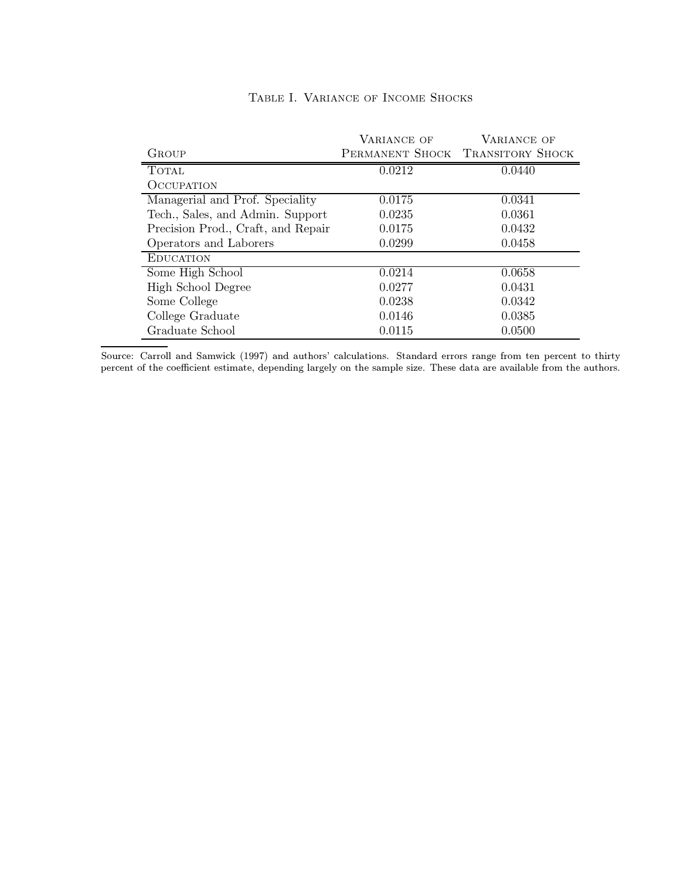### CBO,j Y XBi BAWj Nu YAWN6j 7 NW"t

|                                    | XBi BAWj Nu                      | XBi BAWj Nu |
|------------------------------------|----------------------------------|-------------|
| DiN V                              | ji6BAjA  7 NW" CiBAt   Ni+ 7 NW" |             |
| CN B,                              | 313545                           | 313773      |
| WW VB NA                           |                                  |             |
| Pdqdjhuldo dqg Suri1 Vshfldolw     | 3134:8                           | 313674      |
| Whfk1/ Vdohv/ dqg Dgplq1 Vxssruw   | 313568                           | 313694      |
| Suhflylrg Surg1/ Fudiw/ dqg Uhsdlu | 3134:8                           | 313765      |
| Rshudwruv dqg Oderuhuv             | 3135 <                           | 31378;      |
| .a WB  NA                          |                                  |             |
| <b>Vrph Kljk Vfkrro</b>            | 313547                           | 31398;      |
| Kljk Vfkrro Ghjuhh                 | 3135::                           | 313764      |
| Vrph Froohjh                       | 31356;                           | 313675      |
| Froohjh Judgxdwh                   | 313479                           | 3136;8      |
| Judgxdwh Vfkrro                    | 313448                           | 313833      |

5LhUiG @hhL\*\* @?\_ 5@4U! E•bb. @?\_ @|Lht< U@\*U\*@|L?t 5|@?\_@h\_ ihhLht h@?}i uhL4 |i? TihUi?| |L |h|) TihUi?| Lu |i ULiUi?| it|4@|ic \_iTi?\_?} \*@h}i\*) L? |i t@4T\*i t3i Aiti \_@|@ @hi @@\*@M\*i uhL4 |i @|Lht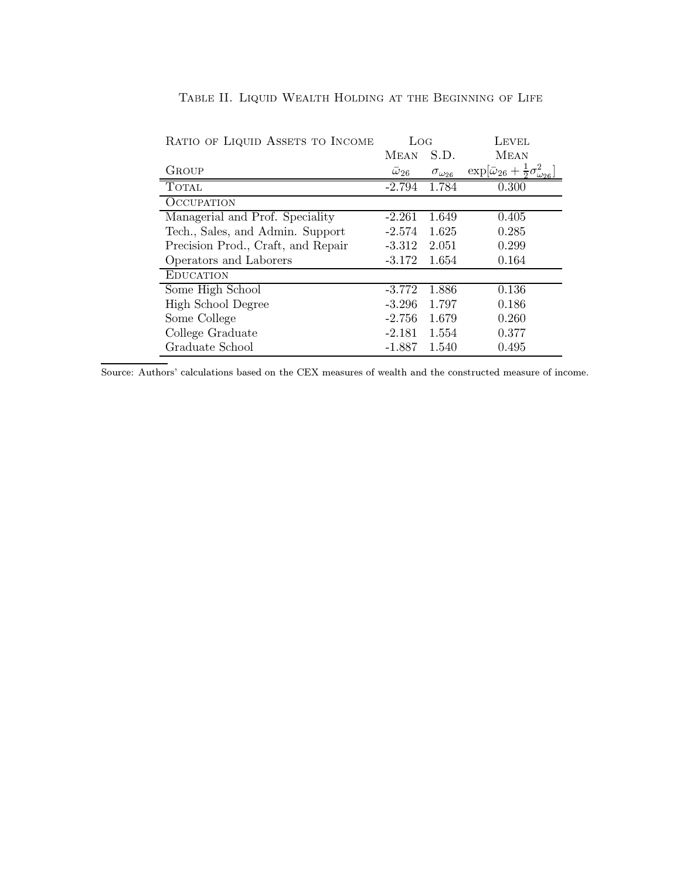### CBO,j YY w`a bjB,| QN,aA} B| |j j}AAA} Nu wuj

| -B  N Nu w ` a ttilt  N YAWN6j     | wj j,<br>wN}       |                                 |
|------------------------------------|--------------------|---------------------------------|
|                                    | 7\$<br>∙iBA        | $\bullet$ j $BA$                |
| DiN V                              | $\$_{2S}$<br>/2s   | $h$ {s^\$ <sub>2S</sub> .<br>2S |
| CN B,                              | 051:27<br>41::7    | 31633                           |
| <b>WW VB NA</b>                    |                    |                                 |
| Pdqdjhuldo dqg Suri1 Vshfldolw     | 4197<<br>051594    | 31738                           |
| Whik1/ Vdohv/ dqg Dgplq1 Vxssruw   | 41958<br>0518:7    | 315;8                           |
| Suhflvlrq Surg1/ Fudiw/ dqg Uhsdlu | 51384<br>061645    | 315 <                           |
| Rshudwruv dqg Oderuhuv             | 0614:5<br>41987    | 31497                           |
| .a WB  NA                          |                    |                                 |
| Vrph Kljk Vfkrro                   | $061::5$ 41::9     | 31469                           |
| Kljk Vfkrro Ghjuhh                 | 0615<9<br>41:      | 314:9                           |
| Vrph Froohih                       | 051:89<br>419: <   | 31593                           |
| Froohjh Judgxdwh                   | 41887<br>0514:4    | 316::                           |
| Judgxdwh Vfkrro                    | $041$ ;;:<br>41873 | 317<8                           |

5LhUiG |Lht< U@\*U\*@|L?t M@ti\_ L? |i ,j 4i@thit Lu i@\*| @?\_ |i UL?t|hU|i\_ 4i@thi Lu ?UL4i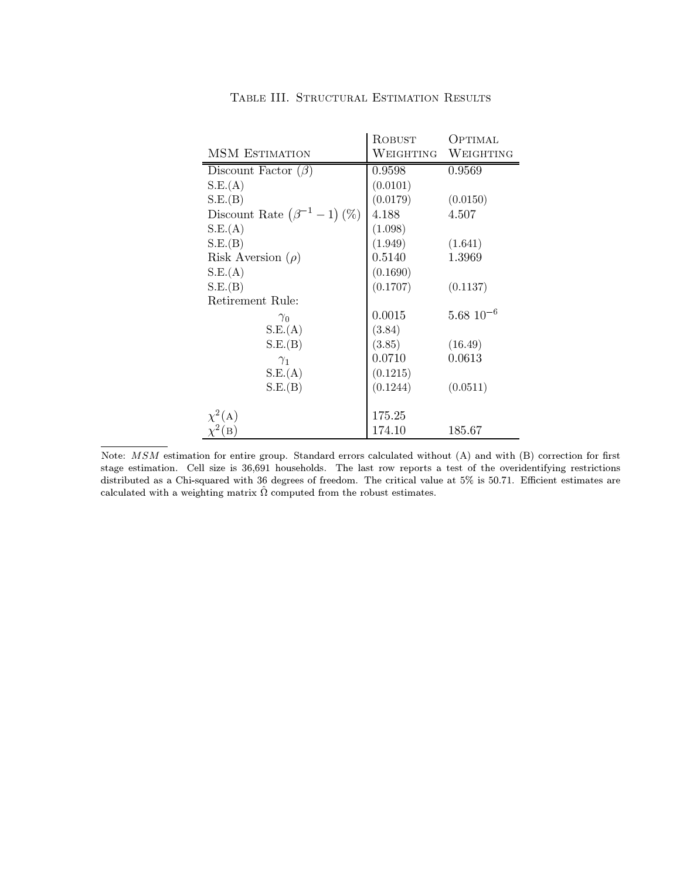CBO,j YYY 7|i W| iB, .t| 6B| NA -jt ,|t

|                                       | -NO t                   | $V$   6B,  |
|---------------------------------------|-------------------------|------------|
| •7• .t  6B  NA                        | bj } $ A\}$ bj } $ A\}$ |            |
| Glvfrxqw ldfwru +,                    | 31 < 8 <                | $31 - 89$  |
| $V1H1+D,$                             | +313434,                |            |
| $V1H1+E,$                             | $+3134: <$              | $+313483,$ |
| $3 \cdot$<br>Glvfrxqw Udwh<br>$4 + ($ | 714                     | 7183:      |
| $V1H1+D,$                             | $+413<;$                |            |
| $V1H1+E,$                             | +41<7<,                 | $+41974,$  |
| Ulvn Dyhuvlrq $+$ ,                   | 318473                  | $416 - 9$  |
| $V1H1+D,$                             | $+3149<3,$              |            |
| $V1H1+E,$                             | $+314:3;$               | $+31446$ ; |
| Uhwluhphqw Uxoh=                      |                         |            |
| f                                     | 313348                  | 819:45     |
| $V1H1+D,$                             | $+61;7,$                |            |
| $V1H1+E,$                             | $+61;8,$                | $+4917<$ , |
|                                       | 313:43                  | 313946     |
| $V1H1+D,$                             | $+314548,$              |            |
| $V1H1+E,$                             | $+314577,$              | $+313844,$ |
| $"$ <sup>2</sup> GB                   | 4:8158                  |            |
| $"{}^{2}$ GO                          | 4:7143                  | 4;819:     |

L|iG •7• it|4@|L? uLh i?|hi }hLT 5|@?\_@h\_ ihhLht U@\*U\*@|i\_ |L| E @?\_ | E ULhhiU|L? uLh €ht| t|@}i it|4@|L? i\*\* t3i t ScSb• LtiL\*\_t Ai \*@t| hL hiTLh|t @ |it| Lu |i Lih\_i?|u)?} hit|hU|L?t \_t|hM|i\_ @t @ t^@hi\_ | S \_i}hiit Lu uhii\_L4 Ai Uh|U@\* @\*i @| DI t Df.• ,Ui?| it|4@|it @hi U@\*U\*@|i\_ | @ i}|?} 4@|h l UL4T|i\_ uhL4 |i hLMt| it|4@|it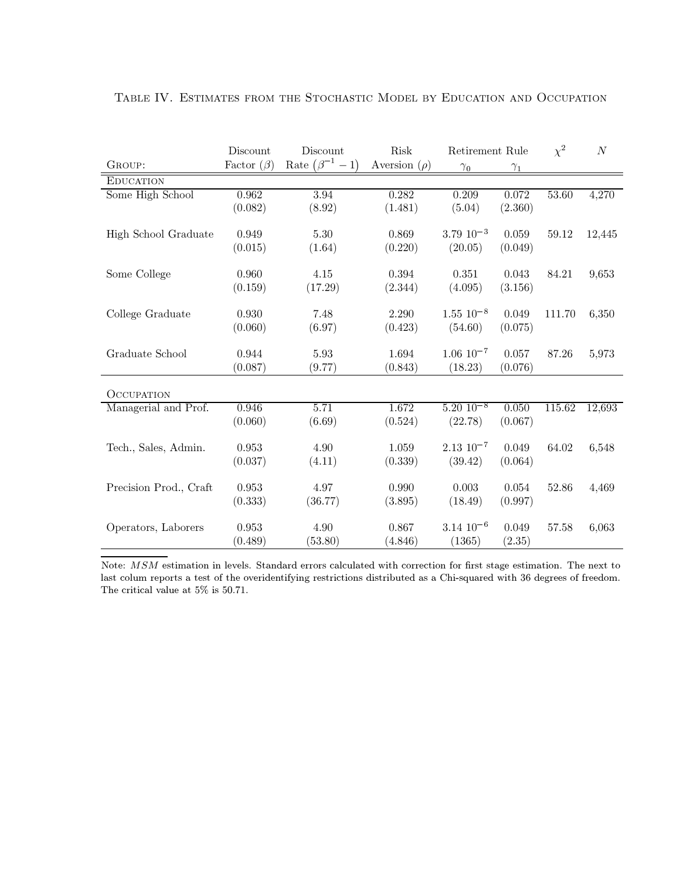|                        | Glvfrxqw       | Glvfrxqw   | Ulvn           | "5<br>Uhwluhphqw Uxoh<br>Q           |
|------------------------|----------------|------------|----------------|--------------------------------------|
| DIN VH                 | ldfwru +, Udwh | $4\quad 4$ | Dyhuvlrq $+$ , | 3 <sup>1</sup>                       |
| .a WB  NA              |                |            |                |                                      |
| Vrph Kljk Vfkrro       | $31 - 95$      | 61 < 7     | 315:5          | 3153<<br>313.5<br>86193<br>7/5:3     |
|                        | $+313,5,$      | $+1,1<5$ , | $+417,4$       | +8137,<br>$+51693.$                  |
| Kljk Vfkrro Judgxdwh   | 31 < 7 <       | 8163       | 31:9<          | $61 < 49$ 3138< 8<145 45/778         |
|                        | $+31348,$      | $+4197,$   | $+31553,$      | $+53138,$<br>$+3137<$ ,              |
| Vrph Froohjh           | $31 - 93$      | 7148       | 316<7          | 31684<br>31376<br>:7154<br>$/986$    |
|                        | $+3148<$ ,     | $+4:15<$ , | $+51677,$      | +713<8,<br>$+61489,$                 |
| Froohjh Judgxdwh       | 31<63          | :17;       | $515 - 3$      | 4188 43 3137< 4441:3 9/683           |
|                        | $+31393,$      | $+91<.$    | $+31756,$      | $+87193, +31338,$                    |
| Judgxdwh Vfkrro        | 31 < 77        | $81 - 6$   | 419<7          | 4139 433138: ::159 8/<:6             |
|                        | $+313$         | $+<1$ ::   | $+31;76,$      | +4;156,<br>$+313:9,$                 |
| WW VB  NA              |                |            |                |                                      |
| Pdqdjhuldo dqg Suri1   | 31 < 79        | 81:4       | 419:5          | 8153 43 31383<br>448195 45/9<6       |
|                        | $+31393,$      | $+9195$    | $+31857,$      | +551:;,<br>$+3139:$                  |
| Whfk1/ Vdohv/ Dgplq1   | $31 - 86$      | $71 - 3$   | 4138<          | 5146 43137< 97135<br>$9/87$ :        |
|                        | $+3136:$       | $+7144,$   | +3166<,        | $+6 < 175$ , $+31397$ ,              |
| Suhflvlrq Surg1/ Fudiw | 31<86          | 71<        | 31 < 3         | 31336<br>31387<br>851:9<br>7/79<     |
|                        | $+31666,$      | $+691$ ::  | +61;<8,        | $+4;17<$<br>$+31 < $ :               |
| Rshudwruv/ Oderuhuv    | $31 - 86$      | $71 - 3$   |                | $31;9$ : 6147 433137< 8:18;<br>9/396 |
|                        | $+317; <,$     | $+861;3,$  | $+71;79,$      | +4698,<br>$+5168,$                   |

### CBO,j YX .t| 6B|jt uiN6 | j 7|NW Bt| W • Naj, O+ .a WB| NA BAa WW VB| NA

|<br>|L|iG •7• it| 4@| L? ? \*i i\*t 5|@?\_@h\_ ihhLht U@\*U \*@|i\_ | ULhhiU| L? uLh €ht| t|@}i it| 4@| L? A i ?i | |L<br>\*@t| UL\* 4 hiTLh|t @ |it| Lu | i L ih \_i?| u) ?} hit|h U| L?t \_ t|h M |i\_ @t @ t^ @hi\_ | S \_i} Ai Uh  $|\bigcup_{\omega^*} \emptyset^*$  i  $\omega$  | DI t Df.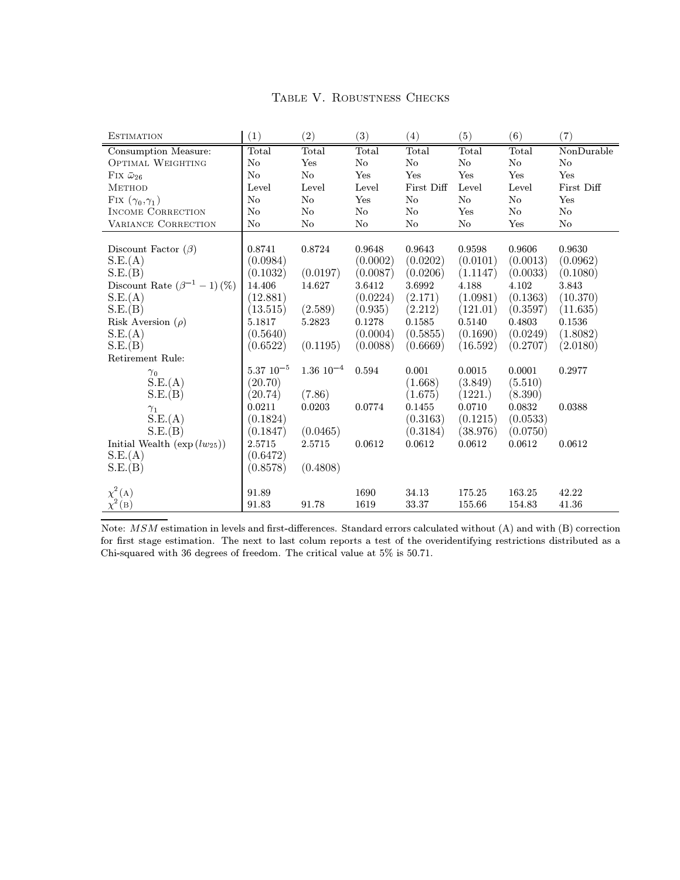CBO,j X -NO t|Ajtt jW"t

| $AL @*$<br>$AL @*$<br>$AL @^*$ $AL @^*$ $AL @^*$ $AL @^*$ $AL @^*$<br>L?t $4T$   L? $\bullet$ i@t hiG<br>$L$ and $L$<br>V[6B, bj] [A]<br>L.<br>$L \qquad L$<br>vit<br>$\mathsf{L}$<br>L<br>$L =$<br>vit<br>vit<br>L.<br>vit<br>8! $\pi_{2S}$<br>vit<br>vit<br>wi i*<br>6 ht $#g$ wii*<br>wi i*<br>∙j∣ Na<br>wi i*<br>wi i*<br>6 ht $# g$<br>$8!G_{1}e_{1}$<br>L<br>L.<br>vit<br>L<br>L.<br>L.<br>vit<br>YAWN6j NiijW  NA<br>L<br>L<br>L<br>vit<br>L<br>$\mathsf{L}$<br>XBi BAWj NiijW  NA<br>L<br>L.<br>L<br>$\mathsf{L}$<br>L<br>vit | .t  6B  NA        | G∙ | G4 | G |  | Gg GF | <b>GU</b> | G <sub>0</sub> |
|---------------------------------------------------------------------------------------------------------------------------------------------------------------------------------------------------------------------------------------------------------------------------------------------------------------------------------------------------------------------------------------------------------------------------------------------------------------------------------------------------------------------------------------|-------------------|----|----|---|--|-------|-----------|----------------|
|                                                                                                                                                                                                                                                                                                                                                                                                                                                                                                                                       |                   |    |    |   |  |       |           | $L?#h@M*$ i    |
|                                                                                                                                                                                                                                                                                                                                                                                                                                                                                                                                       |                   |    |    |   |  |       |           |                |
|                                                                                                                                                                                                                                                                                                                                                                                                                                                                                                                                       |                   |    |    |   |  |       |           |                |
|                                                                                                                                                                                                                                                                                                                                                                                                                                                                                                                                       |                   |    |    |   |  |       |           |                |
|                                                                                                                                                                                                                                                                                                                                                                                                                                                                                                                                       |                   |    |    |   |  |       |           |                |
|                                                                                                                                                                                                                                                                                                                                                                                                                                                                                                                                       |                   |    |    |   |  |       |           |                |
|                                                                                                                                                                                                                                                                                                                                                                                                                                                                                                                                       |                   |    |    |   |  |       |           |                |
|                                                                                                                                                                                                                                                                                                                                                                                                                                                                                                                                       |                   |    |    |   |  |       |           |                |
| fH.e• fH.2e fbSeH fbSe fbDbH fbSfS fbSf                                                                                                                                                                                                                                                                                                                                                                                                                                                                                               | # tUL ?  6@U Lh & |    |    |   |  |       |           |                |
| $+313 < 7,$ $+313335,$ $+313535,$ $+313434,$ $+313346,$ $+313 < 95,$<br>$V1H1+D,$                                                                                                                                                                                                                                                                                                                                                                                                                                                     |                   |    |    |   |  |       |           |                |
| $+314365,$ $+3134<.$ ; $+3133;$ ; $+313539,$ $+41447;$ $+313366,$<br>$V1H1+E,$<br># tUL ?  +@ i E $q^3$ * 3 • EI<br>He                                                                                                                                                                                                                                                                                                                                                                                                                |                   |    |    |   |  |       |           | +3143:3.       |
| $+313557, +514.4, +413< 4, +314696, +4316.3,$<br>$V1H1+D,$                                                                                                                                                                                                                                                                                                                                                                                                                                                                            |                   |    |    |   |  |       |           |                |
| $+451;74,$<br>+461848, +518;<, +31<68, +51545, +454134, +3168<:, +441968,<br>V1H1+E,                                                                                                                                                                                                                                                                                                                                                                                                                                                  |                   |    |    |   |  |       |           |                |
| D.H. D.2H2 f.2.H f.DHD fD.ef feHf f.DS<br>$+ t!$ iht L? E 4                                                                                                                                                                                                                                                                                                                                                                                                                                                                           |                   |    |    |   |  |       |           |                |
| $+318973,$ $+313337,$ $+318,88,$ $+3149<3,$ $+31357<,$ $+41,3,5,$<br>$V1H1+D,$                                                                                                                                                                                                                                                                                                                                                                                                                                                        |                   |    |    |   |  |       |           |                |
| $+319855, +3144<8, +3133;$ $+31999<, +4918<5, +315:3;$ $+5134;3,$<br>$V1H1+E,$                                                                                                                                                                                                                                                                                                                                                                                                                                                        |                   |    |    |   |  |       |           |                |
| +i  hi4i?  + *iG                                                                                                                                                                                                                                                                                                                                                                                                                                                                                                                      |                   |    |    |   |  |       |           |                |
| $D .$ of $3D$ o S of $3e$ f Dbe f ffor f ffor f fffor f fffor f 2b                                                                                                                                                                                                                                                                                                                                                                                                                                                                    |                   |    |    |   |  |       |           |                |
| $V1H1+D,$<br>+4199;, +61;7<, +81843,<br>$+531:3,$                                                                                                                                                                                                                                                                                                                                                                                                                                                                                     |                   |    |    |   |  |       |           |                |
| $+531:7, +1;9,$<br>$V1H1+E$ ,<br>$+419.8, +45541, +16<3,$                                                                                                                                                                                                                                                                                                                                                                                                                                                                             |                   |    |    |   |  |       |           |                |
| ff2. ff2f ffe f.eDD fff ffH2 ffHH                                                                                                                                                                                                                                                                                                                                                                                                                                                                                                     |                   |    |    |   |  |       |           |                |
| $V1H1+D,$<br>+316496, +314548, +313866,<br>$+314;57,$                                                                                                                                                                                                                                                                                                                                                                                                                                                                                 |                   |    |    |   |  |       |           |                |
| $+314;7;$ $+313798;$ $+3164;7;$ $+6;1<9;$ $+313:83;$<br>$V1H1+E,$                                                                                                                                                                                                                                                                                                                                                                                                                                                                     |                   |    |    |   |  |       |           |                |
| 2 D.•D  2 D.•D  ffS•2  ffS•2  ffS•2  ffS•2  ffS•2<br>W?   $@*$ 'i $@*$   EiTE <sub>2D</sub>                                                                                                                                                                                                                                                                                                                                                                                                                                           |                   |    |    |   |  |       |           |                |
| $+3197:5,$<br>$V1H1+D,$                                                                                                                                                                                                                                                                                                                                                                                                                                                                                                               |                   |    |    |   |  |       |           |                |
| $V1H1+E,$<br>$+31;8;$ , $+317;3;$                                                                                                                                                                                                                                                                                                                                                                                                                                                                                                     |                   |    |    |   |  |       |           |                |
| ${}^{2}$ GB<br>$\bullet$ Sbf<br>b• Hb<br>$e \bullet \bullet \bullet \cdot D$ 2D<br>$\bullet$ S 2D<br>e2 22                                                                                                                                                                                                                                                                                                                                                                                                                            |                   |    |    |   |  |       |           |                |
| $2$ GO<br>$H.$ •d<br>∙S∙b<br>$\bullet$ DDSS<br>b∙ H<br>$\bullet$ De H<br>$e \cdot S$                                                                                                                                                                                                                                                                                                                                                                                                                                                  |                   |    |    |   |  |       |           |                |

L|iG •7• it| 4@| L? ? \*i i\*t @?\_ €ht| \_ gihi?Uit 5|@?\_@h\_ ihhLht U@\*U \*@|i\_ | L | E @?\_ | E ULhhiU| L? uLh €ht| t|@}i it| 4@| L? A i ?i | |L \*@t| UL\* 4 hiTLh|t @ |it| Lu | i L ih \_i?| u) ?} hit|h U| L?t \_ t|h M |i\_ @t @ t^ @hi\_ | S \_i}hiit Lu uhii\_L4 A i Uh | U@\* @\* i @| DI t Df .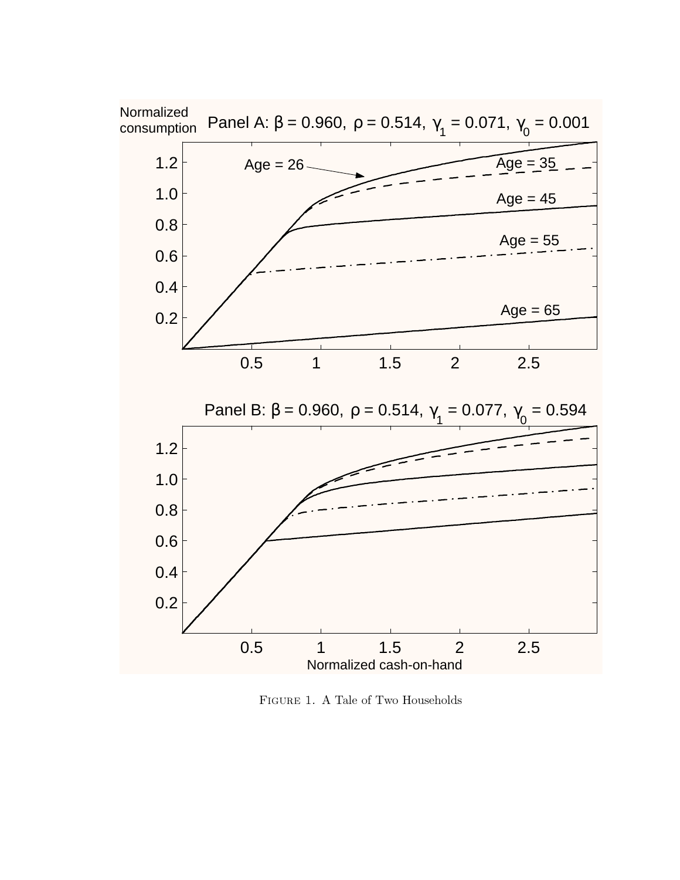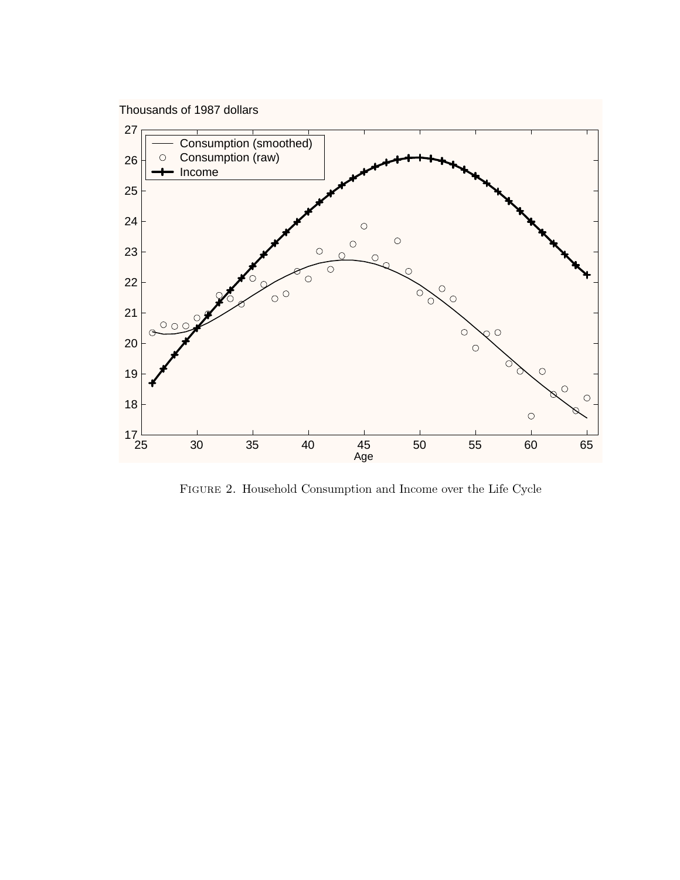

Krxvhkrog Frqvxpswlrq dqg Lqfrph ryhu wkh Olih F|foh  $8$ } ij 4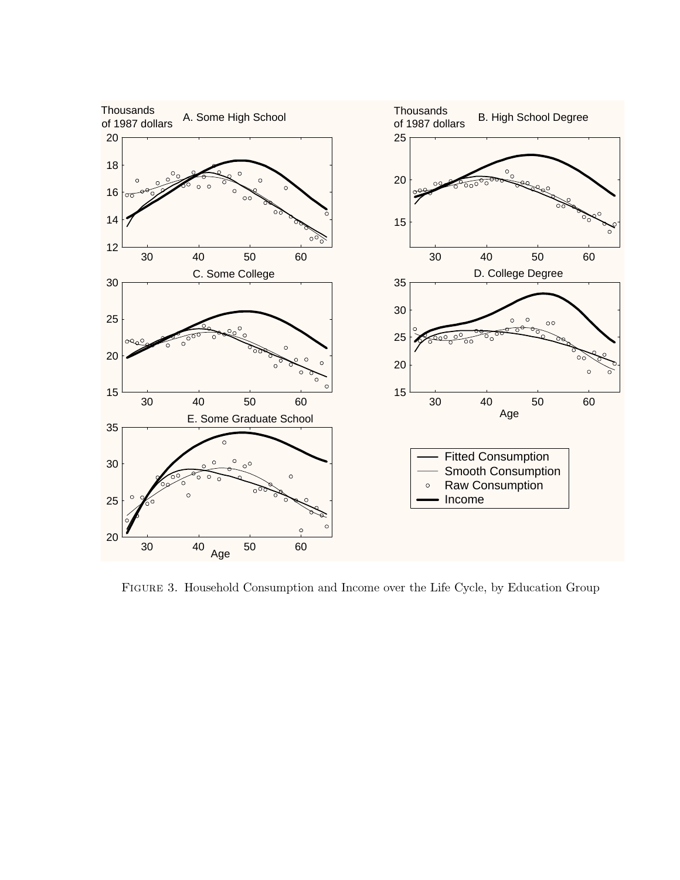

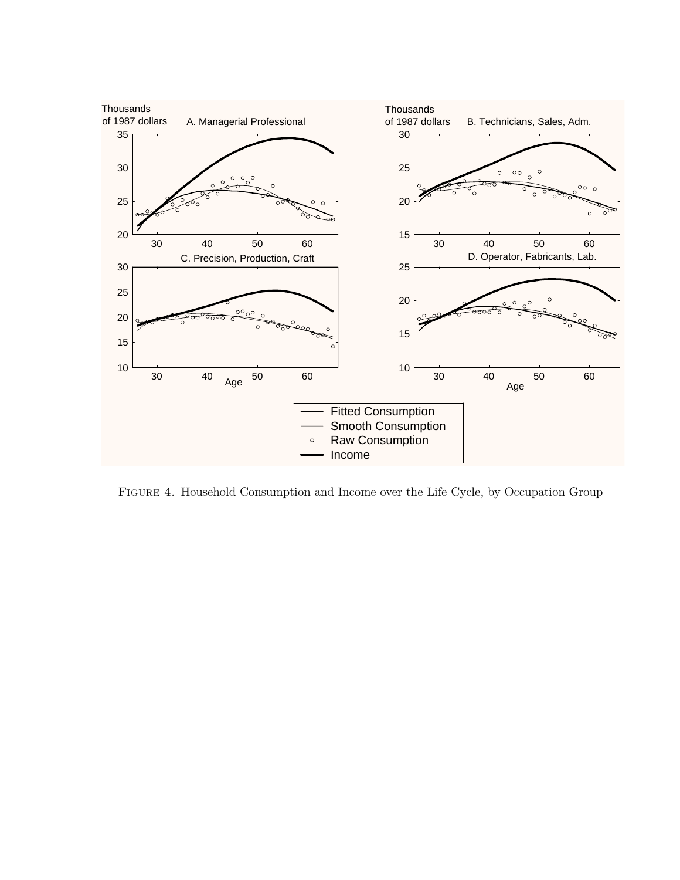

8 } ij g Krxvhkrog Frqvxpswlrq dqg Lqfrph ryhu wkh Olih F|foh/ e| Rffxsdwlrq Jurxs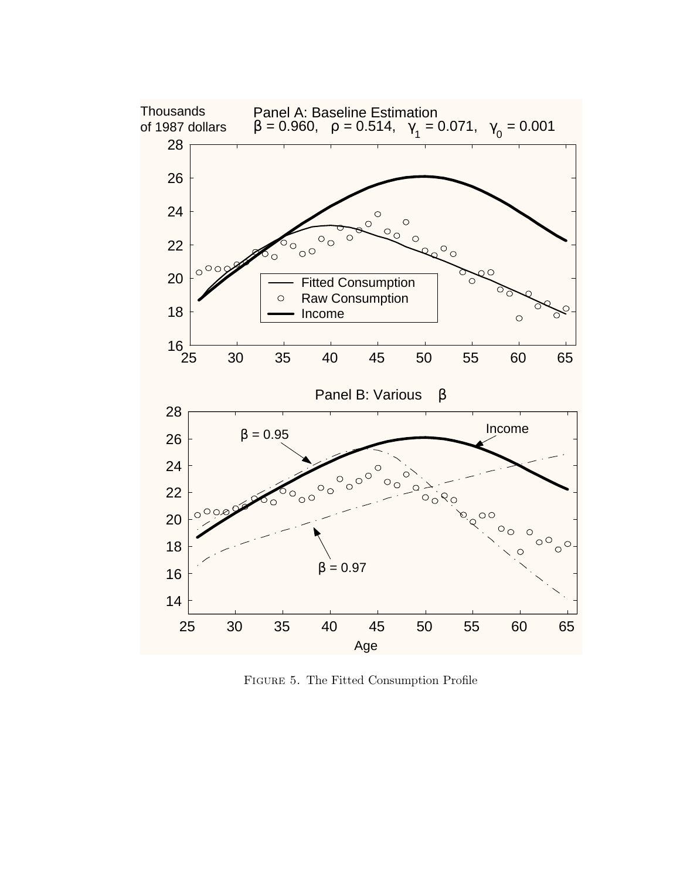

8 } ij F Wkh Ilwwhg Frqvxpswlrq Sur oh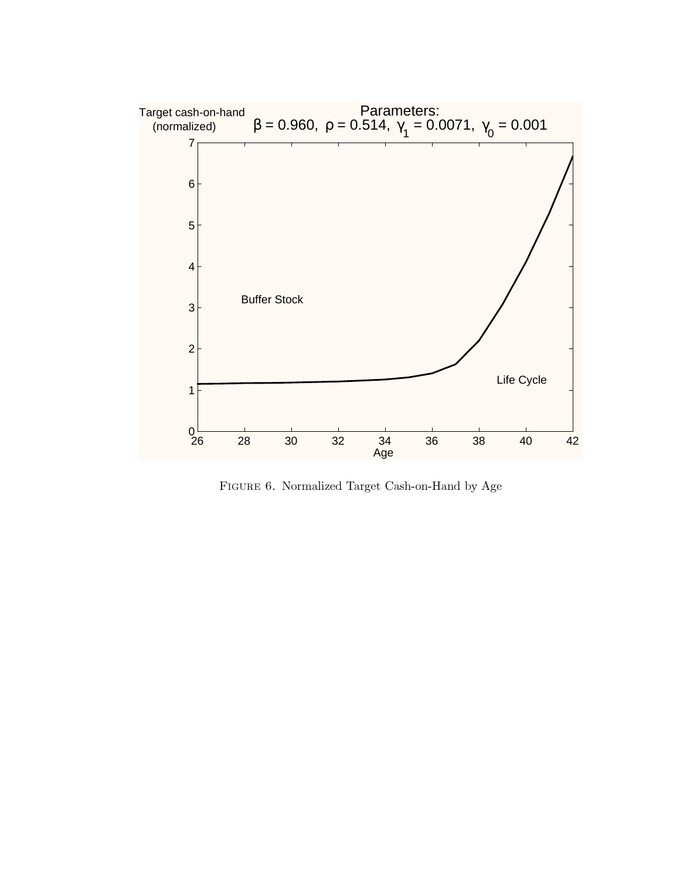

8 } ij U Qrupdol}hg Wdujhw Fdvk0rq0Kdqg e| Djh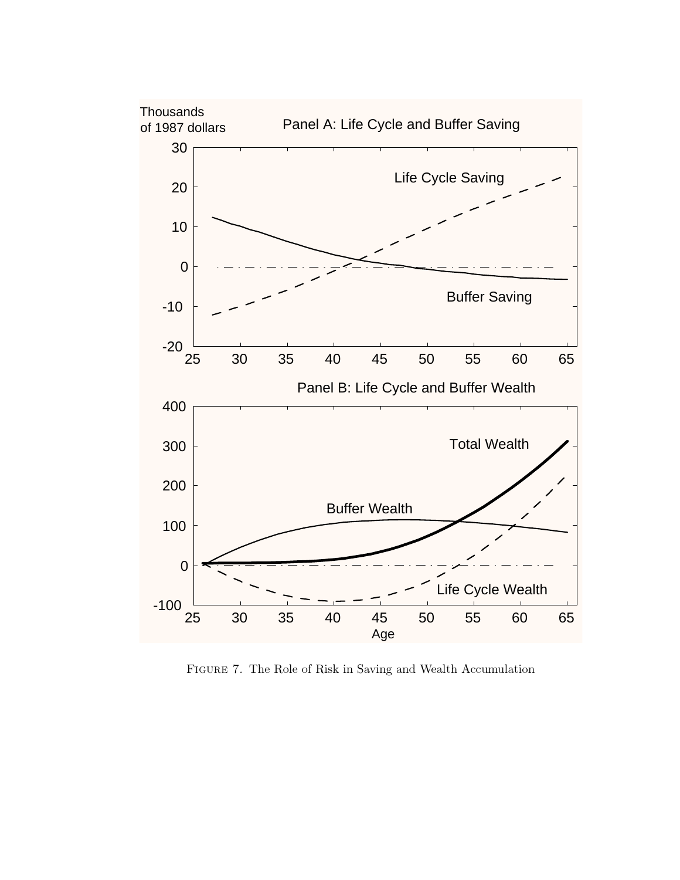

8 } ij 0 Wkh Uroh ri Ulvn lq Vdylqj dqg Zhdowk Dffxpxodwlrq